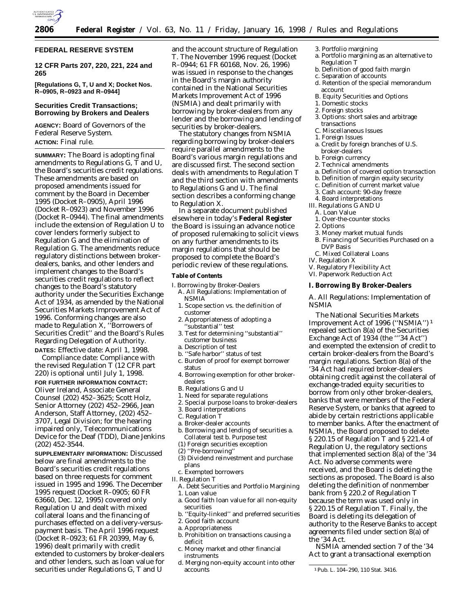

## **FEDERAL RESERVE SYSTEM**

**12 CFR Parts 207, 220, 221, 224 and 265**

**[Regulations G, T, U and X; Docket Nos. R–0905, R–0923 and R–0944]**

### **Securities Credit Transactions; Borrowing by Brokers and Dealers**

**AGENCY:** Board of Governors of the Federal Reserve System. **ACTION:** Final rule.

**SUMMARY:** The Board is adopting final amendments to Regulations G, T and U, the Board's securities credit regulations. These amendments are based on proposed amendments issued for comment by the Board in December 1995 (Docket R–0905), April 1996 (Docket R–0923) and November 1996 (Docket R–0944). The final amendments include the extension of Regulation U to cover lenders formerly subject to Regulation G and the elimination of Regulation G. The amendments reduce regulatory distinctions between brokerdealers, banks, and other lenders and implement changes to the Board's securities credit regulations to reflect changes to the Board's statutory authority under the Securities Exchange Act of 1934, as amended by the National Securities Markets Improvement Act of 1996. Conforming changes are also made to Regulation X, ''Borrowers of Securities Credit'' and the Board's Rules Regarding Delegation of Authority. **DATES:** *Effective date:* April 1, 1998.

*Compliance date:* Compliance with the revised Regulation T (12 CFR part 220) is optional until July 1, 1998.

**FOR FURTHER INFORMATION CONTACT:** Oliver Ireland, Associate General Counsel (202) 452–3625; Scott Holz, Senior Attorney (202) 452–2966, Jean Anderson, Staff Attorney, (202) 452– 3707, Legal Division; for the hearing impaired only, Telecommunications Device for the Deaf (TDD), Diane Jenkins (202) 452-3544.

**SUPPLEMENTARY INFORMATION:** Discussed below are final amendments to the Board's securities credit regulations based on three requests for comment issued in 1995 and 1996. The December 1995 request (Docket R–0905; 60 FR 63660, Dec. 12, 1995) covered only Regulation U and dealt with mixed collateral loans and the financing of purchases effected on a delivery-versuspayment basis. The April 1996 request (Docket R–0923; 61 FR 20399, May 6, 1996) dealt primarily with credit extended to customers by broker-dealers and other lenders, such as loan value for securities under Regulations G, T and U

and the account structure of Regulation T. The November 1996 request (Docket R–0944; 61 FR 60168, Nov. 26, 1996) was issued in response to the changes in the Board's margin authority contained in the National Securities Markets Improvement Act of 1996 (NSMIA) and dealt primarily with borrowing by broker-dealers from any lender and the borrowing and lending of securities by broker-dealers.

The statutory changes from NSMIA regarding borrowing by broker-dealers require parallel amendments to the Board's various margin regulations and are discussed first. The second section deals with amendments to Regulation T and the third section with amendments to Regulations G and U. The final section describes a conforming change to Regulation X.

In a separate document published elsewhere in today's **Federal Register** the Board is issuing an advance notice of proposed rulemaking to solicit views on any further amendments to its margin regulations that should be proposed to complete the Board's periodic review of these regulations.

### **Table of Contents**

- I. Borrowing by Broker-Dealers
- A. All Regulations: Implementation of NSMIA 1. Scope section vs. the definition of
- customer 2. Appropriateness of adopting a
- 'substantial" test 3. Test for determining ''substantial''
- customer business
- a. Description of test
- b. ''Safe harbor'' status of test
- c. Burden of proof for exempt borrower status
- 4. Borrowing exemption for other brokerdealers
- B. Regulations G and U
- 1. Need for separate regulations
- 2. Special purpose loans to broker-dealers
- 3. Board interpretations
- C. Regulation T
- a. Broker-dealer accounts b. Borrowing and lending of securities a. Collateral test b. Purpose test
- (1) Foreign securities exception
- (2) ''Pre-borrowing''
- (3) Dividend reinvestment and purchase plans
- c. Exempted borrowers
- II. Regulation T
	- A. Debt Securities and Portfolio Margining 1. Loan value
	- a. Good faith loan value for all non-equity securities
	- b. ''Equity-linked'' and preferred securities
	- 2. Good faith account
	- a. Appropriateness
	- b. Prohibition on transactions causing a deficit
	- c. Money market and other financial instruments
	- d. Merging non-equity account into other accounts
- 3. Portfolio margining
- a. Portfolio margining as an alternative to Regulation T
- b. Definition of *good faith margin*
- c. Separation of accounts
- d. Retention of the special memorandum account
- B. Equity Securities and Options
- 1. Domestic stocks
- 2. Foreign stocks
- 3. Options: short sales and arbitrage transactions
- C. Miscellaneous Issues
- 1. Foreign Issues
- a. Credit by foreign branches of U.S. broker-dealers
- b. Foreign currency
- 2. Technical amendments
- a. Definition of *covered option transaction*
- b. Definition of *margin equity security*
- c. Definition of *current market value*
- 3. Cash account: 90-day freeze
- 4. Board interpretations
- III. Regulations G AND U
	- A. Loan Value
	- 1. Over-the-counter stocks
	- 2. Options
- 3. Money market mutual funds
- B. Financing of Securities Purchased on a DVP Basis
- C. Mixed Collateral Loans
- IV. Regulation X
- V. Regulatory Flexibility Act
- VI. Paperwork Reduction Act

## **I. Borrowing By Broker-Dealers**

### *A. All Regulations: Implementation of NSMIA*

The National Securities Markets Improvement Act of 1996 (''NSMIA'') 1 repealed section 8(a) of the Securities Exchange Act of 1934 (the '''34 Act'') and exempted the extension of credit to certain broker-dealers from the Board's margin regulations. Section 8(a) of the '34 Act had required broker-dealers obtaining credit against the collateral of exchange-traded equity securities to borrow from only other broker-dealers, banks that were members of the Federal Reserve System, or banks that agreed to abide by certain restrictions applicable to member banks. After the enactment of NSMIA, the Board proposed to delete § 220.15 of Regulation T and § 221.4 of Regulation U, the regulatory sections that implemented section 8(a) of the '34 Act. No adverse comments were received, and the Board is deleting the sections as proposed. The Board is also deleting the definition of *nonmember bank* from § 220.2 of Regulation T because the term was used only in § 220.15 of Regulation T. Finally, the Board is deleting its delegation of authority to the Reserve Banks to accept agreements filed under section 8(a) of the '34 Act.

NSMIA amended section 7 of the '34 Act to grant a transactional exemption

<sup>1</sup>Pub. L. 104–290, 110 Stat. 3416.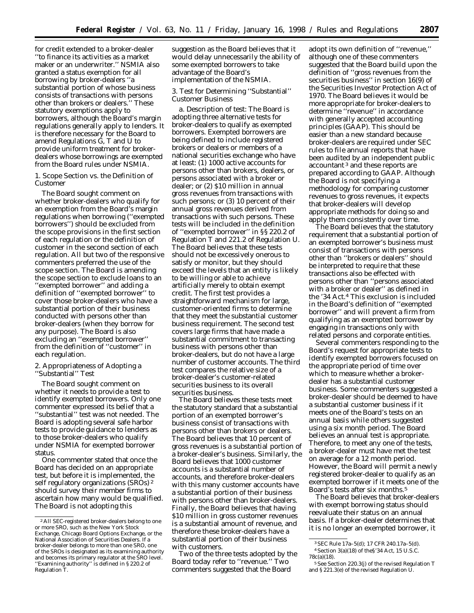for credit extended to a broker-dealer ''to finance its activities as a market maker or an underwriter.'' NSMIA also granted a status exemption for all borrowing by broker-dealers ''a substantial portion of whose business consists of transactions with persons other than brokers or dealers.'' These statutory exemptions apply to borrowers, although the Board's margin regulations generally apply to lenders. It is therefore necessary for the Board to amend Regulations G, T and U to provide uniform treatment for brokerdealers whose borrowings are exempted from the Board rules under NSMIA.

1. Scope Section vs. the Definition of *Customer*

The Board sought comment on whether broker-dealers who qualify for an exemption from the Board's margin regulations when borrowing (''exempted borrowers'') should be excluded from the scope provisions in the first section of each regulation or the definition of *customer* in the second section of each regulation. All but two of the responsive commenters preferred the use of the scope section. The Board is amending the scope section to exclude loans to an ''exempted borrower'' and adding a definition of ''exempted borrower'' to cover those broker-dealers who have a substantial portion of their business conducted with persons other than broker-dealers (when they borrow for any purpose). The Board is also excluding an ''exempted borrower'' from the definition of ''customer'' in each regulation.

2. Appropriateness of Adopting a ''Substantial'' Test

The Board sought comment on whether it needs to provide a test to identify exempted borrowers. Only one commenter expressed its belief that a ''substantial'' test was not needed. The Board is adopting several safe harbor tests to provide guidance to lenders as to those broker-dealers who qualify under NSMIA for exempted borrower status.

One commenter stated that once the Board has decided on an appropriate test, but before it is implemented, the self regulatory organizations (SROs) 2 should survey their member firms to ascertain how many would be qualified. The Board is not adopting this

suggestion as the Board believes that it would delay unnecessarily the ability of some exempted borrowers to take advantage of the Board's implementation of the NSMIA.

## 3. Test for Determining ''Substantial'' Customer Business

*a. Description of test:* The Board is adopting three alternative tests for broker-dealers to qualify as exempted borrowers. Exempted borrowers are being defined to include registered brokers or dealers or members of a national securities exchange who have at least: (1) 1000 active accounts for persons other than brokers, dealers, or persons associated with a broker or dealer; or (2) \$10 million in annual gross revenues from transactions with such persons; or (3) 10 percent of their annual gross revenues derived from transactions with such persons. These tests will be included in the definition of ''exempted borrower'' in §§ 220.2 of Regulation T and 221.2 of Regulation U. The Board believes that these tests should not be excessively onerous to satisfy or monitor, but they should exceed the levels that an entity is likely to be willing or able to achieve artificially merely to obtain exempt credit. The first test provides a straightforward mechanism for large, customer-oriented firms to determine that they meet the substantial customer business requirement. The second test covers large firms that have made a substantial commitment to transacting business with persons other than broker-dealers, but do not have a large number of customer accounts. The third test compares the relative size of a broker-dealer's customer-related securities business to its overall securities business.

The Board believes these tests meet the statutory standard that a substantial portion of an exempted borrower's business consist of transactions with persons other than brokers or dealers. The Board believes that 10 percent of gross revenues is a substantial portion of a broker-dealer's business. Similarly, the Board believes that 1000 customer accounts is a substantial number of accounts, and therefore broker-dealers with this many customer accounts have a substantial portion of their business with persons other than broker-dealers. Finally, the Board believes that having \$10 million in gross customer revenues is a substantial amount of revenue, and therefore these broker-dealers have a substantial portion of their business with customers.

Two of the three tests adopted by the Board today refer to ''revenue.'' Two commenters suggested that the Board

adopt its own definition of ''revenue,'' although one of these commenters suggested that the Board build upon the definition of ''gross revenues from the securities business'' in section 16(9) of the Securities Investor Protection Act of 1970. The Board believes it would be more appropriate for broker-dealers to determine ''revenue'' in accordance with generally accepted accounting principles (GAAP). This should be easier than a new standard because broker-dealers are required under SEC rules to file annual reports that have been audited by an independent public accountant 3 and these reports are prepared according to GAAP. Although the Board is not specifying a methodology for comparing customer revenues to gross revenues, it expects that broker-dealers will develop appropriate methods for doing so and apply them consistently over time.

The Board believes that the statutory requirement that a substantial portion of an exempted borrower's business must consist of transactions with persons other than ''brokers or dealers'' should be interpreted to require that these transactions also be effected with persons other than ''persons associated with a broker or dealer'' as defined in the '34 Act.4 This exclusion is included in the Board's definition of ''exempted borrower'' and will prevent a firm from qualifying as an exempted borrower by engaging in transactions only with related persons and corporate entities.

Several commenters responding to the Board's request for appropriate tests to identify exempted borrowers focused on the appropriate period of time over which to measure whether a brokerdealer has a substantial customer business. Some commenters suggested a broker-dealer should be deemed to have a substantial customer business if it meets one of the Board's tests on an annual basis while others suggested using a six month period. The Board believes an annual test is appropriate. Therefore, to meet any one of the tests, a broker-dealer must have met the test on average for a 12 month period. However, the Board will permit a newly registered broker-dealer to qualify as an exempted borrower if it meets one of the Board's tests after six months.5

The Board believes that broker-dealers with exempt borrowing status should reevaluate their status on an annual basis. If a broker-dealer determines that it is no longer an exempted borrower, it

<sup>2</sup>All SEC-registered broker-dealers belong to one or more SRO, such as the New York Stock Exchange, Chicago Board Options Exchange, or the National Association of Securities Dealers. If a broker-dealer belongs to more than one SRO, one of the SROs is designated as its examining authority and becomes its primary regulator at the SRO level. 'Examining authority'' is defined in § 220.2 of Regulation T.

<sup>3</sup>SEC Rule 17a–5(d); 17 CFR 240.17a–5(d). 4Section 3(a)(18) of the§'34 Act, 15 U.S.C. 78c(a)(18).

<sup>5</sup>*See* Section 220.3(j) of the revised Regulation T and § 221.3(e) of the revised Regulation U.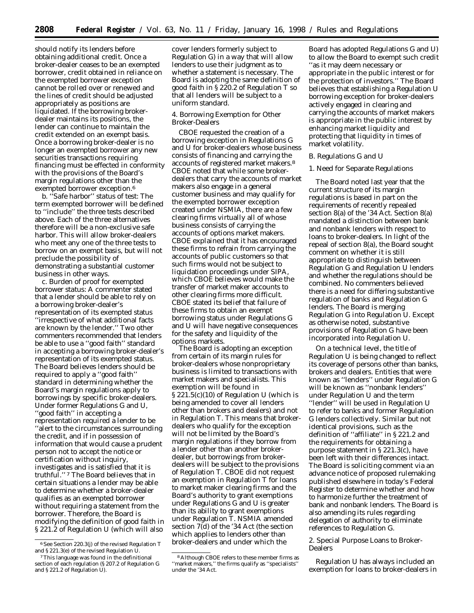should notify its lenders before obtaining additional credit. Once a broker-dealer ceases to be an exempted borrower, credit obtained in reliance on the exempted borrower exception cannot be rolled over or renewed and the lines of credit should be adjusted appropriately as positions are liquidated. If the borrowing brokerdealer maintains its positions, the lender can continue to maintain the credit extended on an exempt basis. Once a borrowing broker-dealer is no longer an exempted borrower any new securities transactions requiring financing must be effected in conformity with the provisions of the Board's margin regulations other than the exempted borrower exception.6

*b. ''Safe harbor'' status of test:* The term *exempted borrower* will be defined to ''include'' the three tests described above. Each of the three alternatives therefore will be a non-exclusive safe harbor. This will allow broker-dealers who meet any one of the three tests to borrow on an exempt basis, but will not preclude the possibility of demonstrating a substantial customer business in other ways.

*c. Burden of proof for exempted borrower status:* A commenter stated that a lender should be able to rely on a borrowing broker-dealer's representation of its exempted status ''irrespective of what additional facts are known by the lender.'' Two other commenters recommended that lenders be able to use a ''good faith'' standard in accepting a borrowing broker-dealer's representation of its exempted status. The Board believes lenders should be required to apply a ''good faith'' standard in determining whether the Board's margin regulations apply to borrowings by specific broker-dealers. Under former Regulations G and U, ''good faith'' in accepting a representation required a lender to be ''alert to the circumstances surrounding the credit, and if in possession of information that would cause a prudent person not to accept the notice or certification without inquiry, investigates and is satisfied that it is truthful.'' 7 The Board believes that in certain situations a lender may be able to determine whether a broker-dealer qualifies as an exempted borrower without requiring a statement from the borrower. Therefore, the Board is modifying the definition of *good faith* in § 221.2 of Regulation U (which will also

cover lenders formerly subject to Regulation G) in a way that will allow lenders to use their judgment as to whether a statement is necessary. The Board is adopting the same definition of *good faith* in § 220.2 of Regulation T so that all lenders will be subject to a uniform standard.

4. Borrowing Exemption for Other Broker-Dealers

CBOE requested the creation of a borrowing exception in Regulations G and U for broker-dealers whose business consists of financing and carrying the accounts of registered market makers.8 CBOE noted that while some brokerdealers that carry the accounts of market makers also engage in a general customer business and may qualify for the exempted borrower exception created under NSMIA, there are a few clearing firms virtually all of whose business consists of carrying the accounts of options market makers. CBOE explained that it has encouraged these firms to refrain from carrying the accounts of public customers so that such firms would not be subject to liquidation proceedings under SIPA, which CBOE believes would make the transfer of market maker accounts to other clearing firms more difficult. CBOE stated its belief that failure of these firms to obtain an exempt borrowing status under Regulations G and U will have negative consequences for the safety and liquidity of the options markets.

The Board is adopting an exception from certain of its margin rules for broker-dealers whose nonproprietary business is limited to transactions with market makers and specialists. This exemption will be found in § 221.5(c)(10) of Regulation U (which is being amended to cover all lenders other than brokers and dealers) and not in Regulation T. This means that brokerdealers who qualify for the exception will not be limited by the Board's margin regulations if they borrow from a lender other than another brokerdealer, but borrowings from brokerdealers will be subject to the provisions of Regulation T. CBOE did not request an exemption in Regulation T for loans to market maker clearing firms and the Board's authority to grant exemptions under Regulations G and U is greater than its ability to grant exemptions under Regulation T. NSMIA amended section 7(d) of the '34 Act (the section which applies to lenders other than broker-dealers and under which the

Board has adopted Regulations G and U) to allow the Board to exempt such credit ''as it may deem necessary or appropriate in the public interest or for the protection of investors.'' The Board believes that establishing a Regulation U borrowing exception for broker-dealers actively engaged in clearing and carrying the accounts of market makers is appropriate in the public interest by enhancing market liquidity and protecting that liquidity in times of market volatility.

### *B. Regulations G and U*

### 1. Need for Separate Regulations

The Board noted last year that the current structure of its margin regulations is based in part on the requirements of recently repealed section 8(a) of the '34 Act. Section 8(a) mandated a distinction between bank and nonbank lenders with respect to loans to broker-dealers. In light of the repeal of section 8(a), the Board sought comment on whether it is still appropriate to distinguish between Regulation G and Regulation U lenders and whether the regulations should be combined. No commenters believed there is a need for differing substantive regulation of banks and Regulation G lenders. The Board is merging Regulation G into Regulation U. Except as otherwise noted, substantive provisions of Regulation G have been incorporated into Regulation U.

On a technical level, the title of Regulation U is being changed to reflect its coverage of persons other than banks, brokers and dealers. Entities that were known as ''lenders'' under Regulation G will be known as ''nonbank lenders'' under Regulation U and the term "lender" will be used in Regulation U to refer to banks and former Regulation G lenders collectively. Similar but not identical provisions, such as the definition of ''affiliate'' in § 221.2 and the requirements for obtaining a purpose statement in § 221.3(c), have been left with their differences intact. The Board is soliciting comment via an advance notice of proposed rulemaking published elsewhere in today's Federal Register to determine whether and how to harmonize further the treatment of bank and nonbank lenders. The Board is also amending its rules regarding delegation of authority to eliminate references to Regulation G.

## 2. Special Purpose Loans to Broker-Dealers

Regulation U has always included an exemption for loans to broker-dealers in

<sup>6</sup>*See* Section 220.3(j) of the revised Regulation T and § 221.3(e) of the revised Regulation U.

<sup>7</sup>This language was found in the definitional section of each regulation (§ 207.2 of Regulation G and § 221.2 of Regulation U).

<sup>8</sup>Although CBOE refers to these member firms as ''market makers,'' the firms qualify as ''specialists'' under the '34 Act.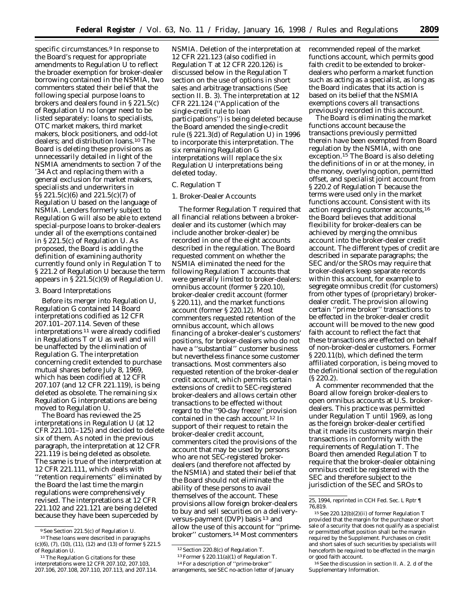specific circumstances.<sup>9</sup> In response to the Board's request for appropriate amendments to Regulation U to reflect the broader exemption for broker-dealer borrowing contained in the NSMIA, two commenters stated their belief that the following special purpose loans to brokers and dealers found in § 221.5(c) of Regulation U no longer need to be listed separately: loans to specialists, OTC market makers, third market makers, block positioners, and odd-lot dealers; and distribution loans.10 The Board is deleting these provisions as unnecessarily detailed in light of the NSMIA amendments to section 7 of the '34 Act and replacing them with a general exclusion for market makers, specialists and underwriters in §§ 221.5(c)(6) and 221.5(c)(7) of Regulation U based on the language of NSMIA. Lenders formerly subject to Regulation G will also be able to extend special-purpose loans to broker-dealers under all of the exemptions contained in § 221.5(c) of Regulation U. As proposed, the Board is adding the definition of *examining authority* currently found only in Regulation T to § 221.2 of Regulation U because the term appears in § 221.5(c)(9) of Regulation U.

#### 3. Board Interpretations

Before its merger into Regulation U, Regulation G contained 14 Board interpretations codified as 12 CFR 207.101–207.114. Seven of these interpretations 11 were already codified in Regulations T or U as well and will be unaffected by the elimination of Regulation G. The interpretation concerning credit extended to purchase mutual shares before July 8, 1969, which has been codified at 12 CFR 207.107 (and 12 CFR 221.119), is being deleted as obsolete. The remaining six Regulation G interpretations are being moved to Regulation U.

The Board has reviewed the 25 interpretations in Regulation U (at 12 CFR 221.101–125) and decided to delete six of them. As noted in the previous paragraph, the interpretation at 12 CFR 221.119 is being deleted as obsolete. The same is true of the interpretation at 12 CFR 221.111, which deals with ''retention requirements'' eliminated by the Board the last time the margin regulations were comprehensively revised. The interpretations at 12 CFR 221.102 and 221.121 are being deleted because they have been superceded by

NSMIA. Deletion of the interpretation at 12 CFR 221.123 (also codified in Regulation T at 12 CFR 220.126) is discussed below in the Regulation T section on the use of options in short sales and arbitrage transactions (*See* section II. B. 3). The interpretation at 12 CFR 221.124 (''Application of the single-credit rule to loan participations'') is being deleted because the Board amended the single-credit rule (§ 221.3(d) of Regulation U) in 1996 to incorporate this interpretation. The six remaining Regulation G interpretations will replace the six Regulation U interpretations being deleted today.

### *C. Regulation T*

## 1. Broker-Dealer Accounts

The former Regulation T required that all financial relations between a brokerdealer and its customer (which may include another broker-dealer) be recorded in one of the eight accounts described in the regulation. The Board requested comment on whether the NSMIA eliminated the need for the following Regulation T accounts that were generally limited to broker-dealers: omnibus account (former § 220.10), broker-dealer credit account (former § 220.11), and the market functions account (former § 220.12). Most commenters requested retention of the omnibus account, which allows financing of a broker-dealer's customers' positions, for broker-dealers who do not have a ''substantial'' customer business but nevertheless finance some customer transactions. Most commenters also requested retention of the broker-dealer credit account, which permits certain extensions of credit to SEC-registered broker-dealers and allows certain other transactions to be effected without regard to the ''90-day freeze'' provision contained in the cash account.12 In support of their request to retain the broker-dealer credit account, commenters cited the provisions of the account that may be used by persons who are not SEC-registered brokerdealers (and therefore not affected by the NSMIA) and stated their belief that the Board should not eliminate the ability of these persons to avail themselves of the account. These provisions allow foreign broker-dealers to buy and sell securities on a deliveryversus-payment (DVP) basis 13 and allow the use of this account for ''primebroker'' customers.14 Most commenters

recommended repeal of the market functions account, which permits good faith credit to be extended to brokerdealers who perform a market function such as acting as a specialist, as long as the Board indicates that its action is based on its belief that the NSMIA exemptions covers all transactions previously recorded in this account.

The Board is eliminating the market functions account because the transactions previously permitted therein have been exempted from Board regulation by the NSMIA, with one exception.15 The Board is also deleting the definitions of *in or at the money, in the money, overlying option, permitted offset*, and *specialist joint account* from § 220.2 of Regulation T because the terms were used only in the market functions account. Consistent with its action regarding customer accounts,16 the Board believes that additional flexibility for broker-dealers can be achieved by merging the omnibus account into the broker-dealer credit account. The different types of credit are described in separate paragraphs; the SEC and/or the SROs may require that broker-dealers keep separate records within this account, for example to segregate omnibus credit (for customers) from other types of (proprietary) brokerdealer credit. The provision allowing certain ''prime broker'' transactions to be effected in the broker-dealer credit account will be moved to the new good faith account to reflect the fact that these transactions are effected on behalf of non-broker-dealer customers. Former § 220.11(b), which defined the term *affiliated corporation*, is being moved to the definitional section of the regulation (§ 220.2).

A commenter recommended that the Board allow foreign broker-dealers to open omnibus accounts at U.S. brokerdealers. This practice was permitted under Regulation T until 1969, as long as the foreign broker-dealer certified that it made its customers margin their transactions in conformity with the requirements of Regulation T. The Board then amended Regulation T to require that the broker-dealer obtaining omnibus credit be registered with the SEC and therefore subject to the jurisdiction of the SEC and SROs to

<sup>9</sup>*See* Section 221.5(c) of Regulation U.

<sup>10</sup>These loans were described in paragraphs (c)(6), (7), (10), (11), (12) and (13) of former § 221.5 of Regulation U.

<sup>&</sup>lt;sup>11</sup>The Regulation G citations for these interpretations were 12 CFR 207.102, 207.103, 207.106, 207.108, 207.110, 207.113, and 207.114.

<sup>12</sup>Section 220.8(c) of Regulation T.

<sup>13</sup>Former § 220.11(a)(1) of Regulation T. 14For a description of ''prime-broker''

arrangements, see SEC no-action letter of January

<sup>25, 1994,</sup> reprinted in *CCH Fed. Sec. L Rptr* ¶ 76,819.

<sup>15</sup>See 220.12(b)(2)(ii) of former Regulation T provided that the margin for the purchase or short sale of a security that does not qualify as a specialist or permitted offset position shall be the margin required by the Supplement. Purchases on credit and short sales of such securities by specialists will henceforth be required to be effected in the margin or good faith account.

<sup>16</sup>See the discussion in section II. A. 2. d of the Supplementary Information.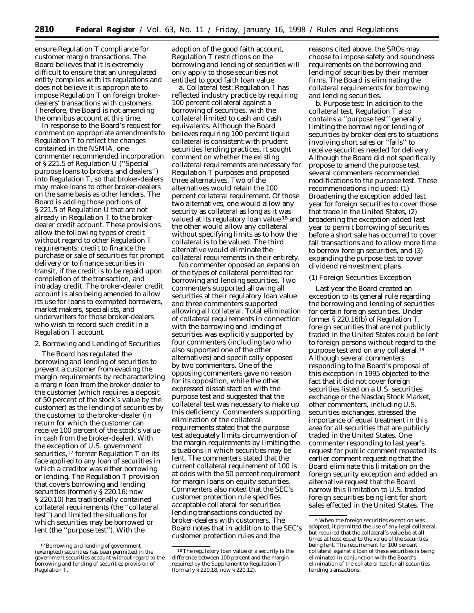ensure Regulation T compliance for customer margin transactions. The Board believes that it is extremely difficult to ensure that an unregulated entity complies with its regulations and does not believe it is appropriate to impose Regulation T on foreign brokerdealers' transactions with customers. Therefore, the Board is not amending the omnibus account at this time.

In response to the Board's request for comment on appropriate amendments to Regulation T to reflect the changes contained in the NSMIA, one commenter recommended incorporation of § 221.5 of Regulation U (''Special purpose loans to brokers and dealers'') into Regulation T, so that broker-dealers may make loans to other broker-dealers on the same basis as other lenders. The Board is adding those portions of § 221.5 of Regulation U that are not already in Regulation T to the brokerdealer credit account. These provisions allow the following types of credit without regard to other Regulation T requirements: credit to finance the purchase or sale of securities for prompt delivery or to finance securities in transit, if the credit is to be repaid upon completion of the transaction, and intraday credit. The broker-dealer credit account is also being amended to allow its use for loans to exempted borrowers, market makers, specialists, and underwriters for those broker-dealers who wish to record such credit in a Regulation T account.

#### 2. Borrowing and Lending of Securities

The Board has regulated the borrowing and lending of securities to prevent a customer from evading the margin requirements by recharacterizing a margin loan from the broker-dealer to the customer (which requires a deposit of 50 percent of the stock's value by the customer) as the lending of securities by the customer to the broker-dealer (in return for which the customer can receive 100 percent of the stock's value in cash from the broker-dealer). With the exception of U.S. government securities,<sup>17</sup> former Regulation T on its face applied to any loan of securities in which a creditor was either borrowing or lending. The Regulation T provision that covers borrowing and lending securities (formerly § 220.16; now § 220.10) has traditionally contained collateral requirements (the ''collateral test'') and limited the situations for which securities may be borrowed or lent (the ''purpose test''). With the

adoption of the good faith account, Regulation T restrictions on the borrowing and lending of securities will only apply to those securities not entitled to good faith loan value.

*a. Collateral test:* Regulation T has reflected industry practice by requiring 100 percent collateral against a borrowing of securities, with the collateral limited to cash and cash equivalents. Although the Board believes requiring 100 percent liquid collateral is consistent with prudent securities lending practices, it sought comment on whether the existing collateral requirements are necessary for Regulation T purposes and proposed three alternatives. Two of the alternatives would retain the 100 percent collateral requirement. Of those two alternatives, one would allow any security as collateral as long as it was valued at its regulatory loan value 18 and the other would allow any collateral without specifying limits as to how the collateral is to be valued. The third alternative would eliminate the collateral requirements in their entirety.

No commenter opposed an expansion of the types of collateral permitted for borrowing and lending securities. Two commenters supported allowing all securities at their regulatory loan value and three commenters supported allowing all collateral. Total elimination of collateral requirements in connection with the borrowing and lending of securities was explicitly supported by four commenters (including two who also supported one of the other alternatives) and specifically opposed by two commenters. One of the opposing commenters gave no reason for its opposition, while the other expressed dissatisfaction with the purpose test and suggested that the collateral test was necessary to make up this deficiency. Commenters supporting elimination of the collateral requirements stated that the purpose test adequately limits circumvention of the margin requirements by limiting the situations in which securities may be lent. The commenters stated that the current collateral requirement of 100 is at odds with the 50 percent requirement for margin loans on equity securities. Commenters also noted that the SEC's customer protection rule specifies acceptable collateral for securities lending transactions conducted by broker-dealers with customers. The Board notes that in addition to the SEC's customer protection rules and the

reasons cited above, the SROs may choose to impose safety and soundness requirements on the borrowing and lending of securities by their member firms. The Board is eliminating the collateral requirements for borrowing and lending securities.

*b. Purpose test:* In addition to the collateral test, Regulation T also contains a ''purpose test'' generally limiting the borrowing or lending of securities by broker-dealers to situations involving short sales or ''fails'' to receive securities needed for delivery. Although the Board did not specifically propose to amend the purpose test, several commenters recommended modifications to the purpose test. These recommendations included: (1) Broadening the exception added last year for foreign securities to cover those that trade in the United States, (2) broadening the exception added last year to permit borrowing of securities before a short sale has occurred to cover fail transactions and to allow more time to borrow foreign securities, and (3) expanding the purpose test to cover dividend reinvestment plans.

### (1) Foreign Securities Exception

Last year the Board created an exception to its general rule regarding the borrowing and lending of securities for certain foreign securities. Under former § 220.16(b) of Regulation T, foreign securities that are not publicly traded in the United States could be lent to foreign persons without regard to the purpose test and on any collateral.19 Although several commenters responding to the Board's proposal of this exception in 1995 objected to the fact that it did not cover foreign securities listed on a U.S. securities exchange or the Nasdaq Stock Market, other commenters, including U.S. securities exchanges, stressed the importance of equal treatment in this area for all securities that are publicly traded in the United States. One commenter responding to last year's request for public comment repeated its earlier comment requesting that the Board eliminate this limitation on the foreign security exception and added an alternative request that the Board narrow this limitation to U.S. traded foreign securities being lent for short sales effected in the United States. The

<sup>17</sup>Borrowing and lending of government (exempted) securities has been permitted in the government securities account without regard to the borrowing and lending of securities provision of Regulation T.

<sup>18</sup>The regulatory loan value of a security is the difference between 100 percent and the margin required by the Supplement to Regulation T (formerly § 220.18, now § 220.12).

<sup>19</sup>When the foreign securities exception was adopted, it permitted the use of any legal collateral, but required that the collateral's value be at all times at least equal to the value of the securities being lent. The requirement for 100 percent collateral against a loan of these securities is being eliminated in conjunction with the Board's elimination of the collateral test for all securities lending transactions.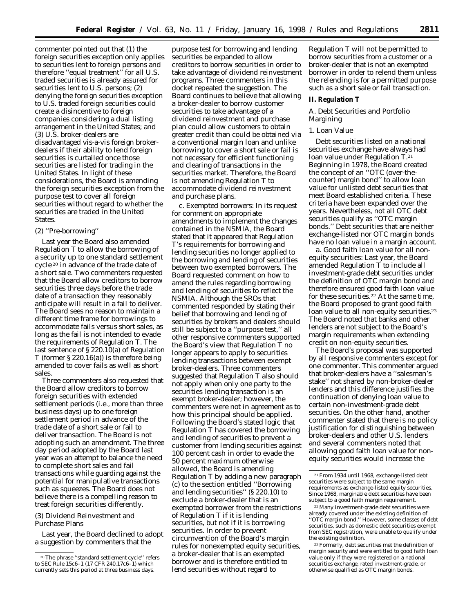commenter pointed out that (1) the foreign securities exception only applies to securities lent to foreign persons and therefore ''equal treatment'' for all U.S. traded securities is already assured for securities lent to U.S. persons; (2) denying the foreign securities exception to U.S. traded foreign securities could create a disincentive to foreign companies considering a dual listing arrangement in the United States; and (3) U.S. broker-dealers are disadvantaged vis-a-vis foreign brokerdealers if their ability to lend foreign securities is curtailed once those securities are listed for trading in the United States. In light of these considerations, the Board is amending the foreign securities exception from the purpose test to cover all foreign securities without regard to whether the securities are traded in the United States.

## (2) ''Pre-borrowing''

Last year the Board also amended Regulation T to allow the borrowing of a security up to one standard settlement cycle 20 in advance of the trade date of a short sale. Two commenters requested that the Board allow creditors to borrow securities three days before the trade date of a transaction they reasonably anticipate will result in a fail to deliver. The Board sees no reason to maintain a different time frame for borrowings to accommodate fails versus short sales, as long as the fail is not intended to evade the requirements of Regulation T. The last sentence of § 220.10(a) of Regulation T (former § 220.16(a)) is therefore being amended to cover fails as well as short sales.

Three commenters also requested that the Board allow creditors to borrow foreign securities with extended settlement periods (i.e., more than three business days) up to one foreign settlement period in advance of the trade date of a short sale or fail to deliver transaction. The Board is not adopting such an amendment. The three day period adopted by the Board last year was an attempt to balance the need to complete short sales and fail transactions while guarding against the potential for manipulative transactions such as squeezes. The Board does not believe there is a compelling reason to treat foreign securities differently.

## (3) Dividend Reinvestment and Purchase Plans

Last year, the Board declined to adopt a suggestion by commenters that the

purpose test for borrowing and lending securities be expanded to allow creditors to borrow securities in order to take advantage of dividend reinvestment programs. Three commenters in this docket repeated the suggestion. The Board continues to believe that allowing a broker-dealer to borrow customer securities to take advantage of a dividend reinvestment and purchase plan could allow customers to obtain greater credit than could be obtained via a conventional margin loan and unlike borrowing to cover a short sale or fail is not necessary for efficient functioning and clearing of transactions in the securities market. Therefore, the Board is not amending Regulation T to accommodate dividend reinvestment and purchase plans.

*c. Exempted borrowers:* In its request for comment on appropriate amendments to implement the changes contained in the NSMIA, the Board stated that it appeared that Regulation T's requirements for borrowing and lending securities no longer applied to the borrowing and lending of securities between two exempted borrowers. The Board requested comment on how to amend the rules regarding borrowing and lending of securities to reflect the NSMIA. Although the SROs that commented responded by stating their belief that borrowing and lending of securities by brokers and dealers should still be subject to a ''purpose test,'' all other responsive commenters supported the Board's view that Regulation T no longer appears to apply to securities lending transactions between exempt broker-dealers. Three commenters suggested that Regulation T also should not apply when only one party to the securities lending transaction is an exempt broker-dealer; however, the commenters were not in agreement as to how this principal should be applied. Following the Board's stated logic that Regulation T has covered the borrowing and lending of securities to prevent a customer from lending securities against 100 percent cash in order to evade the 50 percent maximum otherwise allowed, the Board is amending Regulation T by adding a new paragraph (c) to the section entitled ''Borrowing and lending securities'' (§ 220.10) to exclude a broker-dealer that is an exempted borrower from the restrictions of Regulation T if it is lending securities, but not if it is borrowing securities. In order to prevent circumvention of the Board's margin rules for nonexempted equity securities, a broker-dealer that is an exempted borrower and is therefore entitled to lend securities without regard to

Regulation T will not be permitted to borrow securities from a customer or a broker-dealer that is not an exempted borrower in order to relend them unless the relending is for a permitted purpose such as a short sale or fail transaction.

## **II. Regulation T**

## *A. Debt Securities and Portfolio Margining*

## 1. Loan Value

Debt securities listed on a national securities exchange have always had loan value under Regulation T.21 Beginning in 1978, the Board created the concept of an ''OTC (over-thecounter) margin bond'' to allow loan value for unlisted debt securities that meet Board established criteria. These criteria have been expanded over the years. Nevertheless, not all OTC debt securities qualify as ''OTC margin bonds.'' Debt securities that are neither exchange-listed nor OTC margin bonds have no loan value in a margin account.

*a. Good faith loan value for all nonequity securities:* Last year, the Board amended Regulation T to include all investment-grade debt securities under the definition of *OTC margin bond* and therefore ensured good faith loan value for these securities.22 At the same time, the Board proposed to grant good faith loan value to all non-equity securities.<sup>23</sup> The Board noted that banks and other lenders are not subject to the Board's margin requirements when extending credit on non-equity securities.

The Board's proposal was supported by all responsive commenters except for one commenter. This commenter argued that broker-dealers have a ''salesman's stake'' not shared by non-broker-dealer lenders and this difference justifies the continuation of denying loan value to certain non-investment-grade debt securities. On the other hand, another commenter stated that there is no policy justification for distinguishing between broker-dealers and other U.S. lenders and several commenters noted that allowing good faith loan value for nonequity securities would increase the

<sup>20</sup>The phrase ''standard settlement cycle'' refers to SEC Rule 15c6–1 (17 CFR 240.17c6–1) which currently sets this period at three business days.

<sup>21</sup>From 1934 until 1968, exchange-listed debt securities were subject to the same margin requirements as exchange-listed equity securities. Since 1968, marginable debt securities have been subject to a *good faith margin* requirement.

<sup>22</sup>Many investment-grade debt securities were already covered under the existing definition of ''OTC margin bond.'' However, some classes of debt securities, such as domestic debt securities exempt from SEC registration, were unable to qualify under the existing definition.

<sup>23</sup>Formerly, debt securities met the definition of *margin security* and were entitled to good faith loan value only if they were registered on a national securities exchange, rated investment-grade, or otherwise qualified as *OTC margin bonds.*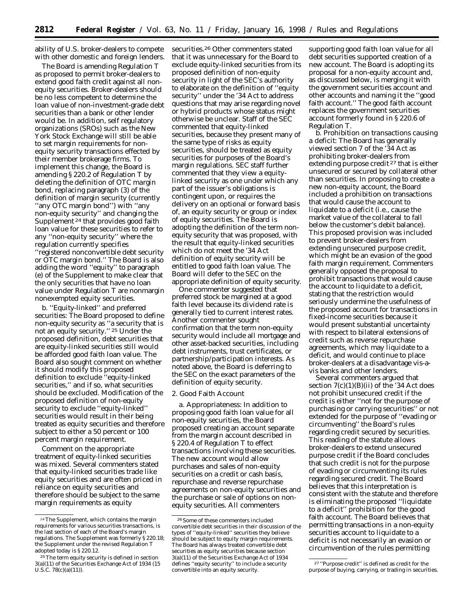ability of U.S. broker-dealers to compete with other domestic and foreign lenders.

The Board is amending Regulation T as proposed to permit broker-dealers to extend good faith credit against all nonequity securities. Broker-dealers should be no less competent to determine the loan value of non-investment-grade debt securities than a bank or other lender would be. In addition, self regulatory organizations (SROs) such as the New York Stock Exchange will still be able to set margin requirements for nonequity security transactions effected by their member brokerage firms. To implement this change, the Board is amending § 220.2 of Regulation T by deleting the definition of *OTC margin bond,* replacing paragraph (3) of the definition of *margin security* (currently ''any OTC margin bond'') with ''any non-equity security'' and changing the Supplement <sup>24</sup> that provides good faith loan value for these securities to refer to any ''non-equity security'' where the regulation currently specifies ''registered nonconvertible debt security or OTC margin bond.'' The Board is also adding the word ''equity'' to paragraph (e) of the Supplement to make clear that the only securities that have no loan value under Regulation T are nonmargin nonexempted equity securities.

*b. ''Equity-linked'' and preferred securities:* The Board proposed to define *non-equity security* as ''a security that is not an equity security.'' 25 Under the proposed definition, debt securities that are equity-linked securities still would be afforded good faith loan value. The Board also sought comment on whether it should modify this proposed definition to exclude ''equity-linked securities,'' and if so, what securities should be excluded. Modification of the proposed definition of *non-equity security* to exclude ''equity-linked'' securities would result in their being treated as equity securities and therefore subject to either a 50 percent or 100 percent margin requirement.

Comment on the appropriate treatment of equity-linked securities was mixed. Several commenters stated that equity-linked securities trade like equity securities and are often priced in reliance on equity securities and therefore should be subject to the same margin requirements as equity

securities.26 Other commenters stated that it was unnecessary for the Board to exclude equity-linked securities from its proposed definition of *non-equity security* in light of the SEC's authority to elaborate on the definition of ''equity security'' under the '34 Act to address questions that may arise regarding novel or hybrid products whose status might otherwise be unclear. Staff of the SEC commented that equity-linked securities, because they present many of the same type of risks as equity securities, should be treated as equity securities for purposes of the Board's margin regulations. SEC staff further commented that they view a equitylinked security as one under which any part of the issuer's obligations is contingent upon, or requires the delivery on an optional or forward basis of, an equity security or group or index of equity securities. The Board is adopting the definition of the term *nonequity security* that was proposed, with the result that equity-linked securities which do not meet the '34 Act definition of *equity security* will be entitled to good faith loan value. The Board will defer to the SEC on the appropriate definition of *equity security*.

One commenter suggested that preferred stock be margined at a good faith level because its dividend rate is generally tied to current interest rates. Another commenter sought confirmation that the term *non-equity security* would include all mortgage and other asset-backed securities, including debt instruments, trust certificates, or partnership/participation interests. As noted above, the Board is deferring to the SEC on the exact parameters of the definition of *equity security*.

### 2. Good Faith Account

*a. Appropriateness:* In addition to proposing good faith loan value for all non-equity securities, the Board proposed creating an account separate from the margin account described in § 220.4 of Regulation T to effect transactions involving these securities. The new account would allow purchases and sales of non-equity securities on a credit or cash basis, repurchase and reverse repurchase agreements on non-equity securities and the purchase or sale of options on nonequity securities. All commenters

supporting good faith loan value for all debt securities supported creation of a new account. The Board is adopting its proposal for a non-equity account and, as discussed below, is merging it with the government securities account and other accounts and naming it the ''good faith account.'' The good faith account replaces the government securities account formerly found in § 220.6 of Regulation T.

*b. Prohibition on transactions causing a deficit:* The Board has generally viewed section 7 of the '34 Act as prohibiting broker-dealers from extending purpose credit 27 that is either unsecured or secured by collateral other than securities. In proposing to create a new non-equity account, the Board included a prohibition on transactions that would cause the account to liquidate to a deficit (i.e., cause the market value of the collateral to fall below the customer's debit balance). This proposed provision was included to prevent broker-dealers from extending unsecured purpose credit, which might be an evasion of the good faith margin requirement. Commenters generally opposed the proposal to prohibit transactions that would cause the account to liquidate to a deficit, stating that the restriction would seriously undermine the usefulness of the proposed account for transactions in fixed-income securities because it would present substantial uncertainty with respect to bilateral extensions of credit such as reverse repurchase agreements, which may liquidate to a deficit, and would continue to place broker-dealers at a disadvantage vis-avis banks and other lenders.

Several commenters argued that section  $7(c)(1)(B)(ii)$  of the '34 Act does not prohibit unsecured credit if the credit is either ''not for the purpose of purchasing or carrying securities'' or not extended for the purpose of ''evading or circumventing'' the Board's rules regarding credit secured by securities. This reading of the statute allows broker-dealers to extend unsecured purpose credit if the Board concludes that such credit is not for the purpose of evading or circumventing its rules regarding secured credit. The Board believes that this interpretation is consistent with the statute and therefore is eliminating the proposed ''liquidate to a deficit'' prohibition for the good faith account. The Board believes that permitting transactions in a non-equity securities account to liquidate to a deficit is not necessarily an evasion or circumvention of the rules permitting

 $\mbox{{}^{24}\rm The}$  Supplement, which contains the margin requirements for various securities transactions, is the last section of each of the Board's margin regulations. The Supplement was formerly § 220.18; the Supplement under the revised Regulation T adopted today is § 220.12.

<sup>25</sup>The term *equity security* is defined in section 3(a)(11) of the Securities Exchange Act of 1934 (15 U.S.C. 78(c)(a)(11)).

<sup>26</sup>Some of these commenters included convertible debt securities in their discussion of the types of ''equity-linked'' securities they believe should be subject to equity margin requirements. The Board has always treated convertible debt securities as equity securities because section 3(a)(11) of the Securities Exchange Act of 1934 defines ''equity security'' to include a security convertible into an equity security.

<sup>27</sup> ''Purpose credit'' is defined as credit for the purpose of buying, carrying, or trading in securities.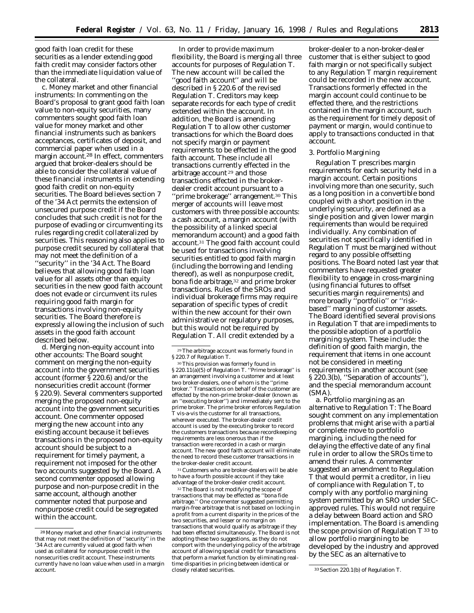good faith loan credit for these securities as a lender extending good faith credit may consider factors other than the immediate liquidation value of the collateral.

*c. Money market and other financial instruments:* In commenting on the Board's proposal to grant good faith loan value to non-equity securities, many commenters sought good faith loan value for money market and other financial instruments such as bankers acceptances, certificates of deposit, and commercial paper when used in a margin account.28 In effect, commenters argued that broker-dealers should be able to consider the collateral value of these financial instruments in extending good faith credit on non-equity securities. The Board believes section 7 of the '34 Act permits the extension of unsecured purpose credit if the Board concludes that such credit is not for the purpose of evading or circumventing its rules regarding credit collateralized by securities. This reasoning also applies to purpose credit secured by collateral that may not meet the definition of a ''security'' in the '34 Act. The Board believes that allowing good faith loan value for all assets other than equity securities in the new good faith account does not evade or circumvent its rules requiring good faith margin for transactions involving non-equity securities. The Board therefore is expressly allowing the inclusion of such assets in the good faith account described below.

*d. Merging non-equity account into other accounts:* The Board sought comment on merging the non-equity account into the government securities account (former § 220.6) and/or the nonsecurities credit account (former § 220.9). Several commenters supported merging the proposed non-equity account into the government securities account. One commenter opposed merging the new account into any existing account because it believes transactions in the proposed non-equity account should be subject to a requirement for timely payment, a requirement not imposed for the other two accounts suggested by the Board. A second commenter opposed allowing purpose and non-purpose credit in the same account, although another commenter noted that purpose and nonpurpose credit could be segregated within the account.

In order to provide maximum flexibility, the Board is merging all three accounts for purposes of Regulation T. The new account will be called the ''good faith account'' and will be described in § 220.6 of the revised Regulation T. Creditors may keep separate records for each type of credit extended within the account. In addition, the Board is amending Regulation T to allow other customer transactions for which the Board does not specify margin or payment requirements to be effected in the good faith account. These include all transactions currently effected in the arbitrage account 29 and those transactions effected in the brokerdealer credit account pursuant to a 'prime brokerage'' arrangement.<sup>30</sup> This merger of accounts will leave most customers with three possible accounts: a cash account, a margin account (with the possibility of a linked special memorandum account) and a good faith account.31 The good faith account could be used for transactions involving securities entitled to good faith margin (including the borrowing and lending thereof), as well as nonpurpose credit, bona fide arbitrage,<sup>32</sup> and prime broker transactions. Rules of the SROs and individual brokerage firms may require separation of specific types of credit within the new account for their own administrative or regulatory purposes, but this would not be required by Regulation T. All credit extended by a

31Customers who are broker-dealers will be able to have a fourth possible account if they take advantage of the broker-dealer credit account.

32The Board is not modifying the scope of transactions that may be effected as ''bona fide arbitrage.'' One commenter suggested permitting margin-free arbitrage that is not based on locking in a profit from a current disparity in the prices of the two securities, and lesser or no margin on transactions that would qualify as arbitrage if they had been effected simultaneously. The Board is not adopting these two suggestions, as they do not comport with the underlying policy of the arbitrage account of allowing special credit for transactions that perform a market function by eliminating realtime disparities in pricing between identical or

broker-dealer to a non-broker-dealer customer that is either subject to good faith margin or not specifically subject to any Regulation T margin requirement could be recorded in the new account. Transactions formerly effected in the margin account could continue to be effected there, and the restrictions contained in the margin account, such as the requirement for timely deposit of payment or margin, would continue to apply to transactions conducted in that account.

### 3. Portfolio Margining

Regulation T prescribes margin requirements for each security held in a margin account. Certain positions involving more than one security, such as a long position in a convertible bond coupled with a short position in the underlying security, are defined as a single position and given lower margin requirements than would be required individually. Any combination of securities not specifically identified in Regulation T must be margined without regard to any possible offsetting positions. The Board noted last year that commenters have requested greater flexibility to engage in cross-margining (using financial futures to offset securities margin requirements) and more broadly "portfolio" or "riskbased'' margining of customer assets. The Board identified several provisions in Regulation T that are impediments to the possible adoption of a portfolio margining system. These include: the definition of *good faith margin,* the requirement that items in one account not be considered in meeting requirements in another account (see § 220.3(b), ''Separation of accounts''), and the special memorandum account (SMA).

*a. Portfolio margining as an alternative to Regulation T:* The Board sought comment on any implementation problems that might arise with a partial or complete move to portfolio margining, including the need for delaying the effective date of any final rule in order to allow the SROs time to amend their rules. A commenter suggested an amendment to Regulation T that would permit a creditor, in lieu of compliance with Regulation T, to comply with any portfolio margining system permitted by an SRO under SECapproved rules. This would not require a delay between Board action and SRO implementation. The Board is amending the scope provision of Regulation  $T^{33}$  to allow portfolio margining to be developed by the industry and approved by the SEC as an alternative to

<sup>28</sup>Money market and other financial instruments that may not meet the definition of ''security'' in the '34 Act are currently valued at good faith when used as collateral for nonpurpose credit in the nonsecurities credit account. These instruments currently have no loan value when used in a margin account.

<sup>29</sup>The arbitrage account was formerly found in § 220.7 of Regulation T.

<sup>30</sup>This provision was formerly found in § 220.11(a)(5) of Regulation T. ''Prime brokerage'' is an arrangement involving a customer and at least two broker-dealers, one of whom is the ''prime broker.'' Transactions on behalf of the customer are effected by the non-prime broker-dealer (known as an ''executing broker'') and immediately sent to the prime broker. The prime broker enforces Regulation T vis-a-vis the customer for all transactions, wherever executed. The broker-dealer credit account is used by the executing broker to record the customers transactions because recordkeeping requirements are less onerous than if the transaction were recorded in a cash or margin account. The new good faith account will eliminate the need to record these customer transactions in the broker-dealer credit account.

<sup>33</sup> Section 220.1(b) of Regulation T.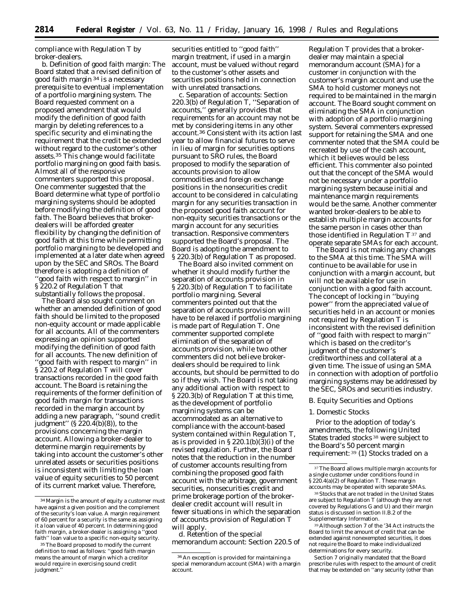compliance with Regulation T by broker-dealers.

*b. Definition of good faith margin:* The Board stated that a revised definition of *good faith margin* 34 is a necessary prerequisite to eventual implementation of a portfolio margining system. The Board requested comment on a proposed amendment that would modify the definition of *good faith margin* by deleting references to a specific security and eliminating the requirement that the credit be extended without regard to the customer's other assets.35 This change would facilitate portfolio margining on good faith basis. Almost all of the responsive commenters supported this proposal. One commenter suggested that the Board determine what type of portfolio margining systems should be adopted before modifying the definition of good faith. The Board believes that brokerdealers will be afforded greater flexibility by changing the definition of good faith at this time while permitting portfolio margining to be developed and implemented at a later date when agreed upon by the SEC and SROs. The Board therefore is adopting a definition of ''*good faith* with respect to margin'' in § 220.2 of Regulation T that substantially follows the proposal.

The Board also sought comment on whether an amended definition of good faith should be limited to the proposed non-equity account or made applicable for all accounts. All of the commenters expressing an opinion supported modifying the definition of good faith for all accounts. The new definition of ''*good faith* with respect to margin'' in § 220.2 of Regulation T will cover transactions recorded in the good faith account. The Board is retaining the requirements of the former definition of *good faith margin* for transactions recorded in the margin account by adding a new paragraph, ''sound credit judgment"  $(\frac{220.4(b)}{(8)})$ , to the provisions concerning the margin account. Allowing a broker-dealer to determine margin requirements by taking into account the customer's other unrelated assets or securities positions is inconsistent with limiting the loan value of equity securities to 50 percent of its current market value. Therefore,

securities entitled to ''good faith'' margin treatment, if used in a margin account, must be valued without regard to the customer's other assets and securities positions held in connection with unrelated transactions.

*c. Separation of accounts:* Section 220.3(b) of Regulation T, ''Separation of accounts,'' generally provides that requirements for an account may not be met by considering items in any other account.36 Consistent with its action last year to allow financial futures to serve in lieu of margin for securities options pursuant to SRO rules, the Board proposed to modify the separation of accounts provision to allow commodities and foreign exchange positions in the nonsecurities credit account to be considered in calculating margin for any securities transaction in the proposed good faith account for non-equity securities transactions or the margin account for any securities transaction. Responsive commenters supported the Board's proposal. The Board is adopting the amendment to § 220.3(b) of Regulation T as proposed.

The Board also invited comment on whether it should modify further the separation of accounts provision in § 220.3(b) of Regulation T to facilitate portfolio margining. Several commenters pointed out that the separation of accounts provision will have to be relaxed if portfolio margining is made part of Regulation T. One commenter supported complete elimination of the separation of accounts provision, while two other commenters did not believe brokerdealers should be required to link accounts, but should be permitted to do so if they wish. The Board is not taking any additional action with respect to § 220.3(b) of Regulation T at this time, as the development of portfolio margining systems can be accommodated as an alternative to compliance with the account-based system contained within Regulation T, as is provided in § 220.1(b)(3)(i) of the revised regulation. Further, the Board notes that the reduction in the number of customer accounts resulting from combining the proposed good faith account with the arbitrage, government securities, nonsecurities credit and prime brokerage portion of the brokerdealer credit account will result in fewer situations in which the separation of accounts provision of Regulation T will apply.

*d. Retention of the special memorandum account:* Section 220.5 of Regulation T provides that a brokerdealer may maintain a special memorandum account (SMA) for a customer in conjunction with the customer's margin account and use the SMA to hold customer moneys not required to be maintained in the margin account. The Board sought comment on eliminating the SMA in conjunction with adoption of a portfolio margining system. Several commenters expressed support for retaining the SMA and one commenter noted that the SMA could be recreated by use of the cash account, which it believes would be less efficient. This commenter also pointed out that the concept of the SMA would not be necessary under a portfolio margining system because initial and maintenance margin requirements would be the same. Another commenter wanted broker-dealers to be able to establish multiple margin accounts for the same person in cases other than those identified in Regulation  $T^{37}$  and operate separate SMAs for each account.

The Board is not making any changes to the SMA at this time. The SMA will continue to be available for use in conjunction with a margin account, but will not be available for use in conjunction with a good faith account. The concept of locking in ''buying power'' from the appreciated value of securities held in an account or monies not required by Regulation T is inconsistent with the revised definition of ''*good faith* with respect to margin'' which is based on the creditor's judgment of the customer's creditworthiness and collateral at a given time. The issue of using an SMA in connection with adoption of portfolio margining systems may be addressed by the SEC, SROs and securities industry.

### *B. Equity Securities and Options*

#### 1. Domestic Stocks

Prior to the adoption of today's amendments, the following United States traded stocks 38 were subject to the Board's 50 percent margin requirement: 39 (1) Stocks traded on a

38Stocks that are not traded in the United States are subject to Regulation T (although they are not covered by Regulations G and U) and their margin status is discussed in section II.B.2 of the Supplementary Information.

39Although section 7 of the '34 Act instructs the Board to limit the amount of credit that can be extended against nonexempted securities, it does not require the Board to make individualized determinations for every security.

Section 7 originally mandated that the Board prescribe rules with respect to the amount of credit that may be extended on ''any security (other than

<sup>34</sup>Margin is the amount of equity a customer must have against a given position and the complement of the security's loan value. A margin requirement of 60 percent for a security is the same as assigning it a loan value of 40 percent. In determining *good faith margin,* a broker-dealer is assigning a ''good faith'' loan value to a specific non-equity security.

<sup>&</sup>lt;sup>35</sup> The Board proposed to modify the current definition to read as follows: ''*good faith margin* means the amount of margin which a creditor would require in exercising sound credit judgment.

<sup>36</sup>An exception is provided for maintaining a special memorandum account (SMA) with a margin account.

<sup>37</sup>The Board allows multiple margin accounts for a single customer under conditions found in § 220.4(a)(2) of Regulation T. These margin accounts may be operated with separate SMAs.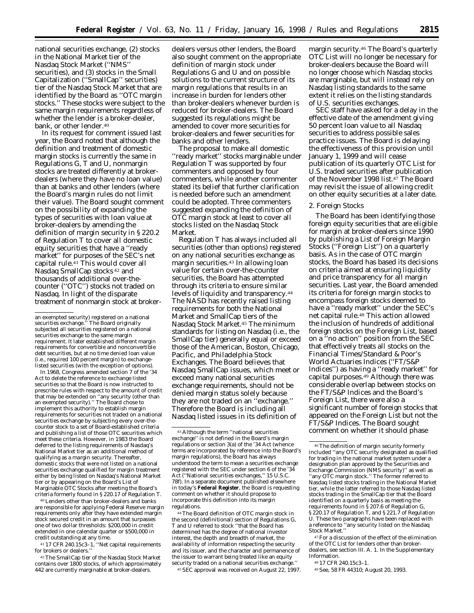national securities exchange, (2) stocks in the National Market tier of the Nasdaq Stock Market (''NMS'' securities), and (3) stocks in the Small Capitalization (''SmallCap'' securities) tier of the Nasdaq Stock Market that are identified by the Board as ''OTC margin stocks.'' These stocks were subject to the same margin requirements regardless of whether the lender is a broker-dealer, bank, or other lender.40

In its request for comment issued last year, the Board noted that although the definition and treatment of domestic margin stocks is currently the same in Regulations G, T and U, nonmargin stocks are treated differently at brokerdealers (where they have no loan value) than at banks and other lenders (where the Board's margin rules do not limit their value). The Board sought comment on the possibility of expanding the types of securities with loan value at broker-dealers by amending the definition of *margin security* in § 220.2 of Regulation T to cover all domestic equity securities that have a ''ready market'' for purposes of the SEC's net capital rule.<sup>41</sup> This would cover all Nasdaq SmallCap stocks 42 and thousands of additional over-thecounter (''OTC'') stocks not traded on Nasdaq. In light of the disparate treatment of nonmargin stock at broker-

In 1968, Congress amended section 7 of the '34 Act to delete the reference to exchange listed securities so that the Board is now instructed to prescribe rules with respect to the amount of credit that may be extended on ''any security (other than an exempted security).'' The Board chose to implement this authority to establish margin requirements for securities not traded on a national securities exchange by subjecting every over-thecounter stock to a set of Board-established criteria and publishing a list of those OTC securities which meet these criteria. However, in 1983 the Board deferred to the listing requirements of Nasdaq's National Market tier as an additional method of qualifying as a *margin security.* Thereafter, domestic stocks that were not listed on a national securities exchange qualified for margin treatment either by being listed on Nasdaq's National Market tier or by appearing on the Board's List of Marginable OTC Stocks after meeting the Board's criteria formerly found in § 220.17 of Regulation T.

40Lenders other than broker-dealers and banks are responsible for applying Federal Reserve margin requirements only after they have extended margin stock secured credit in an amount that surpasses one of two dollar thresholds: \$200,000 in credit extended in one calendar quarter or \$500,000 in credit outstanding at any time.

41 17 CFR 240.15c3–1, ''Net capital requirements for brokers or dealers.'

42The SmallCap tier of the Nasdaq Stock Market contains over 1800 stocks, of which approximately 442 are currently marginable at broker-dealers.

dealers versus other lenders, the Board also sought comment on the appropriate definition of *margin stock* under Regulations G and U and on possible solutions to the current structure of its margin regulations that results in an increase in burden for lenders other than broker-dealers whenever burden is reduced for broker-dealers. The Board suggested its regulations might be amended to cover more securities for broker-dealers and fewer securities for banks and other lenders.

The proposal to make all domestic ''ready market'' stocks marginable under Regulation T was supported by four commenters and opposed by four commenters, while another commenter stated its belief that further clarification is needed before such an amendment could be adopted. Three commenters suggested expanding the definition of *OTC margin stock* at least to cover all stocks listed on the Nasdaq Stock Market.

Regulation T has always included all securities (other than options) registered on any national securities exchange as margin securities.43 In allowing loan value for certain over-the-counter securities, the Board has attempted through its criteria to ensure similar levels of liquidity and transparency.44 The NASD has recently raised listing requirements for both the National Market and SmallCap tiers of the Nasdaq Stock Market.45 The minimum standards for listing on Nasdaq (i.e., the SmallCap tier) generally equal or exceed those of the American, Boston, Chicago, Pacific, and Philadelphia Stock Exchanges. The Board believes that Nasdaq SmallCap issues, which meet or exceed many national securities exchange requirements, should not be denied margin status solely because they are not traded on an ''exchange.'' Therefore the Board is including all Nasdaq listed issues in its definition of

44The Board definition of *OTC margin stock* in the second (definitional) section of Regulations G, T and U referred to stock ''that the Board has determined has the degree of national investor interest, the depth and breadth of market, the availability of information respecting the security and its issuer, and the character and permanence of the issuer to warrant being treated like an equity security traded on a national securities exchange.

45SEC approval was received on August 22, 1997.

margin security.46 The Board's quarterly OTC List will no longer be necessary for broker-dealers because the Board will no longer choose which Nasdaq stocks are marginable, but will instead rely on Nasdaq listing standards to the same extent it relies on the listing standards of U.S. securities exchanges.

SEC staff have asked for a delay in the effective date of the amendment giving 50 percent loan value to all Nasdaq securities to address possible sales practice issues. The Board is delaying the effectiveness of this provision until January 1, 1999 and will cease publication of its quarterly OTC List for U.S. traded securities after publication of the November 1998 list.47 The Board may revisit the issue of allowing credit on other equity securities at a later date.

#### 2. Foreign Stocks

The Board has been identifying those foreign equity securities that are eligible for margin at broker-dealers since 1990 by publishing a *List of Foreign Margin Stocks* (''Foreign List'') on a quarterly basis. As in the case of OTC margin stocks, the Board has based its decisions on criteria aimed at ensuring liquidity and price transparency for all margin securities. Last year, the Board amended its criteria for foreign margin stocks to encompass foreign stocks deemed to have a ''ready market'' under the SEC's net capital rule.48 This action allowed the inclusion of hundreds of additional foreign stocks on the Foreign List, based on a ''no action'' position from the SEC that effectively treats all stocks on the Financial Times/Standard & Poor's World Actuaries Indices (''FT/S&P Indices'') as having a ''ready market'' for capital purposes.49 Although there was considerable overlap between stocks on the FT/S&P Indices and the Board's Foreign List, there were also a significant number of foreign stocks that appeared on the Foreign List but not the FT/S&P Indices. The Board sought comment on whether it should phase

47For a discussion of the effect of the elimination of the OTC List for lenders other than brokerdealers, see section III. A. 1. In the Supplementary Information.

48 17 CFR 240.15c3–1.

49*See*, 58 *FR* 44310; August 20, 1993.

an exempted security) registered on a national securities exchange.'' The Board originally subjected all securities registered on a national securities exchange to the same margin requirement. It later established different margin requirements for convertible and nonconvertible debt securities, but at no time denied loan value (i.e., required 100 percent margin) to exchangelisted securities (with the exception of options).

<sup>43</sup>Although the term ''national securities exchange'' is not defined in the Board's margin regulations or section 3(a) of the '34 Act (whence terms are incorporated by reference into the Board's margin regulations), the Board has always understood the term to mean a securities exchange registered with the SEC under section 6 of the '34 Act (''National securities exchanges,'' 15 U.S.C. 78f). In a separate document published elsewhere in today's **Federal Register**, the Board is requesting comment on whether it should propose to incorporate this definition into its margin regulations.

<sup>46</sup>The definition of *margin security* formerly included ''any OTC security designated as qualified for trading in the national market system under a designation plan approved by the Securities and Exchange Commission (NMS security)'' as well as ''any OTC margin stock.'' The former referred to Nasdaq listed stocks trading in the National Market tier, while the latter referred to those Nasdaq listed stocks trading in the SmallCap tier that the Board identified on a quarterly basis as meeting the requirements found in § 207.6 of Regulation G, § 220.17 of Regulation T, and § 221.7 of Regulation U. These two paragraphs have been replaced with a reference to ''any security listed on the Nasdaq Stock Market.''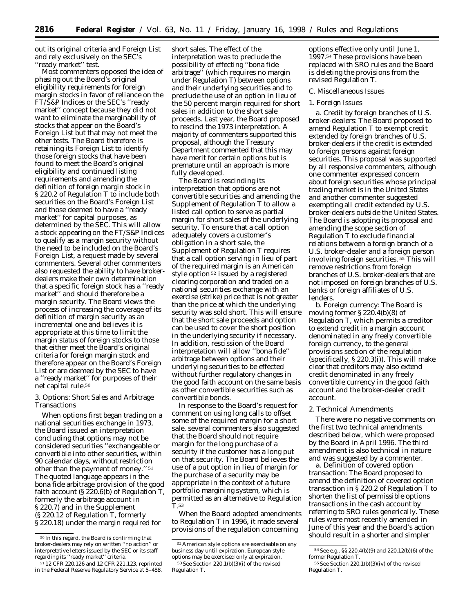out its original criteria and Foreign List and rely exclusively on the SEC's ''ready market'' test.

Most commenters opposed the idea of phasing out the Board's original eligibility requirements for foreign margin stocks in favor of reliance on the FT/S&P Indices or the SEC's ''ready market'' concept because they did not want to eliminate the marginability of stocks that appear on the Board's Foreign List but that may not meet the other tests. The Board therefore is retaining its Foreign List to identify those foreign stocks that have been found to meet the Board's original eligibility and continued listing requirements and amending the definition of *foreign margin stock* in § 220.2 of Regulation T to include both securities on the Board's Foreign List and those deemed to have a ''ready market'' for capital purposes, as determined by the SEC. This will allow a stock appearing on the FT/S&P Indices to qualify as a *margin security* without the need to be included on the Board's Foreign List, a request made by several commenters. Several other commenters also requested the ability to have brokerdealers make their own determination that a specific foreign stock has a ''ready market'' and should therefore be a margin security. The Board views the process of increasing the coverage of its definition of *margin security* as an incremental one and believes it is appropriate at this time to limit the margin status of foreign stocks to those that either meet the Board's original criteria for foreign margin stock and therefore appear on the Board's Foreign List or are deemed by the SEC to have a ''ready market'' for purposes of their net capital rule.50

3. Options: Short Sales and Arbitrage Transactions

When options first began trading on a national securities exchange in 1973, the Board issued an interpretation concluding that options may not be considered securities ''exchangeable or convertible into other securities, within 90 calendar days, without restriction other than the payment of money.'' 51 The quoted language appears in the bona fide arbitrage provision of the good faith account (§ 220.6(b) of Regulation T, formerly the arbitrage account in § 220.7) and in the Supplement (§ 220.12 of Regulation T, formerly § 220.18) under the margin required for

short sales. The effect of the interpretation was to preclude the possibility of effecting ''bona fide arbitrage'' (which requires no margin under Regulation T) between options and their underlying securities and to preclude the use of an option in lieu of the 50 percent margin required for short sales in addition to the short sale proceeds. Last year, the Board proposed to rescind the 1973 interpretation. A majority of commenters supported this proposal, although the Treasury Department commented that this may have merit for certain options but is premature until an approach is more fully developed.

The Board is rescinding its interpretation that options are not convertible securities and amending the Supplement of Regulation T to allow a listed call option to serve as partial margin for short sales of the underlying security. To ensure that a call option adequately covers a customer's obligation in a short sale, the Supplement of Regulation T requires that a call option serving in lieu of part of the required margin is an American style option 52 issued by a registered clearing corporation and traded on a national securities exchange with an exercise (strike) price that is not greater than the price at which the underlying security was sold short. This will ensure that the short sale proceeds and option can be used to cover the short position in the underlying security if necessary. In addition, rescission of the Board interpretation will allow ''bona fide'' arbitrage between options and their underlying securities to be effected without further regulatory changes in the good faith account on the same basis as other convertible securities such as convertible bonds.

In response to the Board's request for comment on using long calls to offset some of the required margin for a short sale, several commenters also suggested that the Board should not require margin for the long purchase of a security if the customer has a long put on that security. The Board believes the use of a put option in lieu of margin for the purchase of a security may be appropriate in the context of a future portfolio margining system, which is permitted as an alternative to Regulation T.53

When the Board adopted amendments to Regulation T in 1996, it made several provisions of the regulation concerning

options effective only until June 1, 1997.54 These provisions have been replaced with SRO rules and the Board is deleting the provisions from the revised Regulation T.

#### *C. Miscellaneous Issues*

### 1. Foreign Issues

*a. Credit by foreign branches of U.S. broker-dealers:* The Board proposed to amend Regulation T to exempt credit extended by foreign branches of U.S. broker-dealers if the credit is extended to foreign persons against foreign securities. This proposal was supported by all responsive commenters, although one commenter expressed concern about foreign securities whose principal trading market is in the United States and another commenter suggested exempting all credit extended by U.S. broker-dealers outside the United States. The Board is adopting its proposal and amending the scope section of Regulation T to exclude financial relations between a foreign branch of a U.S. broker-dealer and a foreign person involving foreign securities. 55 This will remove restrictions from foreign branches of U.S. broker-dealers that are not imposed on foreign branches of U.S. banks or foreign affiliates of U.S. lenders.

*b. Foreign currency:* The Board is moving former § 220.4(b)(8) of Regulation T, which permits a creditor to extend credit in a margin account denominated in any freely convertible foreign currency, to the general provisions section of the regulation (specifically, § 220.3(i)). This will make clear that creditors may also extend credit denominated in any freely convertible currency in the good faith account and the broker-dealer credit account.

#### 2. Technical Amendments

There were no negative comments on the first two technical amendments described below, which were proposed by the Board in April 1996. The third amendment is also technical in nature and was suggested by a commenter.

*a. Definition of covered option transaction:* The Board proposed to amend the definition of *covered option transaction in* § 220.2 of Regulation T to shorten the list of permissible options transactions in the cash account by referring to SRO rules generically. These rules were most recently amended in June of this year and the Board's action should result in a shorter and simpler

<sup>50</sup> In this regard, the Board is confirming that broker-dealers may rely on written ''no action'' or interpretative letters issued by the SEC or its staff regarding its ''ready market'' criteria.

<sup>51</sup> 12 CFR 220.126 and 12 CFR 221.123, reprinted in the *Federal Reserve Regulatory Service* at 5–488.

<sup>52</sup>American style options are exercisable on any business day until expiration. European style options may be exercised only at expiration. 53*See* Section 220.1(b)(3)(i) of the revised

Regulation T.

<sup>54</sup>*See* e.g., §§ 220.4(b)(9) and 220.12(b)(6) of the former Regulation T.

<sup>55</sup>*See* Section 220.1(b)(3)(iv) of the revised Regulation T.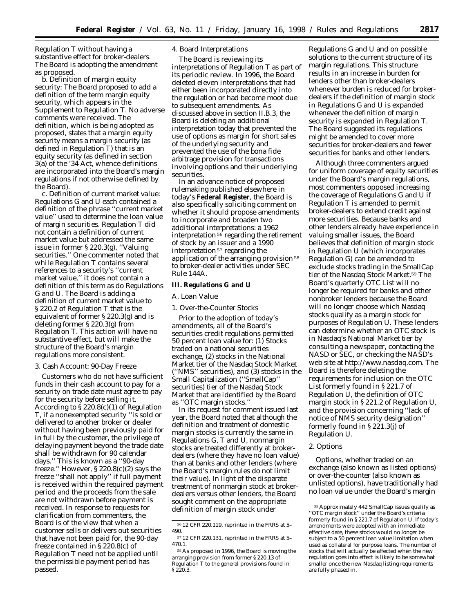Regulation T without having a substantive effect for broker-dealers. The Board is adopting the amendment as proposed.

*b. Definition of margin equity security:* The Board proposed to add a definition of the term *margin equity security,* which appears in the Supplement to Regulation T. No adverse comments were received. The definition, which is being adopted as proposed, states that a *margin equity security* means a *margin security* (as defined in Regulation T) that is an *equity security* (as defined in section 3(a) of the '34 Act, whence definitions are incorporated into the Board's margin regulations if not otherwise defined by the Board).

*c. Definition of current market value:* Regulations G and U each contained a definition of the phrase ''current market value'' used to determine the loan value of margin securities. Regulation T did not contain a definition of *current market value* but addressed the same issue in former § 220.3(g), ''Valuing securities.'' One commenter noted that while Regulation T contains several references to a security's ''current market value,'' it does not contain a definition of this term as do Regulations G and U. The Board is adding a definition of *current market value* to § 220.2 of Regulation T that is the equivalent of former § 220.3(g) and is deleting former § 220.3(g) from Regulation T. This action will have no substantive effect, but will make the structure of the Board's margin regulations more consistent.

### 3. Cash Account: 90-Day Freeze

Customers who do not have sufficient funds in their cash account to pay for a security on trade date must agree to pay for the security before selling it. According to § 220.8(c)(1) of Regulation T, if a nonexempted security ''is sold or delivered to another broker or dealer without having been previously paid for in full by the customer, the privilege of delaying payment beyond the trade date shall be withdrawn for 90 calendar days.'' This is known as a ''90-day freeze.'' However, § 220.8(c)(2) says the freeze ''shall not apply'' if full payment is received within the required payment period and the proceeds from the sale are not withdrawn before payment is received. In response to requests for clarification from commenters, the Board is of the view that when a customer sells or delivers out securities that have not been paid for, the 90-day freeze contained in § 220.8(c) of Regulation T need not be applied until the permissible payment period has passed.

# 4. Board Interpretations

The Board is reviewing its interpretations of Regulation T as part of its periodic review. In 1996, the Board deleted eleven interpretations that had either been incorporated directly into the regulation or had become moot due to subsequent amendments. As discussed above in section II.B.3, the Board is deleting an additional interpretation today that prevented the use of options as margin for short sales of the underlying security and prevented the use of the bona fide arbitrage provision for transactions involving options and their underlying securities.

In an advance notice of proposed rulemaking published elsewhere in today's **Federal Register**, the Board is also specifically soliciting comment on whether it should propose amendments to incorporate and broaden two additional interpretations: a 1962 interpretation $^{56}$  regarding the retirement of stock by an issuer and a 1990 interpretation 57 regarding the application of the arranging provision 58 to broker-dealer activities under SEC Rule 144A.

## **III. Regulations G and U**

### *A. Loan Value*

1. Over-the-Counter Stocks

Prior to the adoption of today's amendments, all of the Board's securities credit regulations permitted 50 percent loan value for: (1) Stocks traded on a national securities exchange, (2) stocks in the National Market tier of the Nasdaq Stock Market (''NMS'' securities), and (3) stocks in the Small Capitalization (''SmallCap'' securities) tier of the Nasdaq Stock Market that are identified by the Board as ''OTC margin stocks.''

In its request for comment issued last year, the Board noted that although the definition and treatment of domestic margin stocks is currently the same in Regulations G, T and U, nonmargin stocks are treated differently at brokerdealers (where they have no loan value) than at banks and other lenders (where the Board's margin rules do not limit their value). In light of the disparate treatment of nonmargin stock at brokerdealers versus other lenders, the Board sought comment on the appropriate definition of *margin stock* under

Regulations G and U and on possible solutions to the current structure of its margin regulations. This structure results in an increase in burden for lenders other than broker-dealers whenever burden is reduced for brokerdealers if the definition of *margin stock* in Regulations G and U is expanded whenever the definition of *margin security* is expanded in Regulation T. The Board suggested its regulations might be amended to cover more securities for broker-dealers and fewer securities for banks and other lenders.

Although three commenters argued for uniform coverage of equity securities under the Board's margin regulations, most commenters opposed increasing the coverage of Regulations G and U if Regulation T is amended to permit broker-dealers to extend credit against more securities. Because banks and other lenders already have experience in valuing smaller issues, the Board believes that definition of *margin stock* in Regulation U (which incorporates Regulation G) can be amended to exclude stocks trading in the SmallCap tier of the Nasdaq Stock Market.59 The Board's quarterly OTC List will no longer be required for banks and other nonbroker lenders because the Board will no longer choose which Nasdaq stocks qualify as a *margin stock* for purposes of Regulation U. These lenders can determine whether an OTC stock is in Nasdaq's National Market tier by consulting a newspaper, contacting the NASD or SEC, or checking the NASD's web site at *http://www.nasdaq.com.* The Board is therefore deleting the requirements for inclusion on the OTC List formerly found in § 221.7 of Regulation U, the definition of *OTC margin stock* in § 221.2 of Regulation U, and the provision concerning ''lack of notice of NMS security designation'' formerly found in § 221.3(j) of Regulation U.

### 2. Options

Options, whether traded on an exchange (also known as listed options) or over-the-counter (also known as unlisted options), have traditionally had no loan value under the Board's margin

<sup>56</sup> 12 CFR 220.119, reprinted in the *FRRS* at 5– 490.

<sup>57</sup> 12 CFR 220.131, reprinted in the *FRRS* at 5– 470.1.

<sup>58</sup>As proposed in 1996, the Board is moving the arranging provision from former § 220.13 of Regulation T to the general provisions found in § 220.3.

<sup>59</sup>Approximately 442 SmallCap issues qualify as ''OTC margin stock'' under the Board's criteria formerly found in § 221.7 of Regulation U. If today's amendments were adopted with an immediate effective date, these stocks would no longer be subject to a 50 percent loan value limitation when used as collateral for purpose loans. The number of stocks that will actually be affected when the new regulation goes into effect is likely to be somewhat smaller once the new Nasdaq listing requirements are fully phased in.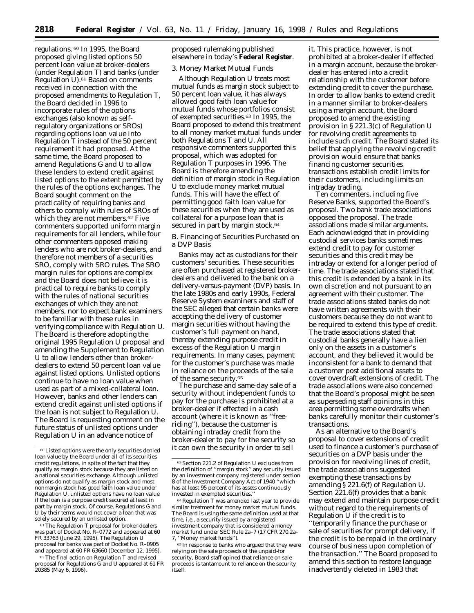regulations. 60 In 1995, the Board proposed giving listed options 50 percent loan value at broker-dealers (under Regulation T) and banks (under Regulation U).61 Based on comments received in connection with the proposed amendments to Regulation T, the Board decided in 1996 to incorporate rules of the options exchanges (also known as selfregulatory organizations or SROs) regarding options loan value into Regulation T instead of the 50 percent requirement it had proposed. At the same time, the Board proposed to amend Regulations G and U to allow these lenders to extend credit against listed options to the extent permitted by the rules of the options exchanges. The Board sought comment on the practicality of requiring banks and others to comply with rules of SROs of which they are not members.62 Five commenters supported uniform margin requirements for all lenders, while four other commenters opposed making lenders who are not broker-dealers, and therefore not members of a securities SRO, comply with SRO rules. The SRO margin rules for options are complex and the Board does not believe it is practical to require banks to comply with the rules of national securities exchanges of which they are not members, nor to expect bank examiners to be familiar with these rules in verifying compliance with Regulation U. The Board is therefore adopting the original 1995 Regulation U proposal and amending the Supplement to Regulation U to allow lenders other than brokerdealers to extend 50 percent loan value against listed options. Unlisted options continue to have no loan value when used as part of a mixed-collateral loan. However, banks and other lenders can extend credit against unlisted options if the loan is not subject to Regulation U. The Board is requesting comment on the future status of unlisted options under Regulation U in an advance notice of

 $\rm ^{61}$  The Regulation T proposal for broker-dealers was part of Docket No. R–0772 and appeared at 60 FR 33763 (June 29, 1995). The Regulation U proposal for banks was part of Docket No. R–0905 and appeared at 60 FR 63660 (December 12, 1995).

<sup>62</sup> The final action on Regulation T and revised proposal for Regulations G and U appeared at 61 FR 20385 (May 6, 1996).

proposed rulemaking published elsewhere in today's **Federal Register**.

### 3. Money Market Mutual Funds

Although Regulation U treats most mutual funds as margin stock subject to 50 percent loan value, it has always allowed good faith loan value for mutual funds whose portfolios consist of exempted securities.63 In 1995, the Board proposed to extend this treatment to all money market mutual funds under both Regulations T and U. All responsive commenters supported this proposal, which was adopted for Regulation T purposes in 1996. The Board is therefore amending the definition of *margin stock* in Regulation U to exclude money market mutual funds. This will have the effect of permitting good faith loan value for these securities when they are used as collateral for a purpose loan that is secured in part by margin stock.<sup>64</sup>

## *B. Financing of Securities Purchased on a DVP Basis*

Banks may act as custodians for their customers' securities. These securities are often purchased at registered brokerdealers and delivered to the bank on a delivery-versus-payment (DVP) basis. In the late 1980s and early 1990s, Federal Reserve System examiners and staff of the SEC alleged that certain banks were accepting the delivery of customer margin securities without having the customer's full payment on hand, thereby extending purpose credit in excess of the Regulation U margin requirements. In many cases, payment for the customer's purchase was made in reliance on the proceeds of the sale of the same security.65

The purchase and same-day sale of a security without independent funds to pay for the purchase is prohibited at a broker-dealer if effected in a cash account (where it is known as ''freeriding''), because the customer is obtaining intraday credit from the broker-dealer to pay for the security so it can own the security in order to sell

it. This practice, however, is not prohibited at a broker-dealer if effected in a margin account, because the brokerdealer has entered into a credit relationship with the customer before extending credit to cover the purchase. In order to allow banks to extend credit in a manner similar to broker-dealers using a margin account, the Board proposed to amend the existing provision in § 221.3(c) of Regulation U for revolving credit agreements to include such credit. The Board stated its belief that applying the revolving credit provision would ensure that banks financing customer securities transactions establish credit limits for their customers, including limits on intraday trading.

Ten commenters, including five Reserve Banks, supported the Board's proposal. Two bank trade associations opposed the proposal. The trade associations made similar arguments. Each acknowledged that in providing custodial services banks sometimes extend credit to pay for customer securities and this credit may be intraday or extend for a longer period of time. The trade associations stated that this credit is extended by a bank in its own discretion and not pursuant to an agreement with their customer. The trade associations stated banks do not have written agreements with their customers because they do not want to be required to extend this type of credit. The trade associations stated that custodial banks generally have a lien only on the assets in a customer's account, and they believed it would be inconsistent for a bank to demand that a customer post additional assets to cover overdraft extensions of credit. The trade associations were also concerned that the Board's proposal might be seen as superseding staff opinions in this area permitting some overdrafts when banks carefully monitor their customer's transactions.

As an alternative to the Board's proposal to cover extensions of credit used to finance a customer's purchase of securities on a DVP basis under the provision for revolving lines of credit, the trade associations suggested exempting these transactions by amending § 221.6(f) of Regulation U. Section 221.6(f) provides that a bank may extend and maintain purpose credit without regard to the requirements of Regulation U if the credit is to ''temporarily finance the purchase or sale of securities for prompt delivery, if the credit is to be repaid in the ordinary course of business upon completion of the transaction.'' The Board proposed to amend this section to restore language inadvertently deleted in 1983 that

<sup>60</sup>Listed options were the only securities denied loan value by the Board under all of its securities credit regulations, in spite of the fact that they qualify as margin stock because they are listed on a national securities exchange. Although unlisted options do not qualify as margin stock and most nonmargin stock has good faith loan value under Regulation U, unlisted options have no loan value if the loan is a purpose credit secured at least in part by margin stock. Of course, Regulations G and U by their terms would not cover a loan that was solely secured by an unlisted option.

<sup>63</sup>Section 221.2 of Regulation U excludes from the definition of ''margin stock'' any security issued by an investment company registered under section 8 of the Investment Company Act of 1940 ''which has at least 95 percent of its assets continuously invested in exempted securities.

<sup>64</sup>Regulation T was amended last year to provide similar treatment for money market mutual funds. The Board is using the same definition used at that time, i.e., a security issued by a registered investment company that is considered a money market fund under SEC Rule 2a–7 (17 CFR 270.2a– 7, ''Money market funds'').

<sup>65</sup> In response to banks who argued that they were relying on the sale proceeds of the unpaid-for security, Board staff opined that reliance on sale proceeds is tantamount to reliance on the security itself.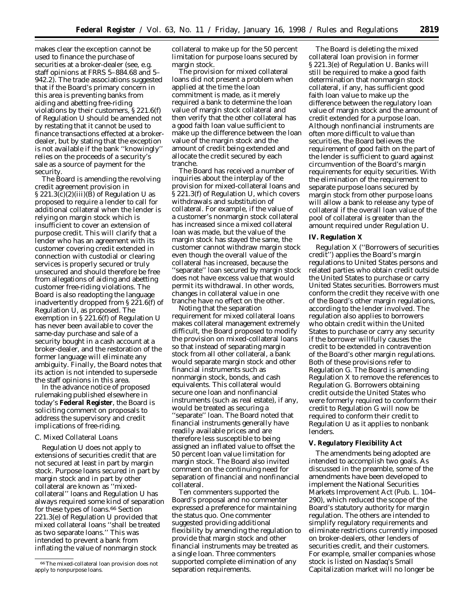makes clear the exception cannot be used to finance the purchase of securities at a broker-dealer (see, e.g. staff opinions at *FRRS* 5–884.68 and 5– 942.2). The trade associations suggested that if the Board's primary concern in this area is preventing banks from aiding and abetting free-riding violations by their customers, § 221.6(f) of Regulation U should be amended not by restating that it cannot be used to finance transactions effected at a brokerdealer, but by stating that the exception is not available if the bank ''knowingly'' relies on the proceeds of a security's sale as a source of payment for the security.

The Board is amending the revolving credit agreement provision in  $\S 221.3(c)(2)(iii)(B)$  of Regulation U as proposed to require a lender to call for additional collateral when the lender is relying on margin stock which is insufficient to cover an extension of purpose credit. This will clarify that a lender who has an agreement with its customer covering credit extended in connection with custodial or clearing services is properly secured or truly unsecured and should therefore be free from allegations of aiding and abetting customer free-riding violations. The Board is also readopting the language inadvertently dropped from § 221.6(f) of Regulation U, as proposed. The exemption in § 221.6(f) of Regulation U has never been available to cover the same-day purchase and sale of a security bought in a cash account at a broker-dealer, and the restoration of the former language will eliminate any ambiguity. Finally, the Board notes that its action is not intended to supersede the staff opinions in this area.

In the advance notice of proposed rulemaking published elsewhere in today's **Federal Register**, the Board is soliciting comment on proposals to address the supervisory and credit implications of free-riding.

## *C. Mixed Collateral Loans*

Regulation U does not apply to extensions of securities credit that are not secured at least in part by margin stock. Purpose loans secured in part by margin stock and in part by other collateral are known as ''mixedcollateral'' loans and Regulation U has always required some kind of separation for these types of loans.66 Section 221.3(e) of Regulation U provided that mixed collateral loans ''shall be treated as two separate loans.'' This was intended to prevent a bank from inflating the value of nonmargin stock

collateral to make up for the 50 percent limitation for purpose loans secured by margin stock.

The provision for mixed collateral loans did not present a problem when applied at the time the loan commitment is made, as it merely required a bank to determine the loan value of margin stock collateral and then verify that the other collateral has a good faith loan value sufficient to make up the difference between the loan value of the margin stock and the amount of credit being extended and allocate the credit secured by each tranche.

The Board has received a number of inquiries about the interplay of the provision for mixed-collateral loans and § 221.3(f) of Regulation U, which covers withdrawals and substitution of collateral. For example, if the value of a customer's nonmargin stock collateral has increased since a mixed collateral loan was made, but the value of the margin stock has stayed the same, the customer cannot withdraw margin stock even though the overall value of the collateral has increased, because the ''separate'' loan secured by margin stock does not have excess value that would permit its withdrawal. In other words, changes in collateral value in one tranche have no effect on the other.

Noting that the separation requirement for mixed collateral loans makes collateral management extremely difficult, the Board proposed to modify the provision on mixed-collateral loans so that instead of separating margin stock from all other collateral, a bank would separate margin stock and other financial instruments such as nonmargin stock, bonds, and cash equivalents. This collateral would secure one loan and nonfinancial instruments (such as real estate), if any, would be treated as securing a ''separate'' loan. The Board noted that financial instruments generally have readily available prices and are therefore less susceptible to being assigned an inflated value to offset the 50 percent loan value limitation for margin stock. The Board also invited comment on the continuing need for separation of financial and nonfinancial collateral.

Ten commenters supported the Board's proposal and no commenter expressed a preference for maintaining the status quo. One commenter suggested providing additional flexibility by amending the regulation to provide that margin stock and other financial instruments *may* be treated as a single loan. Three commenters supported complete elimination of any separation requirements.

The Board is deleting the mixed collateral loan provision in former § 221.3(e) of Regulation U. Banks will still be required to make a good faith determination that nonmargin stock collateral, if any, has sufficient good faith loan value to make up the difference between the regulatory loan value of margin stock and the amount of credit extended for a purpose loan. Although nonfinancial instruments are often more difficult to value than securities, the Board believes the requirement of good faith on the part of the lender is sufficient to guard against circumvention of the Board's margin requirements for equity securities. With the elimination of the requirement to separate purpose loans secured by margin stock from other purpose loans will allow a bank to release any type of collateral if the overall loan value of the pool of collateral is greater than the amount required under Regulation U.

### **IV. Regulation X**

Regulation X (''Borrowers of securities credit'') applies the Board's margin regulations to United States persons and related parties who obtain credit outside the United States to purchase or carry United States securities. Borrowers must conform the credit they receive with one of the Board's other margin regulations, according to the lender involved. The regulation also applies to borrowers who obtain credit within the United States to purchase or carry any security if the borrower willfully causes the credit to be extended in contravention of the Board's other margin regulations. Both of these provisions refer to Regulation G. The Board is amending Regulation X to remove the references to Regulation G. Borrowers obtaining credit outside the United States who were formerly required to conform their credit to Regulation G will now be required to conform their credit to Regulation U as it applies to nonbank lenders.

### **V. Regulatory Flexibility Act**

The amendments being adopted are intended to accomplish two goals. As discussed in the preamble, some of the amendments have been developed to implement the National Securities Markets Improvement Act (Pub. L. 104– 290), which reduced the scope of the Board's statutory authority for margin regulation. The others are intended to simplify regulatory requirements and eliminate restrictions currently imposed on broker-dealers, other lenders of securities credit, and their customers. For example, smaller companies whose stock is listed on Nasdaq's Small Capitalization market will no longer be

<sup>66</sup>The mixed-collateral loan provision does not apply to nonpurpose loans.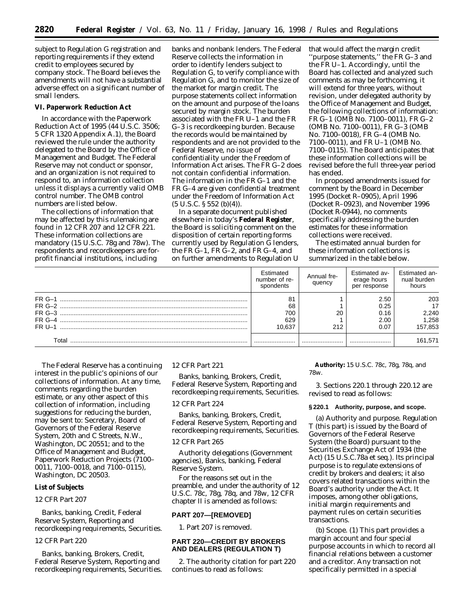subject to Regulation G registration and reporting requirements if they extend credit to employees secured by company stock. The Board believes the amendments will not have a substantial adverse effect on a significant number of small lenders.

#### **VI. Paperwork Reduction Act**

In accordance with the Paperwork Reduction Act of 1995 (44 U.S.C. 3506; 5 CFR 1320 Appendix A.1), the Board reviewed the rule under the authority delegated to the Board by the Office of Management and Budget. The Federal Reserve may not conduct or sponsor, and an organization is not required to respond to, an information collection unless it displays a currently valid OMB control number. The OMB control numbers are listed below.

The collections of information that may be affected by this rulemaking are found in 12 CFR 207 and 12 CFR 221. These information collections are mandatory (15 U.S.C. 78g and 78w). The respondents and recordkeepers are forprofit financial institutions, including

banks and nonbank lenders. The Federal Reserve collects the information in order to identify lenders subject to Regulation G, to verify compliance with Regulation G, and to monitor the size of the market for margin credit. The purpose statements collect information on the amount and purpose of the loans secured by margin stock. The burden associated with the FR U–1 and the FR G–3 is recordkeeping burden. Because the records would be maintained by respondents and are not provided to the Federal Reserve, no issue of confidentiality under the Freedom of Information Act arises. The FR G–2 does not contain confidential information. The information in the FR G–1 and the FR G–4 are given confidential treatment under the Freedom of Information Act  $(5 \text{ U.S.C. } $552 \text{ (b)}(4))$ .

In a separate document published elsewhere in today's **Federal Register**, the Board is soliciting comment on the disposition of certain reporting forms currently used by Regulation G lenders, the FR G–1, FR G–2, and FR G–4, and on further amendments to Regulation U that would affect the margin credit ''purpose statements,'' the FR G–3 and the FR U–1. Accordingly, until the Board has collected and analyzed such comments as may be forthcoming, it will extend for three years, without revision, under delegated authority by the Office of Management and Budget, the following collections of information: FR G–1 (OMB No. 7100–0011), FR G–2 (OMB No. 7100–0011), FR G–3 (OMB No. 7100–0018), FR G–4 (OMB No. 7100–0011), and FR U–1 (OMB No. 7100–0115). The Board anticipates that these information collections will be revised before the full three-year period has ended.

In proposed amendments issued for comment by the Board in December 1995 (Docket R–0905), April 1996 (Docket R–0923), and November 1996 (Docket R-0944), no comments specifically addressing the burden estimates for these information collections were received.

The estimated annual burden for these information collections is summarized in the table below.

|                                   | <b>Fstimated</b><br>number of re-<br>spondents | Annual fre-<br>quency | Estimated av-<br>erage hours<br>per response | Estimated an-<br>nual burden<br>hours  |
|-----------------------------------|------------------------------------------------|-----------------------|----------------------------------------------|----------------------------------------|
| $FR-1$<br>$FR-4$<br><b>FR U-1</b> | 81<br>68<br>700<br>629<br>10.637               | 20<br>212             | 2.50<br>0.25<br>0.16<br>2.00<br>0.07         | 203<br>17<br>2,240<br>1,258<br>157,853 |
| Tota                              |                                                |                       |                                              | 161,571                                |

The Federal Reserve has a continuing interest in the public's opinions of our collections of information. At any time, comments regarding the burden estimate, or any other aspect of this collection of information, including suggestions for reducing the burden, may be sent to: Secretary, Board of Governors of the Federal Reserve System, 20th and C Streets, N.W., Washington, DC 20551; and to the Office of Management and Budget, Paperwork Reduction Projects (7100– 0011, 7100–0018, and 7100–0115), Washington, DC 20503.

#### **List of Subjects**

### *12 CFR Part 207*

Banks, banking, Credit, Federal Reserve System, Reporting and recordkeeping requirements, Securities.

### *12 CFR Part 220*

Banks, banking, Brokers, Credit, Federal Reserve System, Reporting and recordkeeping requirements, Securities.

## *12 CFR Part 221*

Banks, banking, Brokers, Credit, Federal Reserve System, Reporting and recordkeeping requirements, Securities.

### *12 CFR Part 224*

Banks, banking, Brokers, Credit, Federal Reserve System, Reporting and recordkeeping requirements, Securities.

#### *12 CFR Part 265*

Authority delegations (Government agencies), Banks, banking, Federal Reserve System.

For the reasons set out in the preamble, and under the authority of 12 U.S.C. 78c, 78g, 78q, and 78w, 12 CFR chapter II is amended as follows:

# **PART 207—[REMOVED]**

1. Part 207 is removed.

## **PART 220—CREDIT BY BROKERS AND DEALERS (REGULATION T)**

2. The authority citation for part 220 continues to read as follows:

**Authority:** 15 U.S.C. 78c, 78g, 78q, and 78w.

3. Sections 220.1 through 220.12 are revised to read as follows:

### **§ 220.1 Authority, purpose, and scope.**

(a) *Authority and purpose.* Regulation T (this part) is issued by the Board of Governors of the Federal Reserve System (the Board) pursuant to the Securities Exchange Act of 1934 (the Act) (15 U.S.C.78a *et seq.*). Its principal purpose is to regulate extensions of credit by brokers and dealers; it also covers related transactions within the Board's authority under the Act. It imposes, among other obligations, initial margin requirements and payment rules on certain securities transactions.

(b) *Scope.* (1) This part provides a margin account and four special purpose accounts in which to record all financial relations between a customer and a creditor. Any transaction not specifically permitted in a special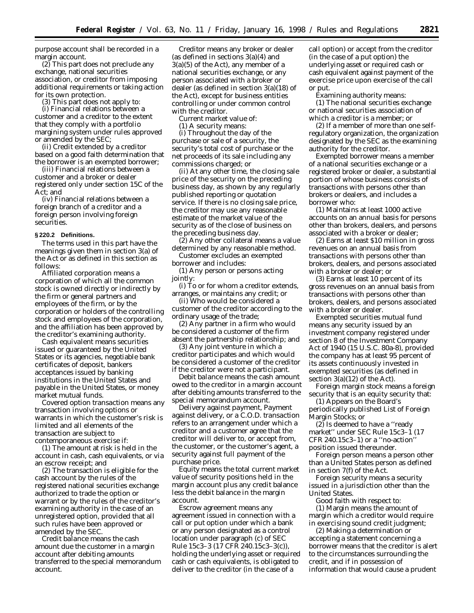purpose account shall be recorded in a margin account.

(2) This part does not preclude any exchange, national securities association, or creditor from imposing additional requirements or taking action for its own protection.

(3) This part does not apply to:

(i) Financial relations between a customer and a creditor to the extent that they comply with a portfolio margining system under rules approved or amended by the SEC;

(ii) Credit extended by a creditor based on a good faith determination that the borrower is an exempted borrower;

(iii) Financial relations between a customer and a broker or dealer registered only under section 15C of the Act; and

(iv) Financial relations between a foreign branch of a creditor and a foreign person involving foreign securities.

### **§ 220.2 Definitions.**

The terms used in this part have the meanings given them in section 3(a) of the Act or as defined in this section as follows:

*Affiliated corporation* means a corporation of which all the common stock is owned directly or indirectly by the firm or general partners and employees of the firm, or by the corporation or holders of the controlling stock and employees of the corporation, and the affiliation has been approved by the creditor's examining authority.

*Cash equivalent* means securities issued or guaranteed by the United States or its agencies, negotiable bank certificates of deposit, bankers acceptances issued by banking institutions in the United States and payable in the United States, or money market mutual funds.

*Covered option transaction* means any transaction involving options or warrants in which the customer's risk is limited and all elements of the transaction are subject to contemporaneous exercise if:

(1) The amount at risk is held in the account in cash, cash equivalents, or via an escrow receipt; and

(2) The transaction is eligible for the cash account by the rules of the registered national securities exchange authorized to trade the option or warrant or by the rules of the creditor's examining authority in the case of an unregistered option, provided that all such rules have been approved or amended by the SEC.

*Credit balance* means the cash amount due the customer in a margin account after debiting amounts transferred to the special memorandum account.

*Creditor* means any broker or dealer (as defined in sections 3(a)(4) and 3(a)(5) of the Act), any member of a national securities exchange, or any person associated with a broker or dealer (as defined in section 3(a)(18) of the Act), except for business entities controlling or under common control with the creditor.

*Current market value* of:

(1) A security means:

(i) Throughout the day of the purchase or sale of a security, the security's total cost of purchase or the net proceeds of its sale including any commissions charged; or

(ii) At any other time, the closing sale price of the security on the preceding business day, as shown by any regularly published reporting or quotation service. If there is no closing sale price, the creditor may use any reasonable estimate of the market value of the security as of the close of business on the preceding business day.

(2) Any other collateral means a value determined by any reasonable method.

*Customer* excludes an exempted borrower and includes:

(1) Any person or persons acting jointly:

(i) To or for whom a creditor extends, arranges, or maintains any credit; or

(ii) Who would be considered a customer of the creditor according to the ordinary usage of the trade;

(2) Any partner in a firm who would be considered a customer of the firm absent the partnership relationship; and

(3) Any joint venture in which a creditor participates and which would be considered a customer of the creditor if the creditor were not a participant.

*Debit balance* means the cash amount owed to the creditor in a margin account after debiting amounts transferred to the special memorandum account.

*Delivery against payment, Payment against delivery, or a C.O.D. transaction* refers to an arrangement under which a creditor and a customer agree that the creditor will deliver to, or accept from, the customer, or the customer's agent, a security against full payment of the purchase price.

*Equity* means the total current market value of security positions held in the margin account plus any credit balance less the debit balance in the margin account.

*Escrow agreement* means any agreement issued in connection with a call or put option under which a bank or any person designated as a control location under paragraph (c) of SEC Rule 15c3–3 (17 CFR 240.15c3–3(c)), holding the underlying asset or required cash or cash equivalents, is obligated to deliver to the creditor (in the case of a

call option) or accept from the creditor (in the case of a put option) the underlying asset or required cash or cash equivalent against payment of the exercise price upon exercise of the call or put.

*Examining authority* means: (1) The national securities exchange or national securities association of which a creditor is a member; or

(2) If a member of more than one selfregulatory organization, the organization designated by the SEC as the examining authority for the creditor.

*Exempted borrower* means a member of a national securities exchange or a registered broker or dealer, a substantial portion of whose business consists of transactions with persons other than brokers or dealers, and includes a borrower who:

(1) Maintains at least 1000 active accounts on an annual basis for persons other than brokers, dealers, and persons associated with a broker or dealer;

(2) Earns at least \$10 million in gross revenues on an annual basis from transactions with persons other than brokers, dealers, and persons associated with a broker or dealer; or

(3) Earns at least 10 percent of its gross revenues on an annual basis from transactions with persons other than brokers, dealers, and persons associated with a broker or dealer.

*Exempted securities mutual fund* means any security issued by an investment company registered under section 8 of the Investment Company Act of 1940 (15 U.S.C. 80a-8), provided the company has at least 95 percent of its assets continuously invested in exempted securities (as defined in section  $3(a)(12)$  of the Act).

*Foreign margin stock* means a foreign security that is an equity security that:

(1) Appears on the Board's periodically published List of Foreign Margin Stocks; or

 $(2)$  Is deemed to have a "ready" market'' under SEC Rule 15c3–1 (17 CFR 240.15c3–1) or a ''no-action'' position issued thereunder.

*Foreign person* means a person other than a United States person as defined in section 7(f) of the Act.

*Foreign security* means a security issued in a jurisdiction other than the United States.

*Good faith* with respect to: (1) Margin means the amount of margin which a creditor would require in exercising sound credit judgment;

(2) Making a determination or accepting a statement concerning a borrower means that the creditor is alert to the circumstances surrounding the credit, and if in possession of information that would cause a prudent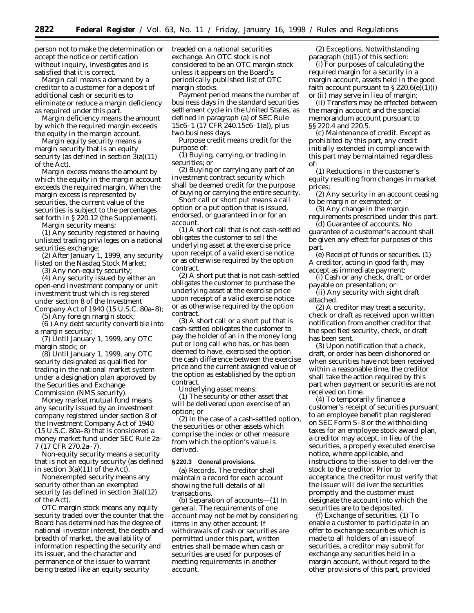person not to make the determination or accept the notice or certification without inquiry, investigates and is satisfied that it is correct.

*Margin call* means a demand by a creditor to a customer for a deposit of additional cash or securities to eliminate or reduce a margin deficiency as required under this part.

*Margin deficiency* means the amount by which the required margin exceeds the equity in the margin account.

*Margin equity security* means a margin security that is an equity security (as defined in section 3(a)(11) of the Act).

*Margin excess* means the amount by which the equity in the margin account exceeds the required margin. When the margin excess is represented by securities, the current value of the securities is subject to the percentages set forth in § 220.12 (the Supplement).

*Margin security* means:

(1) Any security registered or having unlisted trading privileges on a national securities exchange;

(2) After January 1, 1999, any security listed on the Nasdaq Stock Market;

(3) Any non-equity security;

(4) Any security issued by either an open-end investment company or unit investment trust which is registered under section 8 of the Investment Company Act of 1940 (15 U.S.C. 80a–8);

(5) Any foreign margin stock;

(6 ) Any debt security convertible into a margin security;

(7) Until January 1, 1999, any OTC margin stock; or

(8) Until January 1, 1999, any OTC security designated as qualified for trading in the national market system under a designation plan approved by the Securities and Exchange Commission (NMS security).

*Money market mutual fund* means any security issued by an investment company registered under section 8 of the Investment Company Act of 1940 (15 U.S.C. 80a–8) that is considered a money market fund under SEC Rule 2a– 7 (17 CFR 270.2a–7).

*Non-equity security* means a security that is not an equity security (as defined in section  $3(a)(11)$  of the Act).

*Nonexempted security* means any security other than an exempted security (as defined in section 3(a)(12) of the Act).

*OTC margin stock* means any equity security traded over the counter that the Board has determined has the degree of national investor interest, the depth and breadth of market, the availability of information respecting the security and its issuer, and the character and permanence of the issuer to warrant being treated like an equity security

treaded on a national securities exchange. An OTC stock is not considered to be an OTC margin stock unless it appears on the Board's periodically published list of OTC margin stocks.

*Payment period* means the number of business days in the standard securities settlement cycle in the United States, as defined in paragraph (a) of SEC Rule 15c6–1 (17 CFR 240.15c6–1(a)), plus two business days.

*Purpose credit* means credit for the purpose of:

(1) Buying, carrying, or trading in securities; or

(2) Buying or carrying any part of an investment contract security which shall be deemed credit for the purpose of buying or carrying the entire security.

*Short call or short put* means a call option or a put option that is issued, endorsed, or guaranteed in or for an account.

(1) A short call that is not cash-settled obligates the customer to sell the underlying asset at the exercise price upon receipt of a valid exercise notice or as otherwise required by the option contract.

(2) A short put that is not cash-settled obligates the customer to purchase the underlying asset at the exercise price upon receipt of a valid exercise notice or as otherwise required by the option contract.

(3) A short call or a short put that is cash-settled obligates the customer to pay the holder of an in the money long put or long call who has, or has been deemed to have, exercised the option the cash difference between the exercise price and the current assigned value of the option as established by the option contract.

*Underlying asset* means:

(1) The security or other asset that will be delivered upon exercise of an option; or

(2) In the case of a cash-settled option, the securities or other assets which comprise the index or other measure from which the option's value is derived.

#### **§ 220.3 General provisions.**

(a) *Records.* The creditor shall maintain a record for each account showing the full details of all transactions.

(b) *Separation of accounts—*(1) *In general.* The requirements of one account may not be met by considering items in any other account. If withdrawals of cash or securities are permitted under this part, written entries shall be made when cash or securities are used for purposes of meeting requirements in another account.

(2) *Exceptions.* Notwithstanding paragraph (b)(1) of this section:

(i) For purposes of calculating the required margin for a security in a margin account, assets held in the good faith account pursuant to  $\S 220.6(e)(1)(i)$ or (ii) may serve in lieu of margin;

(ii) Transfers may be effected between the margin account and the special memorandum account pursuant to §§ 220.4 and 220.5.

(c) *Maintenance of credit.* Except as prohibited by this part, any credit initially extended in compliance with this part may be maintained regardless of:

(1) Reductions in the customer's equity resulting from changes in market prices;

(2) Any security in an account ceasing to be margin or exempted; or

(3) Any change in the margin requirements prescribed under this part. (d) *Guarantee of accounts.* No

guarantee of a customer's account shall be given any effect for purposes of this part.

(e) *Receipt of funds or securities.* (1) A creditor, acting in good faith, may accept as immediate payment:

(i) Cash or any check, draft, or order payable on presentation; or

(ii) Any security with sight draft attached.

(2) A creditor may treat a security, check or draft as received upon written notification from another creditor that the specified security, check, or draft has been sent.

(3) Upon notification that a check, draft, or order has been dishonored or when securities have not been received within a reasonable time, the creditor shall take the action required by this part when payment or securities are not received on time.

(4) To temporarily finance a customer's receipt of securities pursuant to an employee benefit plan registered on SEC Form S–8 or the withholding taxes for an employee stock award plan, a creditor may accept, in lieu of the securities, a properly executed exercise notice, where applicable, and instructions to the issuer to deliver the stock to the creditor. Prior to acceptance, the creditor must verify that the issuer will deliver the securities promptly and the customer must designate the account into which the securities are to be deposited.

(f) *Exchange of securities.* (1) To enable a customer to participate in an offer to exchange securities which is made to all holders of an issue of securities, a creditor may submit for exchange any securities held in a margin account, without regard to the other provisions of this part, provided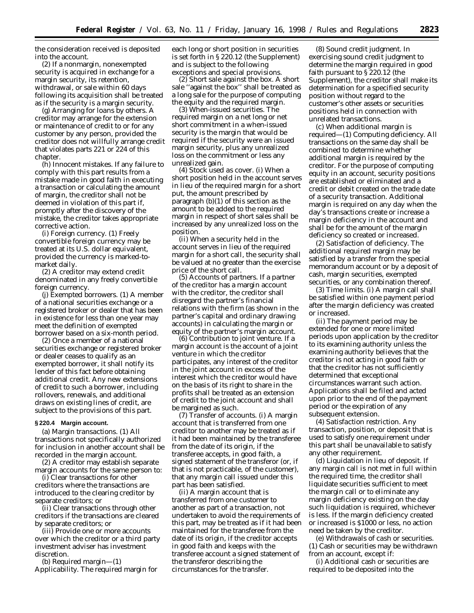the consideration received is deposited into the account.

(2) If a nonmargin, nonexempted security is acquired in exchange for a margin security, its retention, withdrawal, or sale within 60 days following its acquisition shall be treated as if the security is a margin security.

(g) *Arranging for loans by others.* A creditor may arrange for the extension or maintenance of credit to or for any customer by any person, provided the creditor does not willfully arrange credit that violates parts 221 or 224 of this chapter.

(h) *Innocent mistakes.* If any failure to comply with this part results from a mistake made in good faith in executing a transaction or calculating the amount of margin, the creditor shall not be deemed in violation of this part if, promptly after the discovery of the mistake, the creditor takes appropriate corrective action.

(i) *Foreign currency.* (1) Freely convertible foreign currency may be treated at its U.S. dollar equivalent, provided the currency is marked-tomarket daily.

(2) A creditor may extend credit denominated in any freely convertible foreign currency.

(j) *Exempted borrowers.* (1) A member of a national securities exchange or a registered broker or dealer that has been in existence for less than one year may meet the definition of exempted borrower based on a six-month period.

(2) Once a member of a national securities exchange or registered broker or dealer ceases to qualify as an exempted borrower, it shall notify its lender of this fact before obtaining additional credit. Any new extensions of credit to such a borrower, including rollovers, renewals, and additional draws on existing lines of credit, are subject to the provisions of this part.

#### **§ 220.4 Margin account.**

(a) *Margin transactions.* (1) All transactions not specifically authorized for inclusion in another account shall be recorded in the margin account.

(2) A creditor may establish separate margin accounts for the same person to:

(i) Clear transactions for other creditors where the transactions are introduced to the clearing creditor by separate creditors; or

(ii) Clear transactions through other creditors if the transactions are cleared by separate creditors; or

(iii) Provide one or more accounts over which the creditor or a third party investment adviser has investment discretion.

(b) *Required margin*—(1) *Applicability.* The required margin for each long or short position in securities is set forth in § 220.12 (the Supplement) and is subject to the following exceptions and special provisions.

(2) *Short sale against the box.* A short sale ''against the box'' shall be treated as a long sale for the purpose of computing the equity and the required margin.

(3) *When-issued securities.* The required margin on a net long or net short commitment in a when-issued security is the margin that would be required if the security were an issued margin security, plus any unrealized loss on the commitment or less any unrealized gain.

(4) *Stock used as cover.* (i) When a short position held in the account serves in lieu of the required margin for a short put, the amount prescribed by paragraph (b)(1) of this section as the amount to be added to the required margin in respect of short sales shall be increased by any unrealized loss on the position.

(ii) When a security held in the account serves in lieu of the required margin for a short call, the security shall be valued at no greater than the exercise price of the short call.

(5) *Accounts of partners.* If a partner of the creditor has a margin account with the creditor, the creditor shall disregard the partner's financial relations with the firm (as shown in the partner's capital and ordinary drawing accounts) in calculating the margin or equity of the partner's margin account.

(6) *Contribution to joint venture.* If a margin account is the account of a joint venture in which the creditor participates, any interest of the creditor in the joint account in excess of the interest which the creditor would have on the basis of its right to share in the profits shall be treated as an extension of credit to the joint account and shall be margined as such.

(7) *Transfer of accounts.* (i) A margin account that is transferred from one creditor to another may be treated as if it had been maintained by the transferee from the date of its origin, if the transferee accepts, in good faith, a signed statement of the transferor (or, if that is not practicable, of the customer), that any margin call issued under this part has been satisfied.

(ii) A margin account that is transferred from one customer to another as part of a transaction, not undertaken to avoid the requirements of this part, may be treated as if it had been maintained for the transferee from the date of its origin, if the creditor accepts in good faith and keeps with the transferee account a signed statement of the transferor describing the circumstances for the transfer.

(8) *Sound credit judgment.* In exercising sound credit judgment to determine the margin required in good faith pursuant to § 220.12 (the Supplement), the creditor shall make its determination for a specified security position without regard to the customer's other assets or securities positions held in connection with unrelated transactions.

(c) *When additional margin is required*—(1) *Computing deficiency.* All transactions on the same day shall be combined to determine whether additional margin is required by the creditor. For the purpose of computing equity in an account, security positions are established or eliminated and a credit or debit created on the trade date of a security transaction. Additional margin is required on any day when the day's transactions create or increase a margin deficiency in the account and shall be for the amount of the margin deficiency so created or increased.

(2) *Satisfaction of deficiency.* The additional required margin may be satisfied by a transfer from the special memorandum account or by a deposit of cash, margin securities, exempted securities, or any combination thereof.

(3) *Time limits.* (i) A margin call shall be satisfied within one payment period after the margin deficiency was created or increased.

(ii) The payment period may be extended for one or more limited periods upon application by the creditor to its examining authority unless the examining authority believes that the creditor is not acting in good faith or that the creditor has not sufficiently determined that exceptional circumstances warrant such action. Applications shall be filed and acted upon prior to the end of the payment period or the expiration of any subsequent extension.

(4) *Satisfaction restriction.* Any transaction, position, or deposit that is used to satisfy one requirement under this part shall be unavailable to satisfy any other requirement.

(d) *Liquidation in lieu of deposit.* If any margin call is not met in full within the required time, the creditor shall liquidate securities sufficient to meet the margin call or to eliminate any margin deficiency existing on the day such liquidation is required, whichever is less. If the margin deficiency created or increased is \$1000 or less, no action need be taken by the creditor.

(e) *Withdrawals of cash or securities.* (1) Cash or securities may be withdrawn from an account, except if:

(i) Additional cash or securities are required to be deposited into the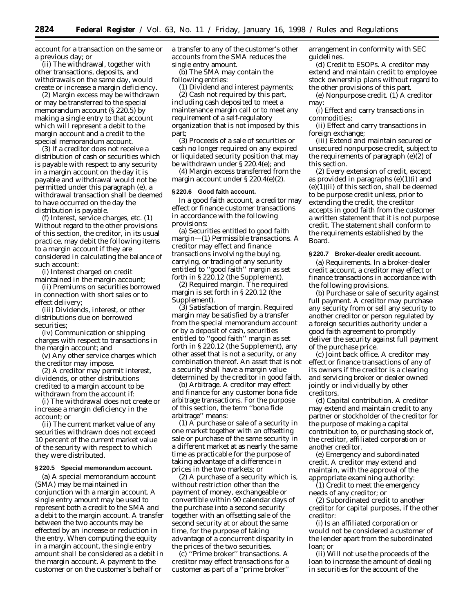account for a transaction on the same or a previous day; or

(ii) The withdrawal, together with other transactions, deposits, and withdrawals on the same day, would create or increase a margin deficiency.

(2) Margin excess may be withdrawn or may be transferred to the special memorandum account (§ 220.5) by making a single entry to that account which will represent a debit to the margin account and a credit to the special memorandum account.

(3) If a creditor does not receive a distribution of cash or securities which is payable with respect to any security in a margin account on the day it is payable and withdrawal would not be permitted under this paragraph (e), a withdrawal transaction shall be deemed to have occurred on the day the distribution is payable.

(f) *Interest, service charges, etc.* (1) Without regard to the other provisions of this section, the creditor, in its usual practice, may debit the following items to a margin account if they are considered in calculating the balance of such account:

(i) Interest charged on credit maintained in the margin account;

(ii) Premiums on securities borrowed in connection with short sales or to effect delivery;

(iii) Dividends, interest, or other distributions due on borrowed securities;

(iv) Communication or shipping charges with respect to transactions in the margin account; and

(v) Any other service charges which the creditor may impose.

(2) A creditor may permit interest, dividends, or other distributions credited to a margin account to be withdrawn from the account if:

(i) The withdrawal does not create or increase a margin deficiency in the account; or

(ii) The current market value of any securities withdrawn does not exceed 10 percent of the current market value of the security with respect to which they were distributed.

### **§ 220.5 Special memorandum account.**

(a) A special memorandum account (SMA) may be maintained in conjunction with a margin account. A single entry amount may be used to represent both a credit to the SMA and a debit to the margin account. A transfer between the two accounts may be effected by an increase or reduction in the entry. When computing the equity in a margin account, the single entry amount shall be considered as a debit in the margin account. A payment to the customer or on the customer's behalf or

a transfer to any of the customer's other accounts from the SMA reduces the single entry amount.

(b) The SMA may contain the following entries:

(1) Dividend and interest payments; (2) Cash not required by this part, including cash deposited to meet a maintenance margin call or to meet any requirement of a self-regulatory organization that is not imposed by this part;

(3) Proceeds of a sale of securities or cash no longer required on any expired or liquidated security position that may be withdrawn under § 220.4(e); and

(4) Margin excess transferred from the margin account under § 220.4(e)(2).

## **§ 220.6 Good faith account.**

In a good faith account, a creditor may effect or finance customer transactions in accordance with the following provisions:

(a) *Securities entitled to good faith margin*—(1) *Permissible transactions*. A creditor may effect and finance transactions involving the buying, carrying, or trading of any security entitled to ''good faith'' margin as set forth in § 220.12 (the Supplement).

(2) *Required margin*. The required margin is set forth in § 220.12 (the Supplement).

(3) *Satisfaction of margin*. Required margin may be satisfied by a transfer from the special memorandum account or by a deposit of cash, securities entitled to ''good faith'' margin as set forth in § 220.12 (the Supplement), any other asset that is not a security, or any combination thereof. An asset that is not a security shall have a margin value determined by the creditor in good faith.

(b) *Arbitrage*. A creditor may effect and finance for any customer bona fide arbitrage transactions. For the purpose of this section, the term ''bona fide arbitrage'' means:

(1) A purchase or sale of a security in one market together with an offsetting sale or purchase of the same security in a different market at as nearly the same time as practicable for the purpose of taking advantage of a difference in prices in the two markets; or

(2) A purchase of a security which is, without restriction other than the payment of money, exchangeable or convertible within 90 calendar days of the purchase into a second security together with an offsetting sale of the second security at or about the same time, for the purpose of taking advantage of a concurrent disparity in the prices of the two securities.

(c) *''Prime broker'' transactions.* A creditor may effect transactions for a customer as part of a ''prime broker''

arrangement in conformity with SEC guidelines.

(d) *Credit to ESOPs.* A creditor may extend and maintain credit to employee stock ownership plans without regard to the other provisions of this part.

(e) *Nonpurpose credit.* (1) A creditor may:

(i) Effect and carry transactions in commodities;

(ii) Effect and carry transactions in foreign exchange;

(iii) Extend and maintain secured or unsecured nonpurpose credit, subject to the requirements of paragraph (e)(2) of this section.

(2) Every extension of credit, except as provided in paragraphs  $(e)(1)(i)$  and  $(e)(1)(ii)$  of this section, shall be deemed to be purpose credit unless, prior to extending the credit, the creditor accepts in good faith from the customer a written statement that it is not purpose credit. The statement shall conform to the requirements established by the Board.

### **§ 220.7 Broker-dealer credit account.**

(a) *Requirements.* In a broker-dealer credit account, a creditor may effect or finance transactions in accordance with the following provisions.

(b) *Purchase or sale of security against full payment.* A creditor may purchase any security from or sell any security to another creditor or person regulated by a foreign securities authority under a good faith agreement to promptly deliver the security against full payment of the purchase price.

(c) *Joint back office.* A creditor may effect or finance transactions of any of its owners if the creditor is a clearing and servicing broker or dealer owned jointly or individually by other creditors.

(d) *Capital contribution.* A creditor may extend and maintain credit to any partner or stockholder of the creditor for the purpose of making a capital contribution to, or purchasing stock of, the creditor, affiliated corporation or another creditor.

(e) *Emergency and subordinated credit.* A creditor may extend and maintain, with the approval of the appropriate examining authority:

(1) Credit to meet the emergency needs of any creditor; or

(2) Subordinated credit to another creditor for capital purposes, if the other creditor:

(i) Is an affiliated corporation or would not be considered a customer of the lender apart from the subordinated loan; or

(ii) Will not use the proceeds of the loan to increase the amount of dealing in securities for the account of the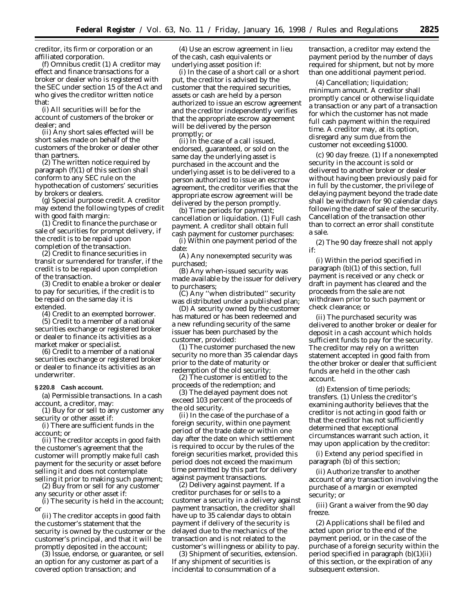creditor, its firm or corporation or an affiliated corporation.

(f) *Omnibus credit* (1) A creditor may effect and finance transactions for a broker or dealer who is registered with the SEC under section 15 of the Act and who gives the creditor written notice that:

(i) All securities will be for the account of customers of the broker or dealer; and

(ii) Any short sales effected will be short sales made on behalf of the customers of the broker or dealer other than partners.

(2) The written notice required by paragraph (f)(1) of this section shall conform to any SEC rule on the hypothecation of customers' securities by brokers or dealers.

(g) *Special purpose credit.* A creditor may extend the following types of credit with good faith margin:

(1) Credit to finance the purchase or sale of securities for prompt delivery, if the credit is to be repaid upon completion of the transaction.

(2) Credit to finance securities in transit or surrendered for transfer, if the credit is to be repaid upon completion of the transaction.

(3) Credit to enable a broker or dealer to pay for securities, if the credit is to be repaid on the same day it is extended.

(4) Credit to an exempted borrower.

(5) Credit to a member of a national securities exchange or registered broker or dealer to finance its activities as a market maker or specialist.

(6) Credit to a member of a national securities exchange or registered broker or dealer to finance its activities as an underwriter.

## **§ 220.8 Cash account.**

(a) *Permissible transactions.* In a cash account, a creditor, may:

(1) Buy for or sell to any customer any security or other asset if:

(i) There are sufficient funds in the account; or

(ii) The creditor accepts in good faith the customer's agreement that the customer will promptly make full cash payment for the security or asset before selling it and does not contemplate

selling it prior to making such payment; (2) Buy from or sell for any customer any security or other asset if:

(i) The security is held in the account; or

(ii) The creditor accepts in good faith the customer's statement that the security is owned by the customer or the customer's principal, and that it will be promptly deposited in the account;

(3) Issue, endorse, or guarantee, or sell an option for any customer as part of a covered option transaction; and

(4) Use an escrow agreement in lieu of the cash, cash equivalents or underlying asset position if:

(i) In the case of a short call or a short put, the creditor is advised by the customer that the required securities, assets or cash are held by a person authorized to issue an escrow agreement and the creditor independently verifies that the appropriate escrow agreement will be delivered by the person promptly; or

(ii) In the case of a call issued, endorsed, guaranteed, or sold on the same day the underlying asset is purchased in the account and the underlying asset is to be delivered to a person authorized to issue an escrow agreement, the creditor verifies that the appropriate escrow agreement will be delivered by the person promptly.

(b) *Time periods for payment; cancellation or liquidation.* (1) *Full cash payment.* A creditor shall obtain full cash payment for customer purchases:

(i) Within one payment period of the date:

(A) Any nonexempted security was purchased;

(B) Any when-issued security was made available by the issuer for delivery to purchasers;

(C) Any ''when distributed'' security was distributed under a published plan;

(D) A security owned by the customer has matured or has been redeemed and a new refunding security of the same issuer has been purchased by the customer, provided:

(*1*) The customer purchased the new security no more than 35 calendar days prior to the date of maturity or redemption of the old security;

(*2*) The customer is entitled to the proceeds of the redemption; and

(*3*) The delayed payment does not exceed 103 percent of the proceeds of the old security.

(ii) In the case of the purchase of a foreign security, within one payment period of the trade date or within one day after the date on which settlement is required to occur by the rules of the foreign securities market, provided this period does not exceed the maximum time permitted by this part for delivery against payment transactions.

(2) *Delivery against payment.* If a creditor purchases for or sells to a customer a security in a delivery against payment transaction, the creditor shall have up to 35 calendar days to obtain payment if delivery of the security is delayed due to the mechanics of the transaction and is not related to the customer's willingness or ability to pay.

(3) *Shipment of securities, extension.* If any shipment of securities is incidental to consummation of a

transaction, a creditor may extend the payment period by the number of days required for shipment, but not by more than one additional payment period.

(4) *Cancellation; liquidation; minimum amount.* A creditor shall promptly cancel or otherwise liquidate a transaction or any part of a transaction for which the customer has not made full cash payment within the required time. A creditor may, at its option, disregard any sum due from the customer not exceeding \$1000.

(c) *90 day freeze.* (1) If a nonexempted security in the account is sold or delivered to another broker or dealer without having been previously paid for in full by the customer, the privilege of delaying payment beyond the trade date shall be withdrawn for 90 calendar days following the date of sale of the security. Cancellation of the transaction other than to correct an error shall constitute a sale.

(2) The 90 day freeze shall not apply if:

(i) Within the period specified in paragraph (b)(1) of this section, full payment is received or any check or draft in payment has cleared and the proceeds from the sale are not withdrawn prior to such payment or check clearance; or

(ii) The purchased security was delivered to another broker or dealer for deposit in a cash account which holds sufficient funds to pay for the security. The creditor may rely on a written statement accepted in good faith from the other broker or dealer that sufficient funds are held in the other cash account.

(d) *Extension of time periods; transfers.* (1) Unless the creditor's examining authority believes that the creditor is not acting in good faith or that the creditor has not sufficiently determined that exceptional circumstances warrant such action, it may upon application by the creditor:

(i) Extend any period specified in paragraph (b) of this section;

(ii) Authorize transfer to another account of any transaction involving the purchase of a margin or exempted security; or

(iii) Grant a waiver from the 90 day freeze.

(2) Applications shall be filed and acted upon prior to the end of the payment period, or in the case of the purchase of a foreign security within the period specified in paragraph (b)(1)(ii) of this section, or the expiration of any subsequent extension.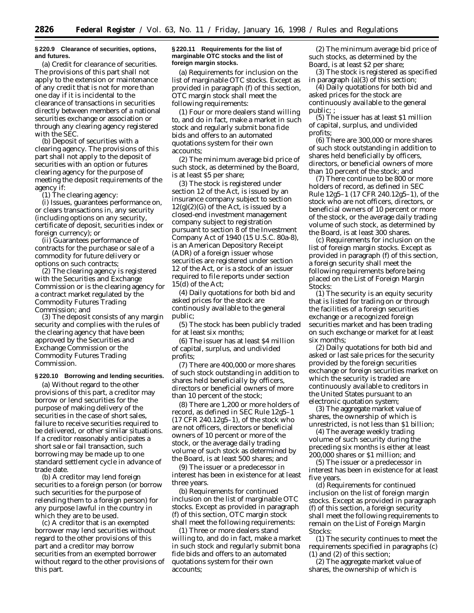### **§ 220.9 Clearance of securities, options, and futures.**

(a) *Credit for clearance of securities.* The provisions of this part shall not apply to the extension or maintenance of any credit that is not for more than one day if it is incidental to the clearance of transactions in securities directly between members of a national securities exchange or association or through any clearing agency registered with the SEC.

(b) *Deposit of securities with a clearing agency.* The provisions of this part shall not apply to the deposit of securities with an option or futures clearing agency for the purpose of meeting the deposit requirements of the agency if:

(1) The clearing agency:

(i) Issues, guarantees performance on, or clears transactions in, any security (including options on any security, certificate of deposit, securities index or foreign currency); or

(ii) Guarantees performance of contracts for the purchase or sale of a commodity for future delivery or options on such contracts;

(2) The clearing agency is registered with the Securities and Exchange Commission or is the clearing agency for a contract market regulated by the Commodity Futures Trading Commission; and

(3) The deposit consists of any margin security and complies with the rules of the clearing agency that have been approved by the Securities and Exchange Commission or the Commodity Futures Trading Commission.

#### **§ 220.10 Borrowing and lending securities.**

(a) Without regard to the other provisions of this part, a creditor may borrow or lend securities for the purpose of making delivery of the securities in the case of short sales, failure to receive securities required to be delivered, or other similar situations. If a creditor reasonably anticipates a short sale or fail transaction, such borrowing may be made up to one standard settlement cycle in advance of trade date.

(b) A creditor may lend foreign securities to a foreign person (or borrow such securities for the purpose of relending them to a foreign person) for any purpose lawful in the country in which they are to be used.

(c) A creditor that is an exempted borrower may lend securities without regard to the other provisions of this part and a creditor may borrow securities from an exempted borrower without regard to the other provisions of this part.

### **§ 220.11 Requirements for the list of marginable OTC stocks and the list of foreign margin stocks.**

(a) *Requirements for inclusion on the list of marginable OTC stocks.* Except as provided in paragraph (f) of this section, OTC margin stock shall meet the following requirements:

(1) Four or more dealers stand willing to, and do in fact, make a market in such stock and regularly submit bona fide bids and offers to an automated quotations system for their own accounts;

(2) The minimum average bid price of such stock, as determined by the Board, is at least \$5 per share;

(3) The stock is registered under section 12 of the Act, is issued by an insurance company subject to section  $12(g)(2)(G)$  of the Act, is issued by a closed-end investment management company subject to registration pursuant to section 8 of the Investment Company Act of 1940 (15 U.S.C. 80a-8), is an American Depository Receipt (ADR) of a foreign issuer whose securities are registered under section 12 of the Act, or is a stock of an issuer required to file reports under section 15(d) of the Act;

(4) Daily quotations for both bid and asked prices for the stock are continously available to the general public;

(5) The stock has been publicly traded for at least six months;

(6) The issuer has at least \$4 million of capital, surplus, and undivided profits;

(7) There are 400,000 or more shares of such stock outstanding in addition to shares held beneficially by officers, directors or beneficial owners of more than 10 percent of the stock;

(8) There are 1,200 or more holders of record, as defined in SEC Rule 12g5–1 (17 CFR 240.12g5–1), of the stock who are not officers, directors or beneficial owners of 10 percent or more of the stock, or the average daily trading volume of such stock as determined by the Board, is at least 500 shares; and

(9) The issuer or a predecessor in interest has been in existence for at least three years.

(b) *Requirements for continued inclusion on the list of marginable OTC stocks.* Except as provided in paragraph (f) of this section, OTC margin stock shall meet the following requirements:

(1) Three or more dealers stand willing to, and do in fact, make a market in such stock and regularly submit bona fide bids and offers to an automated quotations system for their own accounts;

(2) The minimum average bid price of such stocks, as determined by the Board, is at least \$2 per share;

(3) The stock is registered as specified in paragraph (a)(3) of this section;

(4) Daily quotations for both bid and asked prices for the stock are continuously available to the general public; ;

(5) The issuer has at least \$1 million of capital, surplus, and undivided profits;

(6) There are 300,000 or more shares of such stock outstanding in addition to shares held beneficially by officers, directors, or beneficial owners of more than 10 percent of the stock; and

(7) There continue to be 800 or more holders of record, as defined in SEC Rule 12g5–1 (17 CFR 240.12g5–1), of the stock who are not officers, directors, or beneficial owners of 10 percent or more of the stock, or the average daily trading volume of such stock, as determined by the Board, is at least 300 shares.

(c) *Requirements for inclusion on the list of foreign margin stocks.* Except as provided in paragraph (f) of this section, a foreign security shall meet the following requirements before being placed on the *List of Foreign Margin Stocks:*

(1) The security is an equity security that is listed for trading on or through the facilities of a foreign securities exchange or a recognized foreign securities market and has been trading on such exchange or market for at least six months;

(2) Daily quotations for both bid and asked or last sale prices for the security provided by the foreign securities exchange or foreign securities market on which the security is traded are continuously available to creditors in the United States pursuant to an electronic quotation system;

(3) The aggregate market value of shares, the ownership of which is unrestricted, is not less than \$1 billion;

(4) The average weekly trading volume of such security during the preceding six months is either at least 200,000 shares or \$1 million; and

(5) The issuer or a predecessor in interest has been in existence for at least five years.

(d) *Requirements for continued inclusion on the list of foreign margin stocks.* Except as provided in paragraph (f) of this section, a foreign security shall meet the following requirements to remain on the *List of Foreign Margin Stocks:*

(1) The security continues to meet the requirements specified in paragraphs (c) (1) and (2) of this section;

(2) The aggregate market value of shares, the ownership of which is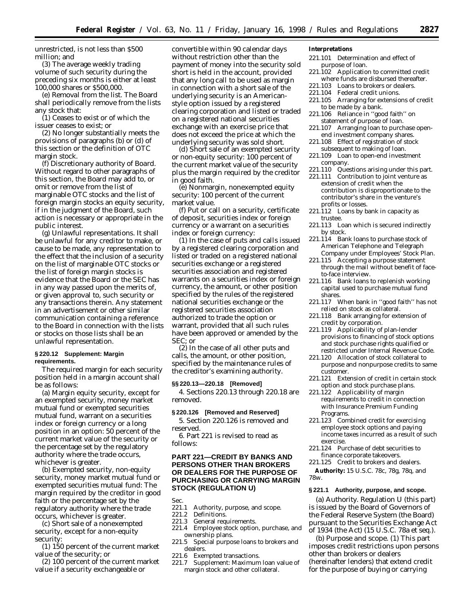unrestricted, is not less than \$500 million; and

(3) The average weekly trading volume of such security during the preceding six months is either at least 100,000 shares or \$500,000.

(e) *Removal from the list.* The Board shall periodically remove from the lists any stock that:

(1) Ceases to exist or of which the issuer ceases to exist; or

(2) No longer substantially meets the provisions of paragraphs (b) or (d) of this section or the definition of OTC margin stock.

(f) *Discretionary authority of Board.* Without regard to other paragraphs of this section, the Board may add to, or omit or remove from the list of marginable OTC stocks and the list of foreign margin stocks an equity security, if in the judgment of the Board, such action is necessary or appropriate in the public interest.

(g) *Unlawful representations.* It shall be unlawful for any creditor to make, or cause to be made, any representation to the effect that the inclusion of a security on the list of marginable OTC stocks or the list of foreign margin stocks is evidence that the Board or the SEC has in any way passed upon the merits of, or given approval to, such security or any transactions therein. Any statement in an advertisement or other similar communication containing a reference to the Board in connection with the lists or stocks on those lists shall be an unlawful representation.

## **§ 220.12 Supplement: Margin requirements.**

The required margin for each security position held in a margin account shall be as follows:

(a) Margin equity security, except for an exempted security, money market mutual fund or exempted securities mutual fund, warrant on a securities index or foreign currency or a long position in an option: 50 percent of the current market value of the security or the percentage set by the regulatory authority where the trade occurs, whichever is greater.

(b) Exempted security, non-equity security, money market mutual fund or exempted securities mutual fund: The margin required by the creditor in good faith or the percentage set by the regulatory authority where the trade occurs, whichever is greater.

(c) Short sale of a nonexempted security, except for a non-equity security:

(1) 150 percent of the current market value of the security; or

(2) 100 percent of the current market value if a security exchangeable or

convertible within 90 calendar days without restriction other than the payment of money into the security sold short is held in the account, provided that any long call to be used as margin in connection with a short sale of the underlying security is an Americanstyle option issued by a registered clearing corporation and listed or traded on a registered national securities exchange with an exercise price that does not exceed the price at which the underlying security was sold short.

(d) Short sale of an exempted security or non-equity security: 100 percent of the current market value of the security plus the margin required by the creditor in good faith.

(e) Nonmargin, nonexempted equity security: 100 percent of the current market value.

(f) Put or call on a security, certificate of deposit, securities index or foreign currency or a warrant on a securities index or foreign currency:

(1) In the case of puts and calls issued by a registered clearing corporation and listed or traded on a registered national securities exchange or a registered securities association and registered warrants on a securities index or foreign currency, the amount, or other position specified by the rules of the registered national securities exchange or the registered securities association authorized to trade the option or warrant, provided that all such rules have been approved or amended by the SEC; or

(2) In the case of all other puts and calls, the amount, or other position, specified by the maintenance rules of the creditor's examining authority.

#### **§§ 220.13—220.18 [Removed]**

4. Sections 220.13 through 220.18 are removed.

### **§ 220.126 [Removed and Reserved]**

5. Section 220.126 is removed and reserved.

6. Part 221 is revised to read as follows:

## **PART 221—CREDIT BY BANKS AND PERSONS OTHER THAN BROKERS OR DEALERS FOR THE PURPOSE OF PURCHASING OR CARRYING MARGIN STOCK (REGULATION U)**

Sec.<br>221.1

- 221.1 Authority, purpose, and scope.<br>221.2 Definitions.
- Definitions
- 221.3 General requirements.
- 221.4 Employee stock option, purchase, and ownership plans.
- 221.5 Special purpose loans to brokers and dealers.
- 221.6 Exempted transactions.
- 221.7 Supplement: Maximum loan value of margin stock and other collateral.

### **Interpretations**

- 221.101 Determination and effect of purpose of loan.
- 221.102 Application to committed credit where funds are disbursed thereafter.
- 221.103 Loans to brokers or dealers.
- 221.104 Federal credit unions.
- 221.105 Arranging for extensions of credit to be made by a bank.
- 221.106 Reliance in ''good faith'' on statement of purpose of loan.
- 221.107 Arranging loan to purchase openend investment company shares.
- 221.108 Effect of registration of stock subsequent to making of loan.
- 221.109 Loan to open-end investment company.
- 221.110 Questions arising under this part.
- 221.111 Contribution to joint venture as extension of credit when the contribution is disproportionate to the contributor's share in the venture's profits or losses.
- 221.112 Loans by bank in capacity as trustee.
- 221.113 Loan which is secured indirectly by stock.
- 221.114 Bank loans to purchase stock of American Telephone and Telegraph Company under Employees' Stock Plan.
- 221.115 Accepting a purpose statement through the mail without benefit of faceto-face interview.
- 221.116 Bank loans to replenish working capital used to purchase mutual fund shares.
- 221.117 When bank in ''good faith'' has not relied on stock as collateral.
- 221.118 Bank arranging for extension of credit by corporation.
- 221.119 Applicability of plan-lender provisions to financing of stock options and stock purchase rights qualified or restricted under Internal Revenue Code.
- 221.120 Allocation of stock collateral to purpose and nonpurpose credits to same customer.
- 221.121 Extension of credit in certain stock option and stock purchase plans.
- 221.122 Applicability of margin requirements to credit in connection with Insurance Premium Funding Programs.
- 221.123 Combined credit for exercising employee stock options and paying income taxes incurred as a result of such exercise.
- 221.124 Purchase of debt securities to finance corporate takeovers.

221.125 Credit to brokers and dealers. **Authority:** 15 U.S.C. 78c, 78g, 78q, and 78w.

#### **§ 221.1 Authority, purpose, and scope.**

(a) *Authority.* Regulation U (this part) is issued by the Board of Governors of the Federal Reserve System (the Board) pursuant to the Securities Exchange Act of 1934 (the Act) (15 U.S.C. 78a *et seq.*).

(b) *Purpose and scope.* (1) This part imposes credit restrictions upon persons other than brokers or dealers (hereinafter lenders) that extend credit for the purpose of buying or carrying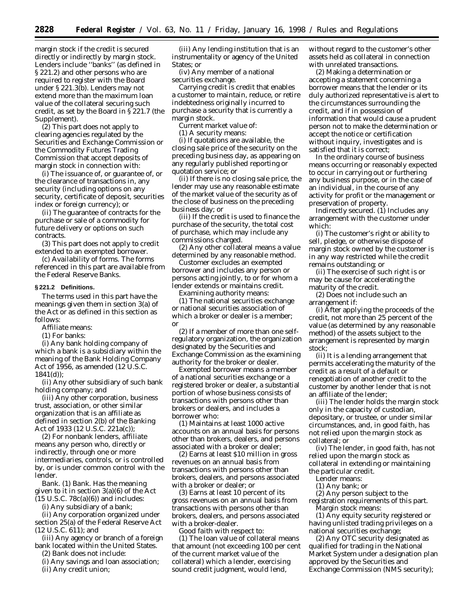margin stock if the credit is secured directly or indirectly by margin stock. Lenders include ''banks'' (as defined in § 221.2) and other persons who are required to register with the Board under § 221.3(b). Lenders may not extend more than the maximum loan value of the collateral securing such credit, as set by the Board in § 221.7 (the Supplement).

(2) This part does not apply to clearing agencies regulated by the Securities and Exchange Commission or the Commodity Futures Trading Commission that accept deposits of margin stock in connection with:

(i) The issuance of, or guarantee of, or the clearance of transactions in, any security (including options on any security, certificate of deposit, securities index or foreign currency); or

(ii) The guarantee of contracts for the purchase or sale of a commodity for future delivery or options on such contracts.

(3) This part does not apply to credit extended to an exempted borrower.

(c) *Availability of forms.* The forms referenced in this part are available from the Federal Reserve Banks.

#### **§ 221.2 Definitions.**

The terms used in this part have the meanings given them in section 3(a) of the Act or as defined in this section as follows:

- *Affiliate* means:
- (1) For banks:

(i) Any bank holding company of which a bank is a subsidiary within the meaning of the Bank Holding Company Act of 1956, as amended (12 U.S.C. 1841(d));

(ii) Any other subsidiary of such bank holding company; and

(iii) Any other corporation, business trust, association, or other similar organization that is an affiliate as defined in section 2(b) of the Banking Act of 1933 (12 U.S.C. 221a(c));

(2) For nonbank lenders, *affiliate* means any person who, directly or indirectly, through one or more intermediaries, controls, or is controlled by, or is under common control with the lender.

*Bank.* (1) *Bank.* Has the meaning given to it in section 3(a)(6) of the Act  $(15 \text{ U.S.C. } 78c(a)(6))$  and includes:

(i) Any subsidiary of a bank;

(ii) Any corporation organized under section 25(a) of the Federal Reserve Act (12 U.S.C. 611); and

(iii) Any agency or branch of a foreign bank located within the United States.

(2) *Bank* does not include:

(i) Any savings and loan association; (ii) Any credit union;

(iii) Any lending institution that is an instrumentality or agency of the United States; or

(iv) Any member of a national securities exchange.

*Carrying* credit is credit that enables a customer to maintain, reduce, or retire indebtedness originally incurred to purchase a security that is currently a margin stock.

*Current market value* of:

(1) A security means:

(i) If quotations are available, the closing sale price of the security on the preceding business day, as appearing on any regularly published reporting or quotation service; or

(ii) If there is no closing sale price, the lender may use any reasonable estimate of the market value of the security as of the close of business on the preceding business day; or

(iii) If the credit is used to finance the purchase of the security, the total cost of purchase, which may include any commissions charged.

(2) Any other collateral means a value determined by any reasonable method.

*Customer* excludes an exempted borrower and includes any person or persons acting jointly, to or for whom a lender extends or maintains credit.

*Examining authority* means:

(1) The national securities exchange or national securities association of which a broker or dealer is a member; or

(2) If a member of more than one selfregulatory organization, the organization designated by the Securities and Exchange Commission as the examining authority for the broker or dealer.

*Exempted borrower* means a member of a national securities exchange or a registered broker or dealer, a substantial portion of whose business consists of transactions with persons other than brokers or dealers, and includes a borrower who:

(1) Maintains at least 1000 active accounts on an annual basis for persons other than brokers, dealers, and persons associated with a broker or dealer;

(2) Earns at least \$10 million in gross revenues on an annual basis from transactions with persons other than brokers, dealers, and persons associated with a broker or dealer; or

(3) Earns at least 10 percent of its gross revenues on an annual basis from transactions with persons other than brokers, dealers, and persons associated with a broker-dealer.

*Good faith* with respect to:

(1) The loan value of collateral means that amount (not exceeding 100 per cent of the current market value of the collateral) which a lender, exercising sound credit judgment, would lend,

without regard to the customer's other assets held as collateral in connection with unrelated transactions.

(2) Making a determination or accepting a statement concerning a borrower means that the lender or its duly authorized representative is alert to the circumstances surrounding the credit, and if in possession of information that would cause a prudent person not to make the determination or accept the notice or certification without inquiry, investigates and is satisfied that it is correct;

*In the ordinary course of business* means occurring or reasonably expected to occur in carrying out or furthering any business purpose, or in the case of an individual, in the course of any activity for profit or the management or preservation of property.

*Indirectly secured.* (1) Includes any arrangement with the customer under which:

(i) The customer's right or ability to sell, pledge, or otherwise dispose of margin stock owned by the customer is in any way restricted while the credit remains outstanding; or

(ii) The exercise of such right is or may be cause for accelerating the maturity of the credit.

(2) Does not include such an arrangement if:

(i) After applying the proceeds of the credit, not more than 25 percent of the value (as determined by any reasonable method) of the assets subject to the arrangement is represented by margin stock;

(ii) It is a lending arrangement that permits accelerating the maturity of the credit as a result of a default or renegotiation of another credit to the customer by another lender that is not an affiliate of the lender;

(iii) The lender holds the margin stock only in the capacity of custodian, depositary, or trustee, or under similar circumstances, and, in good faith, has not relied upon the margin stock as collateral; or

(iv) The lender, in good faith, has not relied upon the margin stock as collateral in extending or maintaining the particular credit.

*Lender* means:

(1) Any bank; or

(2) Any person subject to the

registration requirements of this part. *Margin stock* means:

(1) Any equity security registered or having unlisted trading privileges on a national securities exchange;

(2) Any OTC security designated as qualified for trading in the National Market System under a designation plan approved by the Securities and Exchange Commission (NMS security);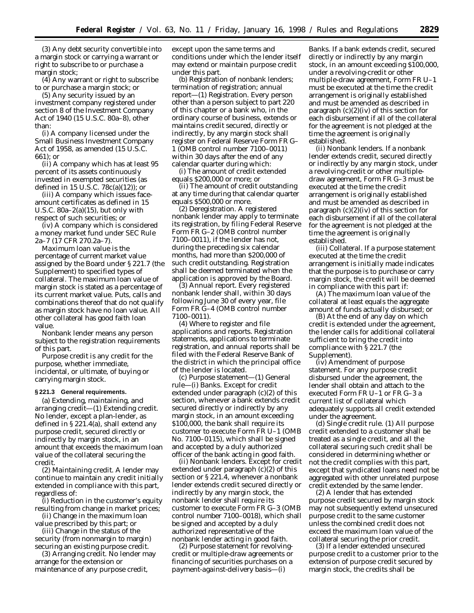(3) Any debt security convertible into a margin stock or carrying a warrant or right to subscribe to or purchase a margin stock;

 $(4)$  Any warrant or right to subscribe to or purchase a margin stock; or

(5) Any security issued by an investment company registered under section 8 of the Investment Company Act of 1940 (15 U.S.C. 80a–8), other than:

(i) A company licensed under the Small Business Investment Company Act of 1958, as amended (15 U.S.C. 661); or

(ii) A company which has at least 95 percent of its assets continuously invested in exempted securities (as defined in 15 U.S.C. 78c(a)(12)); or

(iii) A company which issues faceamount certificates as defined in 15 U.S.C.  $80a-2(a)(15)$ , but only with respect of such securities; or

(iv) A company which is considered a money market fund under SEC Rule 2a–7 (17 CFR 270.2a–7).

*Maximum loan value* is the percentage of current market value assigned by the Board under § 221.7 (the Supplement) to specified types of collateral. The maximum loan value of margin stock is stated as a percentage of its current market value. Puts, calls and combinations thereof that do not qualify as margin stock have no loan value. All other collateral has good faith loan value.

*Nonbank lender* means any person subject to the registration requirements of this part.

*Purpose credit* is any credit for the purpose, whether immediate, incidental, or ultimate, of buying or carrying margin stock.

#### **§ 221.3 General requirements.**

(a) *Extending, maintaining, and arranging credit—*(1) *Extending credit.* No lender, except a plan-lender, as defined in § 221.4(a), shall extend any purpose credit, secured directly or indirectly by margin stock, in an amount that exceeds the maximum loan value of the collateral securing the credit.

(2) *Maintaining credit.* A lender may continue to maintain any credit initially extended in compliance with this part, regardless of:

(i) Reduction in the customer's equity resulting from change in market prices;

(ii) Change in the maximum loan value prescribed by this part; or

(iii) Change in the status of the security (from nonmargin to margin) securing an existing purpose credit.

(3) *Arranging credit*. No lender may arrange for the extension or maintenance of any purpose credit,

except upon the same terms and conditions under which the lender itself may extend or maintain purpose credit under this part.

(b) *Registration of nonbank lenders; termination of registration; annual report*—(1) *Registration*. Every person other than a person subject to part 220 of this chapter or a bank who, in the ordinary course of business, extends or maintains credit secured, directly or indirectly, by any margin stock shall register on Federal Reserve Form FR G– 1 (OMB control number 7100–0011) within 30 days after the end of any calendar quarter during which:

(i) The amount of credit extended equals \$200,000 or more; or

(ii) The amount of credit outstanding at any time during that calendar quarter equals \$500,000 or more.

(2) *Deregistration*. A registered nonbank lender may apply to terminate its registration, by filing Federal Reserve Form FR G–2 (OMB control number 7100–0011), if the lender has not, during the preceding six calendar months, had more than \$200,000 of such credit outstanding. Registration shall be deemed terminated when the application is approved by the Board.

(3) *Annual report*. Every registered nonbank lender shall, within 30 days following June 30 of every year, file Form FR G–4 (OMB control number 7100–0011).

(4) *Where to register and file applications and reports*. Registration statements, applications to terminate registration, and annual reports shall be filed with the Federal Reserve Bank of the district in which the principal office of the lender is located.

(c) *Purpose statement*—(1) *General rule*—(i) *Banks*. Except for credit extended under paragraph (c)(2) of this section, whenever a bank extends credit secured directly or indirectly by any margin stock, in an amount exceeding \$100,000, the bank shall require its customer to execute Form FR U–1 (OMB No. 7100–0115), which shall be signed and accepted by a duly authorized officer of the bank acting in good faith.

(ii) *Nonbank lenders*. Except for credit extended under paragraph (c)(2) of this section or § 221.4, whenever a nonbank lender extends credit secured directly or indirectly by any margin stock, the nonbank lender shall require its customer to execute Form FR G–3 (OMB control number 7100–0018), which shall be signed and accepted by a duly authorized representative of the nonbank lender acting in good faith.

(2) *Purpose statement for revolvingcredit or multiple-draw agreements or financing of securities purchases on a payment-against-delivery basis*—(i)

*Banks*. If a bank extends credit, secured directly or indirectly by any margin stock, in an amount exceeding \$100,000, under a revolving-credit or other multiple-draw agreement, Form FR U–1 must be executed at the time the credit arrangement is originally established and must be amended as described in paragraph  $(c)(2)(iv)$  of this section for each disbursement if all of the collateral for the agreement is not pledged at the time the agreement is originally established.

(ii) *Nonbank lenders*. If a nonbank lender extends credit, secured directly or indirectly by any margin stock, under a revolving-credit or other multipledraw agreement, Form FR G–3 must be executed at the time the credit arrangement is originally established and must be amended as described in paragraph  $(c)(2)(iv)$  of this section for each disbursement if all of the collateral for the agreement is not pledged at the time the agreement is originally established.

(iii) *Collateral*. If a purpose statement executed at the time the credit arrangement is initially made indicates that the purpose is to purchase or carry margin stock, the credit will be deemed in compliance with this part if:

(A) The maximum loan value of the collateral at least equals the aggregate amount of funds actually disbursed; or

(B) At the end of any day on which credit is extended under the agreement, the lender calls for additional collateral sufficient to bring the credit into compliance with § 221.7 (the Supplement).

(iv) *Amendment of purpose statement*. For any purpose credit disbursed under the agreement, the lender shall obtain and attach to the executed Form FR U–1 or FR G–3 a current list of collateral which adequately supports all credit extended under the agreement.

(d) *Single credit rule*. (1) All purpose credit extended to a customer shall be treated as a single credit, and all the collateral securing such credit shall be considered in determining whether or not the credit complies with this part, except that syndicated loans need not be aggregated with other unrelated purpose credit extended by the same lender.

(2) A lender that has extended purpose credit secured by margin stock may not subsequently extend unsecured purpose credit to the same customer unless the combined credit does not exceed the maximum loan value of the collateral securing the prior credit.

(3) If a lender extended unsecured purpose credit to a customer prior to the extension of purpose credit secured by margin stock, the credits shall be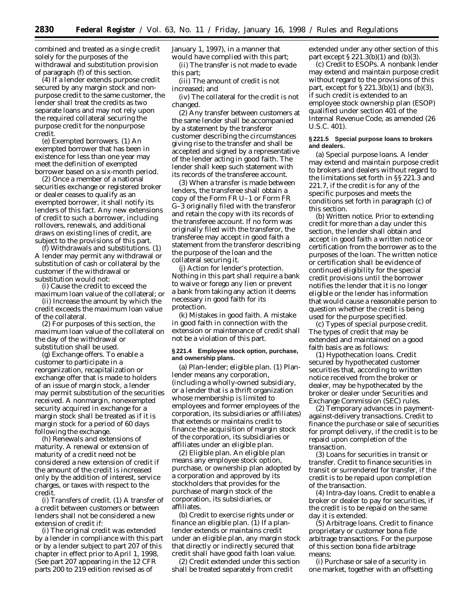combined and treated as a single credit solely for the purposes of the withdrawal and substitution provision of paragraph (f) of this section.

(4) If a lender extends purpose credit secured by any margin stock and nonpurpose credit to the same customer, the lender shall treat the credits as two separate loans and may not rely upon the required collateral securing the purpose credit for the nonpurpose credit.

(e) *Exempted borrowers*. (1) An exempted borrower that has been in existence for less than one year may meet the definition of exempted borrower based on a six-month period.

(2) Once a member of a national securities exchange or registered broker or dealer ceases to qualify as an exempted borrower, it shall notify its lenders of this fact. Any new extensions of credit to such a borrower, including rollovers, renewals, and additional draws on existing lines of credit, are subject to the provisions of this part.

(f) *Withdrawals and substitutions*. (1) A lender may permit any withdrawal or substitution of cash or collateral by the customer if the withdrawal or substitution would not:

(i) Cause the credit to exceed the maximum loan value of the collateral; or

(ii) Increase the amount by which the credit exceeds the maximum loan value of the collateral.

(2) For purposes of this section, the maximum loan value of the collateral on the day of the withdrawal or substitution shall be used.

(g) *Exchange offers*. To enable a customer to participate in a reorganization, recapitalization or exchange offer that is made to holders of an issue of margin stock, a lender may permit substitution of the securities received. A nonmargin, nonexempted security acquired in exchange for a margin stock shall be treated as if it is margin stock for a period of 60 days following the exchange.

(h) *Renewals and extensions of maturity*. A renewal or extension of maturity of a credit need not be considered a new extension of credit if the amount of the credit is increased only by the addition of interest, service charges, or taxes with respect to the credit.

(i) *Transfers of credit*. (1) A transfer of a credit between customers or between lenders shall not be considered a new extension of credit if:

(i) The original credit was extended by a lender in compliance with this part or by a lender subject to part 207 of this chapter in effect prior to April 1, 1998, (See part 207 appearing in the 12 CFR parts 200 to 219 edition revised as of

January 1, 1997), in a manner that would have complied with this part;

(ii) The transfer is not made to evade this part;

(iii) The amount of credit is not increased; and

(iv) The collateral for the credit is not changed.

(2) Any transfer between customers at the same lender shall be accompanied by a statement by the transferor customer describing the circumstances giving rise to the transfer and shall be accepted and signed by a representative of the lender acting in good faith. The lender shall keep such statement with its records of the transferee account.

(3) When a transfer is made between lenders, the transferee shall obtain a copy of the Form FR U–1 or Form FR G–3 originally filed with the transferor and retain the copy with its records of the transferee account. If no form was originally filed with the transferor, the transferee may accept in good faith a statement from the transferor describing the purpose of the loan and the collateral securing it.

(j) *Action for lender's protection.* Nothing in this part shall require a bank to waive or forego any lien or prevent a bank from taking any action it deems necessary in good faith for its protection.

(k) *Mistakes in good faith.* A mistake in good faith in connection with the extension or maintenance of credit shall not be a violation of this part.

#### **§ 221.4 Employee stock option, purchase, and ownership plans.**

(a) *Plan-lender; eligible plan.* (1) Planlender means any corporation, (including a wholly-owned subsidiary, or a lender that is a thrift organization whose membership is limited to employees and former employees of the corporation, its subsidiaries or affiliates) that extends or maintains credit to finance the acquisition of margin stock of the corporation, its subsidiaries or affiliates under an eligible plan.

(2) *Eligible plan.* An eligible plan means any employee stock option, purchase, or ownership plan adopted by a corporation and approved by its stockholders that provides for the purchase of margin stock of the corporation, its subsidiaries, or affiliates.

(b) *Credit to exercise rights under or finance an eligible plan.* (1) If a planlender extends or maintains credit under an eligible plan, any margin stock that directly or indirectly secured that credit shall have good faith loan value.

(2) Credit extended under this section shall be treated separately from credit

extended under any other section of this part except  $\S 221.3(b)(1)$  and  $(b)(3)$ .

(c) *Credit to ESOPs.* A nonbank lender may extend and maintain purpose credit without regard to the provisions of this part, except for  $\S 221.3(b)(1)$  and  $(b)(3)$ , if such credit is extended to an employee stock ownership plan (ESOP) qualified under section 401 of the Internal Revenue Code, as amended (26 U.S.C. 401).

### **§ 221.5 Special purpose loans to brokers and dealers.**

(a) *Special purpose loans.* A lender may extend and maintain purpose credit to brokers and dealers without regard to the limitations set forth in §§ 221.3 and 221.7, if the credit is for any of the specific purposes and meets the conditions set forth in paragraph (c) of this section.

(b) *Written notice.* Prior to extending credit for more than a day under this section, the lender shall obtain and accept in good faith a written notice or certification from the borrower as to the purposes of the loan. The written notice or certification shall be evidence of continued eligibility for the special credit provisions until the borrower notifies the lender that it is no longer eligible or the lender has information that would cause a reasonable person to question whether the credit is being used for the purpose specified.

(c) *Types of special purpose credit.* The types of credit that may be extended and maintained on a good faith basis are as follows:

(1) *Hypothecation loans.* Credit secured by hypothecated customer securities that, according to written notice received from the broker or dealer, may be hypothecated by the broker or dealer under Securities and Exchange Commission (SEC) rules.

(2) *Temporary advances in paymentagainst-delivery transactions.* Credit to finance the purchase or sale of securities for prompt delivery, if the credit is to be repaid upon completion of the transaction.

(3) *Loans for securities in transit or transfer.* Credit to finance securities in transit or surrendered for transfer, if the credit is to be repaid upon completion of the transaction.

(4) *Intra-day loans.* Credit to enable a broker or dealer to pay for securities, if the credit is to be repaid on the same day it is extended.

(5) *Arbitrage loans.* Credit to finance proprietary or customer bona fide arbitrage transactions. For the purpose of this section bona fide arbitrage means:

(i) Purchase or sale of a security in one market, together with an offsetting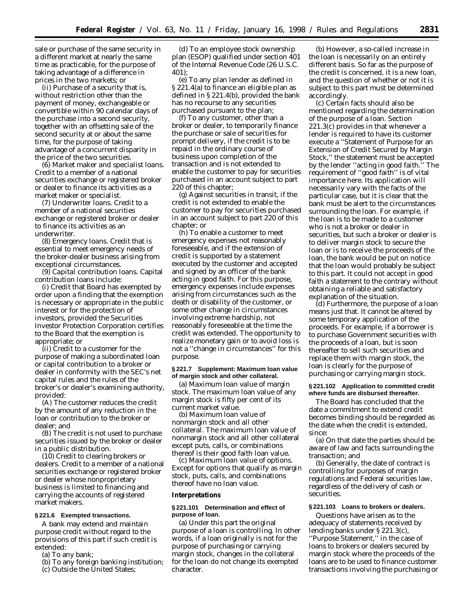sale or purchase of the same security in a different market at nearly the same time as practicable, for the purpose of taking advantage of a difference in prices in the two markets; or

(ii) Purchase of a security that is, without restriction other than the payment of money, exchangeable or convertible within 90 calendar days of the purchase into a second security, together with an offsetting sale of the second security at or about the same time, for the purpose of taking advantage of a concurrent disparity in the price of the two securities.

(6) *Market maker and specialist loans.* Credit to a member of a national securities exchange or registered broker or dealer to finance its activities as a market maker or specialist.

(7) *Underwriter loans.* Credit to a member of a national securities exchange or registered broker or dealer to finance its activities as an underwriter.

(8) *Emergency loans.* Credit that is essential to meet emergency needs of the broker-dealer business arising from exceptional circumstances.

(9) *Capital contribution loans.* Capital contribution loans include:

(i) Credit that Board has exempted by order upon a finding that the exemption is necessary or appropriate in the public interest or for the protection of investors, provided the Securities Investor Protection Corporation certifies to the Board that the exemption is appropriate; or

(ii) Credit to a customer for the purpose of making a subordinated loan or capital contribution to a broker or dealer in conformity with the SEC's net capital rules and the rules of the broker's or dealer's examining authority, provided:

(A) The customer reduces the credit by the amount of any reduction in the loan or contribution to the broker or dealer; and

(B) The credit is not used to purchase securities issued by the broker or dealer in a public distribution.

(10) Credit to clearing brokers or dealers. Credit to a member of a national securities exchange or registered broker or dealer whose nonproprietary business is limited to financing and carrying the accounts of registered market makers.

## **§ 221.6 Exempted transactions.**

A bank may extend and maintain purpose credit without regard to the provisions of this part if such credit is extended:

- (a) To any bank;
- (b) To any foreign banking institution;
- (c) Outside the United States;

(d) To an employee stock ownership plan (ESOP) qualified under section 401 of the Internal Revenue Code (26 U.S.C. 401);

(e) To any plan lender as defined in § 221.4(a) to finance an eligible plan as defined in § 221.4(b), provided the bank has no recourse to any securities purchased pursuant to the plan;

(f) To any customer, other than a broker or dealer, to temporarily finance the purchase or sale of securities for prompt delivery, if the credit is to be repaid in the ordinary course of business upon completion of the transaction and is not extended to enable the customer to pay for securities purchased in an account subject to part 220 of this chapter;

(g) Against securities in transit, if the credit is not extended to enable the customer to pay for securities purchased in an account subject to part 220 of this chapter; or

(h) To enable a customer to meet emergency expenses not reasonably foreseeable, and if the extension of credit is supported by a statement executed by the customer and accepted and signed by an officer of the bank acting in good faith. For this purpose, emergency expenses include expenses arising from circumstances such as the death or disability of the customer, or some other change in circumstances involving extreme hardship, not reasonably foreseeable at the time the credit was extended. The opportunity to realize monetary gain or to avoid loss is not a ''change in circumstances'' for this purpose.

## **§ 221.7 Supplement: Maximum loan value of margin stock and other collateral.**

(a) *Maximum loan value of margin stock.* The maximum loan value of any margin stock is fifty per cent of its current market value.

(b) *Maximum loan value of nonmargin stock and all other collateral.* The maximum loan value of nonmargin stock and all other collateral except puts, calls, or combinations thereof is their good faith loan value.

(c) *Maximum loan value of options.* Except for options that qualify as margin stock, puts, calls, and combinations thereof have no loan value.

#### **Interpretations**

### **§ 221.101 Determination and effect of purpose of loan.**

(a) Under this part the original purpose of a loan is controlling. In other words, if a loan originally is not for the purpose of purchasing or carrying margin stock, changes in the collateral for the loan do not change its exempted character.

(b) However, a so-called increase in the loan is necessarily on an entirely different basis. So far as the purpose of the credit is concerned, it is a new loan, and the question of whether or not it is subject to this part must be determined accordingly.

(c) Certain facts should also be mentioned regarding the determination of the purpose of a loan. Section 221.3(c) provides in that whenever a lender is required to have its customer execute a ''Statement of Purpose for an Extension of Credit Secured by Margin Stock,'' the statement must be accepted by the lender ''acting in good faith.'' The requirement of ''good faith'' is of vital importance here. Its application will necessarily vary with the facts of the particular case, but it is clear that the bank must be alert to the circumstances surrounding the loan. For example, if the loan is to be made to a customer who is not a broker or dealer in securities, but such a broker or dealer is to deliver margin stock to secure the loan or is to receive the proceeds of the loan, the bank would be put on notice that the loan would probably be subject to this part. It could not accept in good faith a statement to the contrary without obtaining a reliable and satisfactory explanation of the situation.

(d) Furthermore, the purpose of a loan means just that. It cannot be altered by some temporary application of the proceeds. For example, if a borrower is to purchase Government securities with the proceeds of a loan, but is soon thereafter to sell such securities and replace them with margin stock, the loan is clearly for the purpose of purchasing or carrying margin stock.

### **§ 221.102 Application to committed credit where funds are disbursed thereafter.**

The Board has concluded that the date a commitment to extend credit becomes binding should be regarded as the date when the credit is extended, since:

(a) On that date the parties should be aware of law and facts surrounding the transaction; and

(b) Generally, the date of contract is controlling for purposes of margin regulations and Federal securities law, regardless of the delivery of cash or securities.

## **§ 221.103 Loans to brokers or dealers.**

Questions have arisen as to the adequacy of statements received by lending banks under § 221.3(c), ''Purpose Statement,'' in the case of loans to brokers or dealers secured by margin stock where the proceeds of the loans are to be used to finance customer transactions involving the purchasing or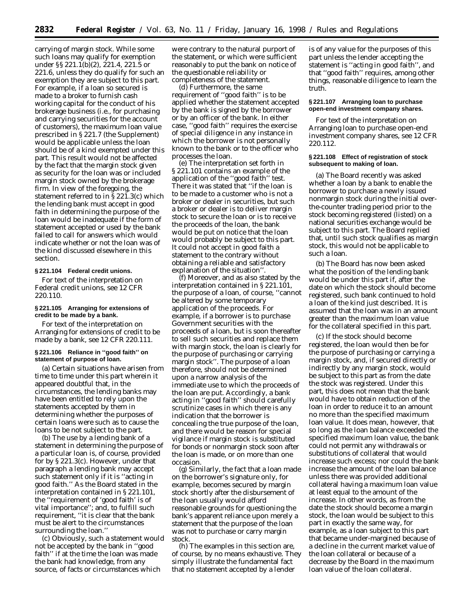carrying of margin stock. While some such loans may qualify for exemption under §§ 221.1(b)(2), 221.4, 221.5 or 221.6, unless they do qualify for such an exemption they are subject to this part. For example, if a loan so secured is made to a broker to furnish cash working capital for the conduct of his brokerage business (i.e., for purchasing and carrying securities for the account of customers), the maximum loan value prescribed in § 221.7 (the Supplement) would be applicable unless the loan should be of a kind exempted under this part. This result would not be affected by the fact that the margin stock given as security for the loan was or included margin stock owned by the brokerage firm. In view of the foregoing, the statement referred to in § 221.3(c) which the lending bank must accept in good faith in determining the purpose of the loan would be inadequate if the form of statement accepted or used by the bank failed to call for answers which would indicate whether or not the loan was of the kind discussed elsewhere in this section.

## **§ 221.104 Federal credit unions.**

For text of the interpretation on Federal credit unions, see 12 CFR 220.110.

### **§ 221.105 Arranging for extensions of credit to be made by a bank.**

For text of the interpretation on Arranging for extensions of credit to be made by a bank, see 12 CFR 220.111.

### **§ 221.106 Reliance in ''good faith'' on statement of purpose of loan.**

(a) Certain situations have arisen from time to time under this part wherein it appeared doubtful that, in the circumstances, the lending banks may have been entitled to rely upon the statements accepted by them in determining whether the purposes of certain loans were such as to cause the loans to be not subject to the part.

(b) The use by a lending bank of a statement in determining the purpose of a particular loan is, of course, provided for by § 221.3(c). However, under that paragraph a lending bank may accept such statement only if it is ''acting in good faith.'' As the Board stated in the interpretation contained in § 221.101, the ''requirement of 'good faith' is of vital importance''; and, to fulfill such requirement, ''it is clear that the bank must be alert to the circumstances surrounding the loan.''

(c) Obviously, such a statement would not be accepted by the bank in ''good faith'' if at the time the loan was made the bank had knowledge, from any source, of facts or circumstances which

were contrary to the natural purport of the statement, or which were sufficient reasonably to put the bank on notice of the questionable reliability or completeness of the statement.

(d) Furthermore, the same requirement of ''good faith'' is to be applied whether the statement accepted by the bank is signed by the borrower or by an officer of the bank. In either case, ''good faith'' requires the exercise of special diligence in any instance in which the borrower is not personally known to the bank or to the officer who processes the loan.

(e) The interpretation set forth in § 221.101 contains an example of the application of the ''good faith'' test. There it was stated that ''if the loan is to be made to a customer who is not a broker or dealer in securities, but such a broker or dealer is to deliver margin stock to secure the loan or is to receive the proceeds of the loan, the bank would be put on notice that the loan would probably be subject to this part. It could not accept in good faith a statement to the contrary without obtaining a reliable and satisfactory explanation of the situation''.

(f) Moreover, and as also stated by the interpretation contained in § 221.101, the purpose of a loan, of course, ''cannot be altered by some temporary application of the proceeds. For example, if a borrower is to purchase Government securities with the proceeds of a loan, but is soon thereafter to sell such securities and replace them with margin stock, the loan is clearly for the purpose of purchasing or carrying margin stock''. The purpose of a loan therefore, should not be determined upon a narrow analysis of the immediate use to which the proceeds of the loan are put. Accordingly, a bank acting in ''good faith'' should carefully scrutinize cases in which there is any indication that the borrower is concealing the true purpose of the loan, and there would be reason for special vigilance if margin stock is substituted for bonds or nonmargin stock soon after the loan is made, or on more than one occasion.

(g) Similarly, the fact that a loan made on the borrower's signature only, for example, becomes secured by margin stock shortly after the disbursement of the loan usually would afford reasonable grounds for questioning the bank's apparent reliance upon merely a statement that the purpose of the loan was not to purchase or carry margin stock.

(h) The examples in this section are, of course, by no means exhaustive. They simply illustrate the fundamental fact that no statement accepted by a lender

is of any value for the purposes of this part unless the lender accepting the statement is ''acting in good faith'', and that ''good faith'' requires, among other things, reasonable diligence to learn the truth.

### **§ 221.107 Arranging loan to purchase open-end investment company shares.**

For text of the interpretation on Arranging loan to purchase open-end investment company shares, see 12 CFR 220.112.

### **§ 221.108 Effect of registration of stock subsequent to making of loan.**

(a) The Board recently was asked whether a loan by a bank to enable the borrower to purchase a newly issued nonmargin stock during the initial overthe-counter trading period prior to the stock becoming registered (listed) on a national securities exchange would be subject to this part. The Board replied that, until such stock qualifies as margin stock, this would not be applicable to such a loan.

(b) The Board has now been asked what the position of the lending bank would be under this part if, after the date on which the stock should become registered, such bank continued to hold a loan of the kind just described. It is assumed that the loan was in an amount greater than the maximum loan value for the collateral specified in this part.

(c) If the stock should become registered, the loan would then be for the purpose of purchasing or carrying a margin stock, and, if secured directly or indirectly by any margin stock, would be subject to this part as from the date the stock was registered. Under this part, this does not mean that the bank would have to obtain reduction of the loan in order to reduce it to an amount no more than the specified maximum loan value. It does mean, however, that so long as the loan balance exceeded the specified maximum loan value, the bank could not permit any withdrawals or substitutions of collateral that would increase such excess; nor could the bank increase the amount of the loan balance unless there was provided additional collateral having a maximum loan value at least equal to the amount of the increase. In other words, as from the date the stock should become a margin stock, the loan would be subject to this part in exactly the same way, for example, as a loan subject to this part that became under-margined because of a decline in the current market value of the loan collateral or because of a decrease by the Board in the maximum loan value of the loan collateral.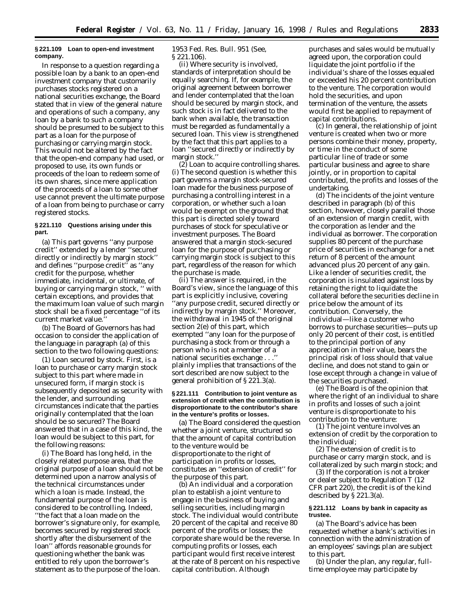### **§ 221.109 Loan to open-end investment company.**

In response to a question regarding a possible loan by a bank to an open-end investment company that customarily purchases stocks registered on a national securities exchange, the Board stated that in view of the general nature and operations of such a company, any loan by a bank to such a company should be presumed to be subject to this part as a loan for the purpose of purchasing or carrying margin stock. This would not be altered by the fact that the open-end company had used, or proposed to use, its own funds or proceeds of the loan to redeem some of its own shares, since mere application of the proceeds of a loan to some other use cannot prevent the ultimate purpose of a loan from being to purchase or carry registered stocks.

## **§ 221.110 Questions arising under this part.**

(a) This part governs ''any purpose credit'' extended by a lender ''secured directly or indirectly by margin stock'' and defines ''purpose credit'' as ''any credit for the purpose, whether immediate, incidental, or ultimate, of buying or carrying margin stock, '' with certain exceptions, and provides that the maximum loan value of such margin stock shall be a fixed percentage ''of its current market value.''

(b) The Board of Governors has had occasion to consider the application of the language in paragraph (a) of this section to the two following questions:

(1) *Loan secured by stock.* First, is a loan to purchase or carry margin stock subject to this part where made in unsecured form, if margin stock is subsequently deposited as security with the lender, and surrounding circumstances indicate that the parties originally contemplated that the loan should be so secured? The Board answered that in a case of this kind, the loan would be subject to this part, for the following reasons:

(i) The Board has long held, in the closely related purpose area, that the original purpose of a loan should not be determined upon a narrow analysis of the technical circumstances under which a loan is made. Instead, the fundamental purpose of the loan is considered to be controlling. Indeed, ''the fact that a loan made on the borrower's signature only, for example, becomes secured by registered stock shortly after the disbursement of the loan'' affords reasonable grounds for questioning whether the bank was entitled to rely upon the borrower's statement as to the purpose of the loan.

1953 Fed. Res. Bull. 951 (*See,* § 221.106).

(ii) Where security is involved, standards of interpretation should be equally searching. If, for example, the original agreement between borrower and lender contemplated that the loan should be secured by margin stock, and such stock is in fact delivered to the bank when available, the transaction must be regarded as fundamentally a secured loan. This view is strengthened by the fact that this part applies to a loan ''secured directly or indirectly by margin stock.''

(2) *Loan to acquire controlling shares.* (i) The second question is whether this part governs a margin stock-secured loan made for the business purpose of purchasing a controlling interest in a corporation, or whether such a loan would be exempt on the ground that this part is directed solely toward purchases of stock for speculative or investment purposes. The Board answered that a margin stock-secured loan for the purpose of purchasing or carrying margin stock is subject to this part, regardless of the reason for which the purchase is made.

(ii) The answer is required, in the Board's view, since the language of this part is explicitly inclusive, covering 'any purpose credit, secured directly or indirectly by margin stock.'' Moreover, the withdrawal in 1945 of the original section 2(e) of this part, which exempted ''any loan for the purpose of purchasing a stock from or through a person who is not a member of a national securities exchange . . . plainly implies that transactions of the sort described are now subject to the general prohibition of § 221.3(a).

### **§ 221.111 Contribution to joint venture as extension of credit when the contribution is disproportionate to the contributor's share in the venture's profits or losses.**

(a) The Board considered the question whether a joint venture, structured so that the amount of capital contribution to the venture would be disproportionate to the right of participation in profits or losses, constitutes an ''extension of credit'' for the purpose of this part.

(b) An individual and a corporation plan to establish a joint venture to engage in the business of buying and selling securities, including margin stock. The individual would contribute 20 percent of the capital and receive 80 percent of the profits or losses; the corporate share would be the reverse. In computing profits or losses, each participant would first receive interest at the rate of 8 percent on his respective capital contribution. Although

purchases and sales would be mutually agreed upon, the corporation could liquidate the joint portfolio if the individual's share of the losses equaled or exceeded his 20 percent contribution to the venture. The corporation would hold the securities, and upon termination of the venture, the assets would first be applied to repayment of capital contributions.

(c) In general, the relationship of joint venture is created when two or more persons combine their money, property, or time in the conduct of some particular line of trade or some particular business and agree to share jointly, or in proportion to capital contributed, the profits and losses of the undertaking.

(d) The incidents of the joint venture described in paragraph (b) of this section, however, closely parallel those of an extension of margin credit, with the corporation as lender and the individual as borrower. The corporation supplies 80 percent of the purchase price of securities in exchange for a net return of 8 percent of the amount advanced plus 20 percent of any gain. Like a lender of securities credit, the corporation is insulated against loss by retaining the right to liquidate the collateral before the securities decline in price below the amount of its contribution. Conversely, the individual—like a customer who borrows to purchase securities—puts up only 20 percent of their cost, is entitled to the principal portion of any appreciation in their value, bears the principal risk of loss should that value decline, and does not stand to gain or lose except through a change in value of the securities purchased.

(e) The Board is of the opinion that where the right of an individual to share in profits and losses of such a joint venture is disproportionate to his contribution to the venture:

(1) The joint venture involves an extension of credit by the corporation to the individual;

(2) The extension of credit is to purchase or carry margin stock, and is collateralized by such margin stock; and

(3) If the corporation is not a broker or dealer subject to Regulation T (12 CFR part 220), the credit is of the kind described by § 221.3(a).

### **§ 221.112 Loans by bank in capacity as trustee.**

(a) The Board's advice has been requested whether a bank's activities in connection with the administration of an employees' savings plan are subject to this part.

(b) Under the plan, any regular, fulltime employee may participate by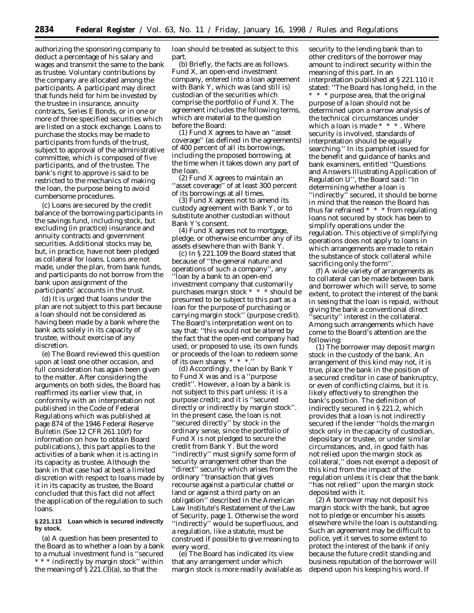authorizing the sponsoring company to deduct a percentage of his salary and wages and transmit the same to the bank as trustee. Voluntary contributions by the company are allocated among the participants. A participant may direct that funds held for him be invested by the trustee in insurance, annuity contracts, Series E Bonds, or in one or more of three specified securities which are listed on a stock exchange. Loans to purchase the stocks may be made to participants from funds of the trust, subject to approval of the administrative committee, which is composed of five participants, and of the trustee. The bank's right to approve is said to be restricted to the mechanics of making the loan, the purpose being to avoid cumbersome procedures.

(c) Loans are secured by the credit balance of the borrowing participants in the savings fund, including stock, but excluding (in practice) insurance and annuity contracts and government securities. Additional stocks may be, but, in practice, have not been pledged as collateral for loans. Loans are not made, under the plan, from bank funds, and participants do not borrow from the bank upon assignment of the participants' accounts in the trust.

(d) It is urged that loans under the plan are not subject to this part because a loan should not be considered as having been made by a bank where the bank acts solely in its capacity of trustee, without exercise of any discretion.

(e) The Board reviewed this question upon at least one other occasion, and full consideration has again been given to the matter. After considering the arguments on both sides, the Board has reaffirmed its earlier view that, in conformity with an interpretation not published in the Code of Federal Regulations which was published at page 874 of the 1946 Federal Reserve Bulletin (*See* 12 CFR 261.10(f) for information on how to obtain Board publications.), this part applies to the activities of a bank when it is acting in its capacity as trustee. Although the bank in that case had at best a limited discretion with respect to loans made by it in its capacity as trustee, the Board concluded that this fact did not affect the application of the regulation to such loans.

## **§ 221.113 Loan which is secured indirectly by stock.**

(a) A question has been presented to the Board as to whether a loan by a bank to a mutual investment fund is ''secured \* \* \* indirectly by margin stock'' within the meaning of  $\S 221.(3)(a)$ , so that the

loan should be treated as subject to this part.

(b) Briefly, the facts are as follows. Fund X, an open-end investment company, entered into a loan agreement with Bank Y, which was (and still is) custodian of the securities which comprise the portfolio of Fund X. The agreement includes the following terms, which are material to the question before the Board:

(1) Fund X agrees to have an ''asset coverage'' (as defined in the agreements) of 400 percent of all its borrowings, including the proposed borrowing, at the time when it takes down any part of the loan.

(2) Fund X agrees to maintain an ''asset coverage'' of at least 300 percent of its borrowings at all times.

(3) Fund X agrees not to amend its custody agreement with Bank Y, or to substitute another custodian without Bank Y's consent.

(4) Fund X agrees not to mortgage, pledge, or otherwise encumber any of its assets elsewhere than with Bank Y.

(c) In § 221.109 the Board stated that because of ''the general nature and operations of such a company'', any ''loan by a bank to an open-end investment company that customarily purchases margin stock \* \* \* should be presumed to be subject to this part as a loan for the purpose of purchasing or carrying margin stock'' (purpose credit). The Board's interpretation went on to say that: ''this would not be altered by the fact that the open-end company had used, or proposed to use, its own funds or proceeds of the loan to redeem some of its own shares \* \* \*.''

(d) Accordingly, the loan by Bank Y to Fund X was and is a ''purpose credit''. However, a loan by a bank is not subject to this part unless: it is a purpose credit; and it is ''secured directly or indirectly by margin stock''. In the present case, the loan is not ''secured directly'' by stock in the ordinary sense, since the portfolio of Fund X is not pledged to secure the credit from Bank Y. But the word ''indirectly'' must signify some form of security arrangement other than the ''direct'' security which arises from the ordinary ''transaction that gives recourse against a particular chattel or land or against a third party on an obligation'' described in the American Law Institute's Restatement of the Law of Security, page 1. Otherwise the word ''indirectly'' would be superfluous, and a regulation, like a statute, must be construed if possible to give meaning to every word.

(e) The Board has indicated its view that any arrangement under which margin stock is more readily available as security to the lending bank than to other creditors of the borrower may amount to indirect security within the meaning of this part. In an interpretation published at § 221.110 it stated: ''The Board has long held, in the \* \* \* purpose area, that the original purpose of a loan should not be determined upon a narrow analysis of the technical circumstances under which a loan is made \* \* \* \* . Where security is involved, standards of interpretation should be equally searching.'' In its pamphlet issued for the benefit and guidance of banks and bank examiners, entitled ''Questions and Answers Illustrating Application of Regulation U'', the Board said: ''In determining whether a loan is "indirectly" secured, it should be borne in mind that the reason the Board has thus far refrained \* \* \* from regulating loans not secured by stock has been to simplify operations under the regulation. This objective of simplifying operations does not apply to loans in which arrangements are made to retain the substance of stock collateral while sacrificing only the form''.

(f) A wide variety of arrangements as to collateral can be made between bank and borrower which will serve, to some extent, to protect the interest of the bank in seeing that the loan is repaid, without giving the bank a conventional direct 'security'' interest in the collateral. Among such arrangements which have come to the Board's attention are the following:

(1) The borrower may deposit margin stock in the custody of the bank. An arrangement of this kind may not, it is true, place the bank in the position of a secured creditor in case of bankruptcy, or even of conflicting claims, but it is likely effectively to strengthen the bank's position. The definition of *indirectly secured* in § 221.2, which provides that a loan is not indirectly secured if the lender ''holds the margin stock only in the capacity of custodian, depositary or trustee, or under similar circumstances, and, in good faith has not relied upon the margin stock as collateral,'' does not exempt a deposit of this kind from the impact of the regulation unless it is clear that the bank ''has not relied'' upon the margin stock deposited with it.

(2) A borrower may not deposit his margin stock with the bank, but agree not to pledge or encumber his assets elsewhere while the loan is outstanding. Such an agreement may be difficult to police, yet it serves to some extent to protect the interest of the bank if only because the future credit standing and business reputation of the borrower will depend upon his keeping his word. If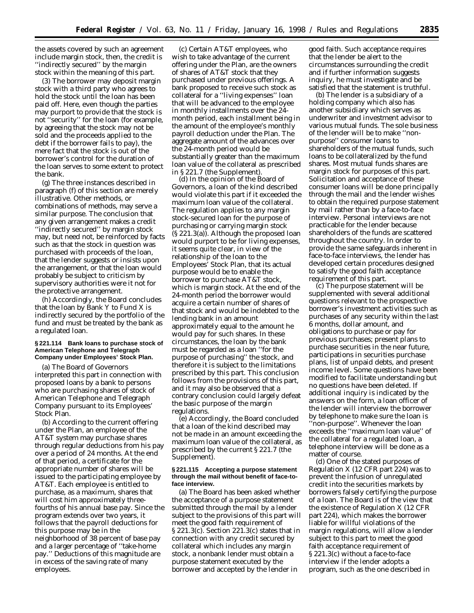the assets covered by such an agreement include margin stock, then, the credit is ''indirectly secured'' by the margin stock within the meaning of this part.

(3) The borrower may deposit margin stock with a third party who agrees to hold the stock until the loan has been paid off. Here, even though the parties may purport to provide that the stock is not ''security'' for the loan (for example, by agreeing that the stock may not be sold and the proceeds applied to the debt if the borrower fails to pay), the mere fact that the stock is out of the borrower's control for the duration of the loan serves to some extent to protect the bank.

(g) The three instances described in paragraph (f) of this section are merely illustrative. Other methods, or combinations of methods, may serve a similar purpose. The conclusion that any given arrangement makes a credit ''indirectly secured'' by margin stock may, but need not, be reinforced by facts such as that the stock in question was purchased with proceeds of the loan, that the lender suggests or insists upon the arrangement, or that the loan would probably be subject to criticism by supervisory authorities were it not for the protective arrangement.

(h) Accordingly, the Board concludes that the loan by Bank Y to Fund X is indirectly secured by the portfolio of the fund and must be treated by the bank as a regulated loan.

### **§ 221.114 Bank loans to purchase stock of American Telephone and Telegraph Company under Employees' Stock Plan.**

(a) The Board of Governors interpreted this part in connection with proposed loans by a bank to persons who are purchasing shares of stock of American Telephone and Telegraph Company pursuant to its Employees' Stock Plan.

(b) According to the current offering under the Plan, an employee of the AT&T system may purchase shares through regular deductions from his pay over a period of 24 months. At the end of that period, a certificate for the appropriate number of shares will be issued to the participating employee by AT&T. Each employee is entitled to purchase, as a maximum, shares that will cost him approximately threefourths of his annual base pay. Since the program extends over two years, it follows that the payroll deductions for this purpose may be in the neighborhood of 38 percent of base pay and a larger percentage of ''take-home pay.'' Deductions of this magnitude are in excess of the saving rate of many employees.

(c) Certain AT&T employees, who wish to take advantage of the current offering under the Plan, are the owners of shares of AT&T stock that they purchased under previous offerings. A bank proposed to receive such stock as collateral for a ''living expenses'' loan that will be advanced to the employee in monthly installments over the 24 month period, each installment being in the amount of the employee's monthly payroll deduction under the Plan. The aggregate amount of the advances over the 24-month period would be substantially greater than the maximum loan value of the collateral as prescribed in § 221.7 (the Supplement).

(d) In the opinion of the Board of Governors, a loan of the kind described would violate this part if it exceeded the maximum loan value of the collateral. The regulation applies to any margin stock-secured loan for the purpose of purchasing or carrying margin stock (§ 221.3(a)). Although the proposed loan would purport to be for living expenses, it seems quite clear, in view of the relationship of the loan to the Employees' Stock Plan, that its actual purpose would be to enable the borrower to purchase AT&T stock, which is margin stock. At the end of the 24-month period the borrower would acquire a certain number of shares of that stock and would be indebted to the lending bank in an amount approximately equal to the amount he would pay for such shares. In these circumstances, the loan by the bank must be regarded as a loan ''for the purpose of purchasing'' the stock, and therefore it is subject to the limitations prescribed by this part. This conclusion follows from the provisions of this part, and it may also be observed that a contrary conclusion could largely defeat the basic purpose of the margin regulations.

(e) Accordingly, the Board concluded that a loan of the kind described may not be made in an amount exceeding the maximum loan value of the collateral, as prescribed by the current § 221.7 (the Supplement).

### **§ 221.115 Accepting a purpose statement through the mail without benefit of face-toface interview.**

(a) The Board has been asked whether the acceptance of a purpose statement submitted through the mail by a lender subject to the provisions of this part will meet the good faith requirement of § 221.3(c). Section 221.3(c) states that in connection with any credit secured by collateral which includes any margin stock, a nonbank lender must obtain a purpose statement executed by the borrower and accepted by the lender in

good faith. Such acceptance requires that the lender be alert to the circumstances surrounding the credit and if further information suggests inquiry, he must investigate and be satisfied that the statement is truthful.

(b) The lender is a subsidiary of a holding company which also has another subsidiary which serves as underwriter and investment advisor to various mutual funds. The sole business of the lender will be to make ''nonpurpose'' consumer loans to shareholders of the mutual funds, such loans to be collateralized by the fund shares. Most mutual funds shares are margin stock for purposes of this part. Solicitation and acceptance of these consumer loans will be done principally through the mail and the lender wishes to obtain the required purpose statement by mail rather than by a face-to-face interview. Personal interviews are not practicable for the lender because shareholders of the funds are scattered throughout the country. In order to provide the same safeguards inherent in face-to-face interviews, the lender has developed certain procedures designed to satisfy the good faith acceptance requirement of this part.

(c) The purpose statement will be supplemented with several additional questions relevant to the prospective borrower's investment activities such as purchases of any security within the last 6 months, dollar amount, and obligations to purchase or pay for previous purchases; present plans to purchase securities in the near future, participations in securities purchase plans, list of unpaid debts, and present income level. Some questions have been modified to facilitate understanding but no questions have been deleted. If additional inquiry is indicated by the answers on the form, a loan officer of the lender will interview the borrower by telephone to make sure the loan is ''non-purpose''. Whenever the loan exceeds the ''maximum loan value'' of the collateral for a regulated loan, a telephone interview will be done as a matter of course.

(d) One of the stated purposes of Regulation X (12 CFR part 224) was to prevent the infusion of unregulated credit into the securities markets by borrowers falsely certifying the purpose of a loan. The Board is of the view that the existence of Regulation X (12 CFR part 224), which makes the borrower liable for willful violations of the margin regulations, will allow a lender subject to this part to meet the good faith acceptance requirement of § 221.3(c) without a face-to-face interview if the lender adopts a program, such as the one described in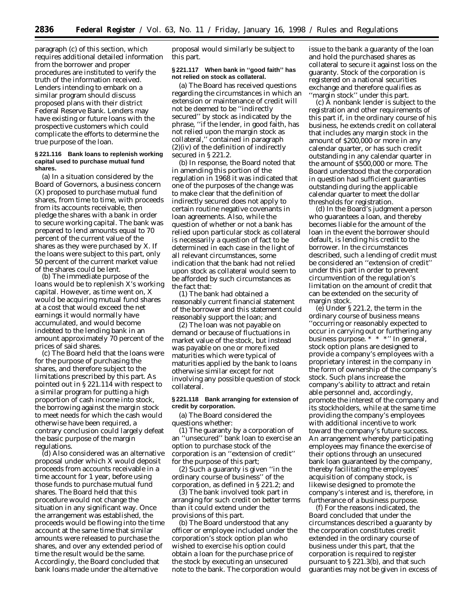paragraph (c) of this section, which requires additional detailed information from the borrower and proper procedures are instituted to verify the truth of the information received. Lenders intending to embark on a similar program should discuss proposed plans with their district Federal Reserve Bank. Lenders may have existing or future loans with the prospective customers which could complicate the efforts to determine the true purpose of the loan.

#### **§ 221.116 Bank loans to replenish working capital used to purchase mutual fund shares.**

(a) In a situation considered by the Board of Governors, a business concern (X) proposed to purchase mutual fund shares, from time to time, with proceeds from its accounts receivable, then pledge the shares with a bank in order to secure working capital. The bank was prepared to lend amounts equal to 70 percent of the current value of the shares as they were purchased by X. If the loans were subject to this part, only 50 percent of the current market value of the shares could be lent.

(b) The immediate purpose of the loans would be to replenish X's working capital. However, as time went on, X would be acquiring mutual fund shares at a cost that would exceed the net earnings it would normally have accumulated, and would become indebted to the lending bank in an amount approximately 70 percent of the prices of said shares.

(c) The Board held that the loans were for the purpose of purchasing the shares, and therefore subject to the limitations prescribed by this part. As pointed out in § 221.114 with respect to a similar program for putting a high proportion of cash income into stock, the borrowing against the margin stock to meet needs for which the cash would otherwise have been required, a contrary conclusion could largely defeat the basic purpose of the margin regulations.

(d) Also considered was an alternative proposal under which X would deposit proceeds from accounts receivable in a time account for 1 year, before using those funds to purchase mutual fund shares. The Board held that this procedure would not change the situation in any significant way. Once the arrangement was established, the proceeds would be flowing into the time account at the same time that similar amounts were released to purchase the shares, and over any extended period of time the result would be the same. Accordingly, the Board concluded that bank loans made under the alternative

proposal would similarly be subject to this part.

### **§ 221.117 When bank in ''good faith'' has not relied on stock as collateral.**

(a) The Board has received questions regarding the circumstances in which an extension or maintenance of credit will not be deemed to be ''indirectly secured'' by stock as indicated by the phrase, ''if the lender, in good faith, has not relied upon the margin stock as collateral,'' contained in paragraph (2)(iv) of the definition of *indirectly secured* in § 221.2.

(b) In response, the Board noted that in amending this portion of the regulation in 1968 it was indicated that one of the purposes of the change was to make clear that the definition of *indirectly secured* does not apply to certain routine negative covenants in loan agreements. Also, while the question of whether or not a bank has relied upon particular stock as collateral is necessarily a question of fact to be determined in each case in the light of all relevant circumstances, some indication that the bank had not relied upon stock as collateral would seem to be afforded by such circumstances as the fact that:

(1) The bank had obtained a reasonably current financial statement of the borrower and this statement could reasonably support the loan; and

(2) The loan was not payable on demand or because of fluctuations in market value of the stock, but instead was payable on one or more fixed maturities which were typical of maturities applied by the bank to loans otherwise similar except for not involving any possible question of stock collateral.

### **§ 221.118 Bank arranging for extension of credit by corporation.**

(a) The Board considered the questions whether:

(1) The guaranty by a corporation of an ''unsecured'' bank loan to exercise an option to purchase stock of the corporation is an ''extension of credit'' for the purpose of this part;

(2) Such a guaranty is given ''in the ordinary course of business'' of the corporation, as defined in § 221.2; and

(3) The bank involved took part in arranging for such credit on better terms than it could extend under the provisions of this part.

(b) The Board understood that any officer or employee included under the corporation's stock option plan who wished to exercise his option could obtain a loan for the purchase price of the stock by executing an unsecured note to the bank. The corporation would issue to the bank a guaranty of the loan and hold the purchased shares as collateral to secure it against loss on the guaranty. Stock of the corporation is registered on a national securities exchange and therefore qualifies as ''margin stock'' under this part.

(c) A nonbank lender is subject to the registration and other requirements of this part if, in the ordinary course of his business, he extends credit on collateral that includes any margin stock in the amount of \$200,000 or more in any calendar quarter, or has such credit outstanding in any calendar quarter in the amount of \$500,000 or more. The Board understood that the corporation in question had sufficient guaranties outstanding during the applicable calendar quarter to meet the dollar thresholds for registration.

(d) In the Board's judgment a person who guarantees a loan, and thereby becomes liable for the amount of the loan in the event the borrower should default, is lending his credit to the borrower. In the circumstances described, such a lending of credit must be considered an ''extension of credit'' under this part in order to prevent circumvention of the regulation's limitation on the amount of credit that can be extended on the security of margin stock.

(e) Under § 221.2, the term *in the ordinary course of business means* ''occurring or reasonably expected to occur in carrying out or furthering any business purpose. \* \* \*'' In general, stock option plans are designed to provide a company's employees with a proprietary interest in the company in the form of ownership of the company's stock. Such plans increase the company's ability to attract and retain able personnel and, accordingly, promote the interest of the company and its stockholders, while at the same time providing the company's employees with additional incentive to work toward the company's future success. An arrangement whereby participating employees may finance the exercise of their options through an unsecured bank loan guaranteed by the company, thereby facilitating the employees' acquisition of company stock, is likewise designed to promote the company's interest and is, therefore, in furtherance of a business purpose.

(f) For the reasons indicated, the Board concluded that under the circumstances described a guaranty by the corporation constitutes credit extended in the ordinary course of business under this part, that the corporation is required to register pursuant to § 221.3(b), and that such guaranties may not be given in excess of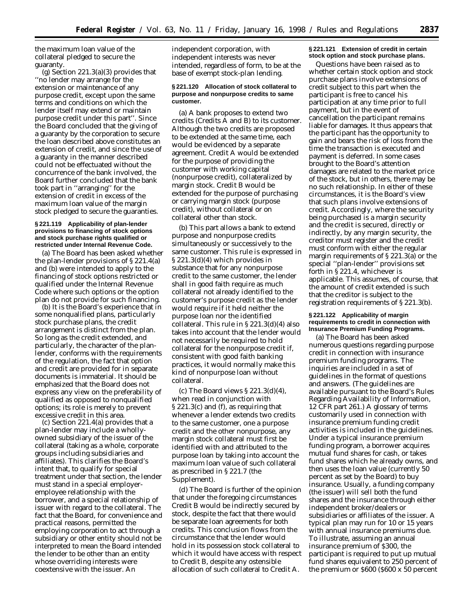the maximum loan value of the collateral pledged to secure the guaranty.

(g) Section 221.3(a)(3) provides that ''no lender may arrange for the extension or maintenance of any purpose credit, except upon the same terms and conditions on which the lender itself may extend or maintain purpose credit under this part''. Since the Board concluded that the giving of a guaranty by the corporation to secure the loan described above constitutes an extension of credit, and since the use of a guaranty in the manner described could not be effectuated without the concurrence of the bank involved, the Board further concluded that the bank took part in ''arranging'' for the extension of credit in excess of the maximum loan value of the margin stock pledged to secure the guaranties.

### **§ 221.119 Applicability of plan-lender provisions to financing of stock options and stock purchase rights qualified or restricted under Internal Revenue Code.**

(a) The Board has been asked whether the plan-lender provisions of § 221.4(a) and (b) were intended to apply to the financing of stock options restricted or qualified under the Internal Revenue Code where such options or the option plan do not provide for such financing.

(b) It is the Board's experience that in some nonqualified plans, particularly stock purchase plans, the credit arrangement is distinct from the plan. So long as the credit extended, and particularly, the character of the planlender, conforms with the requirements of the regulation, the fact that option and credit are provided for in separate documents is immaterial. It should be emphasized that the Board does not express any view on the preferability of qualified as opposed to nonqualified options; its role is merely to prevent excessive credit in this area.

(c) Section 221.4(a) provides that a plan-lender may include a whollyowned subsidiary of the issuer of the collateral (taking as a whole, corporate groups including subsidiaries and affiliates). This clarifies the Board's intent that, to qualify for special treatment under that section, the lender must stand in a special employeremployee relationship with the borrower, and a special relationship of issuer with regard to the collateral. The fact that the Board, for convenience and practical reasons, permitted the employing corporation to act through a subsidiary or other entity should not be interpreted to mean the Board intended the lender to be other than an entity whose overriding interests were coextensive with the issuer. An

independent corporation, with independent interests was never intended, regardless of form, to be at the base of exempt stock-plan lending.

### **§ 221.120 Allocation of stock collateral to purpose and nonpurpose credits to same customer.**

(a) A bank proposes to extend two credits (Credits A and B) to its customer. Although the two credits are proposed to be extended at the same time, each would be evidenced by a separate agreement. Credit A would be extended for the purpose of providing the customer with working capital (nonpurpose credit), collateralized by margin stock. Credit B would be extended for the purpose of purchasing or carrying margin stock (purpose credit), without collateral or on collateral other than stock.

(b) This part allows a bank to extend purpose and nonpurpose credits simultaneously or successively to the same customer. This rule is expressed in § 221.3(d)(4) which provides in substance that for any nonpurpose credit to the same customer, the lender shall in good faith require as much collateral not already identified to the customer's purpose credit as the lender would require if it held neither the purpose loan nor the identified collateral. This rule in § 221.3(d)(4) also takes into account that the lender would not necessarily be required to hold collateral for the nonpurpose credit if, consistent with good faith banking practices, it would normally make this kind of nonpurpose loan without collateral.

(c) The Board views  $\S 221.3(d)(4)$ , when read in conjunction with § 221.3(c) and (f), as requiring that whenever a lender extends two credits to the same customer, one a purpose credit and the other nonpurpose, any margin stock collateral must first be identified with and attributed to the purpose loan by taking into account the maximum loan value of such collateral as prescribed in § 221.7 (the Supplement).

(d) The Board is further of the opinion that under the foregoing circumstances Credit B would be indirectly secured by stock, despite the fact that there would be separate loan agreements for both credits. This conclusion flows from the circumstance that the lender would hold in its possession stock collateral to which it would have access with respect to Credit B, despite any ostensible allocation of such collateral to Credit A.

## **§ 221.121 Extension of credit in certain stock option and stock purchase plans.**

Questions have been raised as to whether certain stock option and stock purchase plans involve extensions of credit subject to this part when the participant is free to cancel his participation at any time prior to full payment, but in the event of cancellation the participant remains liable for damages. It thus appears that the participant has the opportunity to gain and bears the risk of loss from the time the transaction is executed and payment is deferred. In some cases brought to the Board's attention damages are related to the market price of the stock, but in others, there may be no such relationship. In either of these circumstances, it is the Board's view that such plans involve extensions of credit. Accordingly, where the security being purchased is a margin security and the credit is secured, directly or indirectly, by any margin security, the creditor must register and the credit must conform with either the regular margin requirements of § 221.3(a) or the special ''plan-lender'' provisions set forth in § 221.4, whichever is applicable. This assumes, of course, that the amount of credit extended is such that the creditor is subject to the registration requirements of § 221.3(b).

### **§ 221.122 Applicability of margin requirements to credit in connection with Insurance Premium Funding Programs.**

(a) The Board has been asked numerous questions regarding purpose credit in connection with insurance premium funding programs. The inquiries are included in a set of guidelines in the format of questions and answers. (The guidelines are available pursuant to the Board's Rules Regarding Availability of Information, 12 CFR part 261.) A glossary of terms customarily used in connection with insurance premium funding credit activities is included in the guidelines. Under a typical insurance premium funding program, a borrower acquires mutual fund shares for cash, or takes fund shares which he already owns, and then uses the loan value (currently 50 percent as set by the Board) to buy insurance. Usually, a funding company (the issuer) will sell both the fund shares and the insurance through either independent broker/dealers or subsidiaries or affiliates of the issuer. A typical plan may run for 10 or 15 years with annual insurance premiums due. To illustrate, assuming an annual insurance premium of \$300, the participant is required to put up mutual fund shares equivalent to 250 percent of the premium or \$600 (\$600 x 50 percent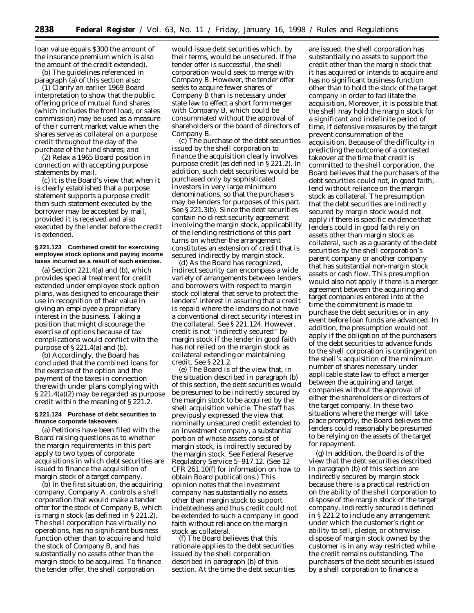loan value equals \$300 the amount of the insurance premium which is also the amount of the credit extended).

(b) The guidelines referenced in paragraph (a) of this section also:

(1) Clarify an earlier 1969 Board interpretation to show that the public offering price of mutual fund shares (which includes the front load, or sales commission) may be used as a measure of their current market value when the shares serve as collateral on a purpose credit throughout the day of the purchase of the fund shares; and

(2) Relax a 1965 Board position in connection with accepting purpose statements by mail.

(c) It is the Board's view that when it is clearly established that a purpose statement supports a purpose credit then such statement executed by the borrower may be accepted by mail, provided it is received and also executed by the lender before the credit is extended.

### **§ 221.123 Combined credit for exercising employee stock options and paying income taxes incurred as a result of such exercise.**

(a) Section 221.4(a) and (b), which provides special treatment for credit extended under employee stock option plans, was designed to encourage their use in recognition of their value in giving an employee a proprietary interest in the business. Taking a position that might discourage the exercise of options because of tax complications would conflict with the purpose of § 221.4(a) and (b).

(b) Accordingly, the Board has concluded that the combined loans for the exercise of the option and the payment of the taxes in connection therewith under plans complying with § 221.4(a)(2) may be regarded as *purpose credit* within the meaning of § 221.2.

### **§ 221.124 Purchase of debt securities to finance corporate takeovers.**

(a) Petitions have been filed with the Board raising questions as to whether the margin requirements in this part apply to two types of corporate acquisitions in which debt securities are issued to finance the acquisition of margin stock of a target company.

(b) In the first situation, the acquiring company, Company A, controls a shell corporation that would make a tender offer for the stock of Company B, which is margin stock (as defined in § 221.2). The shell corporation has virtually no operations, has no significant business function other than to acquire and hold the stock of Company B, and has substantially no assets other than the margin stock to be acquired. To finance the tender offer, the shell corporation

would issue debt securities which, by their terms, would be unsecured. If the tender offer is successful, the shell corporation would seek to merge with Company B. However, the tender offer seeks to acquire fewer shares of Company B than is necessary under state law to effect a short form merger with Company B, which could be consummated without the approval of shareholders or the board of directors of Company B.

(c) The purchase of the debt securities issued by the shell corporation to finance the acquisition clearly involves purpose credit (as defined in § 221.2). In addition, such debt securities would be purchased only by sophisticated investors in very large minimum denominations, so that the purchasers may be lenders for purposes of this part. *See* § 221.3(b). Since the debt securities contain no direct security agreement involving the margin stock, applicability of the lending restrictions of this part turns on whether the arrangement constitutes an extension of credit that is secured indirectly by margin stock.

(d) As the Board has recognized, indirect security can encompass a wide variety of arrangements between lenders and borrowers with respect to margin stock collateral that serve to protect the lenders' interest in assuring that a credit is repaid where the lenders do not have a conventional direct security interest in the collateral. *See* § 221.124. However, credit is not ''indirectly secured'' by margin stock if the lender in good faith has not relied on the margin stock as collateral extending or maintaining credit. *See* § 221.2.

(e) The Board is of the view that, in the situation described in paragraph (b) of this section, the debt securities would be presumed to be indirectly secured by the margin stock to be acquired by the shell acquisition vehicle. The staff has previously expressed the view that nominally unsecured credit extended to an investment company, a substantial portion of whose assets consist of margin stock, is indirectly secured by the margin stock. *See* Federal Reserve Regulatory Service 5–917.12. (*See* 12 CFR 261.10(f) for information on how to obtain Board publications.) This opinion notes that the investment company has substantially no assets other than margin stock to support indebtedness and thus credit could not be extended to such a company in good faith without reliance on the margin stock as collateral.

(f) The Board believes that this rationale applies to the debt securities issued by the shell corporation described in paragraph (b) of this section. At the time the debt securities

are issued, the shell corporation has substantially no assets to support the credit other than the margin stock that it has acquired or intends to acquire and has no significant business function other than to hold the stock of the target company in order to facilitate the acquisition. Moreover, it is possible that the shell may hold the margin stock for a significant and indefinite period of time, if defensive measures by the target prevent consummation of the acquisition. Because of the difficulty in predicting the outcome of a contested takeover at the time that credit is committed to the shell corporation, the Board believes that the purchasers of the debt securities could not, in good faith, lend without reliance on the margin stock as collateral. The presumption that the debt securities are indirectly secured by margin stock would not apply if there is specific evidence that lenders could in good faith rely on assets other than margin stock as collateral, such as a guaranty of the debt securities by the shell corporation's parent company or another company that has substantial non-margin stock assets or cash flow. This presumption would also not apply if there is a merger agreement between the acquiring and target companies entered into at the time the commitment is made to purchase the debt securities or in any event before loan funds are advanced. In addition, the presumption would not apply if the obligation of the purchasers of the debt securities to advance funds to the shell corporation is contingent on the shell's acquisition of the minimum number of shares necessary under applicable state law to effect a merger between the acquiring and target companies without the approval of either the shareholders or directors of the target company. In these two situations where the merger will take place promptly, the Board believes the lenders could reasonably be presumed to be relying on the assets of the target for repayment.

(g) In addition, the Board is of the view that the debt securities described in paragraph (b) of this section are indirectly secured by margin stock because there is a practical restriction on the ability of the shell corporation to dispose of the margin stock of the target company. Indirectly secured is defined in § 221.2 to include any arrangement under which the customer's right or ability to sell, pledge, or otherwise dispose of margin stock owned by the customer is in any way restricted while the credit remains outstanding. The purchasers of the debt securities issued by a shell corporation to finance a